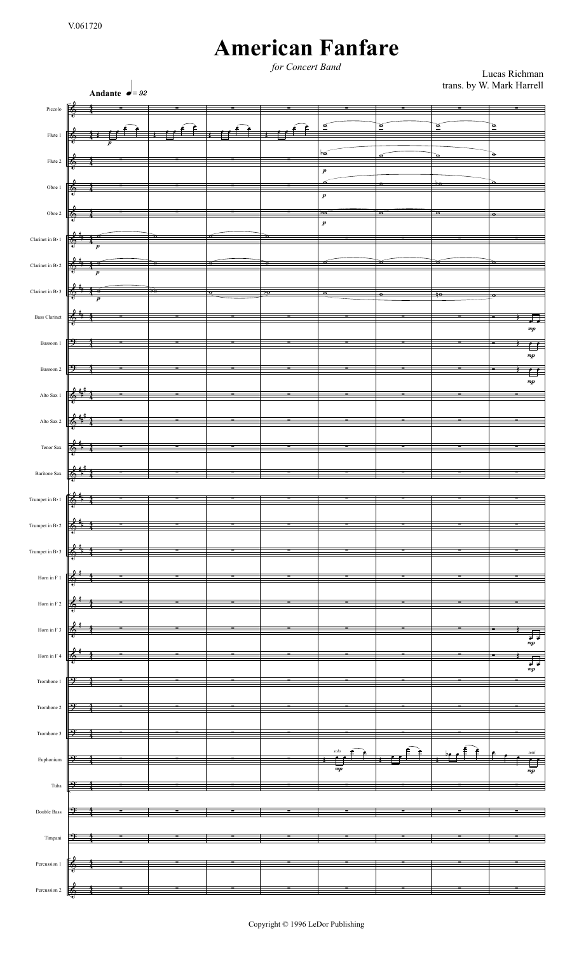V.061720

## **American Fanfare**

*for Concert Band*

Lucas Richman trans. by W. Mark Harrell

|                                                                  |                               | Andante $\bullet$ = 92 |                      |                      |                         |                                         |                     |                         | trans. by W. Mark Harron       |
|------------------------------------------------------------------|-------------------------------|------------------------|----------------------|----------------------|-------------------------|-----------------------------------------|---------------------|-------------------------|--------------------------------|
| $\mathop{\text{\rm Piccolo}}$                                    | 屩                             |                        |                      |                      |                         |                                         |                     |                         |                                |
|                                                                  |                               |                        |                      |                      |                         | $\overline{\mathbf{e}}$                 | $\overline{\sigma}$ | $\overline{\sigma}$     | $\overline{\sigma}$            |
| Flute 1                                                          |                               |                        | ₽                    |                      |                         |                                         |                     |                         |                                |
|                                                                  |                               |                        |                      |                      |                         | $b_{\mathbf{Q}}$                        |                     |                         |                                |
| Flute 2                                                          | 6                             |                        |                      |                      |                         |                                         |                     |                         |                                |
|                                                                  |                               |                        |                      |                      |                         | $\boldsymbol{p}$                        |                     |                         |                                |
| Oboe $\boldsymbol{1}$                                            | 6                             |                        |                      |                      |                         |                                         |                     | $\overline{\mathbf{c}}$ |                                |
|                                                                  |                               |                        |                      |                      |                         | $\boldsymbol{p}$                        |                     |                         |                                |
| Oboe $2$                                                         |                               |                        |                      |                      |                         | $\overline{56}$                         | $\bullet$           | $\bullet$               | $\mathbf{o}$                   |
|                                                                  |                               |                        |                      |                      |                         | $\boldsymbol{p}$                        |                     |                         |                                |
| Clarinet in $\mathrm{B}\flat\,1$                                 | $\frac{1}{\sqrt{2\pi}}$       | $\sigma$               | $\alpha$             | $\sigma$             | $\overline{\mathbf{o}}$ |                                         |                     |                         |                                |
|                                                                  |                               |                        |                      |                      |                         |                                         |                     |                         |                                |
| Clarinet in B <sub>b</sub> 2 $\frac{2\pi}{\pi}$ $\frac{4\pi}{p}$ |                               |                        | $\overline{\bullet}$ | $\bullet$            | $\overline{\bullet}$    | $\mathbf{\sigma}$                       | $\mathbf{o}$        | $\sigma$                | $\mathbf \sigma$               |
|                                                                  |                               |                        |                      |                      |                         |                                         |                     |                         |                                |
| Clarinet in $\mathrm{B}\flat\,3$                                 | $\frac{2}{6}$ 1 $\frac{1}{p}$ |                        | $\overline{b}$       | $\overline{\bullet}$ | $\overline{b}$          | $\overline{\bullet}$                    | $\mathbf{o}$        | $\overline{10}$         |                                |
|                                                                  |                               |                        |                      |                      |                         |                                         |                     |                         |                                |
| Bass Clarinet                                                    | $\frac{24}{9}$                |                        |                      |                      |                         |                                         |                     |                         |                                |
|                                                                  |                               |                        |                      |                      |                         |                                         |                     |                         | $\boldsymbol{m}\boldsymbol{p}$ |
| Bassoon 1                                                        | J.                            |                        |                      |                      |                         |                                         |                     |                         | 吞<br>$\it mp$                  |
| Bassoon $2\,$                                                    | <u>g</u>                      |                        |                      |                      |                         |                                         |                     |                         |                                |
|                                                                  |                               |                        |                      |                      |                         |                                         |                     |                         | ₹₹<br>$\mathit{mp}$            |
| Alto Sax $\bar{1}$                                               |                               |                        |                      |                      |                         |                                         |                     |                         |                                |
|                                                                  |                               |                        |                      |                      |                         |                                         |                     |                         |                                |
| Alto Sax 2                                                       |                               |                        |                      |                      |                         |                                         |                     |                         |                                |
|                                                                  |                               |                        |                      |                      |                         |                                         |                     |                         |                                |
| $\mbox{Tensor}$ Sax                                              | $\frac{24}{9}$                |                        |                      |                      |                         |                                         |                     |                         |                                |
|                                                                  |                               |                        |                      |                      |                         |                                         |                     |                         |                                |
| Baritone Sax                                                     |                               |                        |                      |                      |                         |                                         |                     |                         |                                |
|                                                                  |                               |                        |                      |                      |                         |                                         |                     |                         |                                |
| Trumpet in $\rm B\flat$ 1                                        | $\frac{2}{3}$                 |                        |                      |                      |                         |                                         |                     |                         |                                |
|                                                                  |                               |                        |                      |                      |                         |                                         |                     |                         |                                |
|                                                                  |                               |                        |                      |                      |                         |                                         |                     |                         |                                |
| Trumpet in $\rm B\flat\,2$                                       | 停                             |                        |                      |                      |                         |                                         |                     |                         |                                |
|                                                                  |                               |                        |                      |                      |                         |                                         |                     |                         |                                |
| Trumpet in $\mathrm{B}\flat$ 3                                   |                               |                        |                      |                      |                         |                                         |                     |                         |                                |
|                                                                  |                               |                        |                      |                      |                         |                                         |                     |                         |                                |
| Horn in F 1                                                      |                               |                        |                      |                      |                         |                                         |                     |                         |                                |
|                                                                  |                               |                        |                      |                      |                         |                                         |                     |                         |                                |
| Horn in F 2                                                      |                               |                        |                      |                      |                         |                                         |                     |                         |                                |
|                                                                  |                               |                        |                      |                      |                         |                                         |                     |                         |                                |
| Horn in F 3                                                      |                               |                        |                      |                      |                         |                                         |                     |                         | $\overrightarrow{m p}$         |
|                                                                  |                               | Ξ                      | Ξ                    | Ξ                    | Ξ                       |                                         |                     |                         |                                |
| Horn in F 4                                                      |                               |                        |                      |                      |                         |                                         |                     |                         |                                |
| Trombone 1                                                       | ୨                             |                        |                      |                      |                         |                                         |                     |                         |                                |
|                                                                  |                               |                        |                      |                      |                         |                                         |                     |                         |                                |
| Trombone 2                                                       |                               |                        |                      |                      |                         |                                         |                     |                         |                                |
|                                                                  |                               |                        |                      |                      |                         |                                         |                     |                         |                                |
| Trombone 3                                                       | 9                             |                        |                      |                      |                         |                                         |                     |                         |                                |
|                                                                  | -9                            |                        |                      |                      |                         | $\overline{1}$                          |                     |                         |                                |
| $\label{eq:Exponential} \text{Euphonium}$                        |                               |                        |                      |                      |                         | $\frac{solo}{\sqrt{2}}$<br>$\mathbf{m}$ |                     |                         | $\overline{mp}$                |
| Tuba                                                             |                               |                        |                      |                      |                         |                                         |                     |                         |                                |
|                                                                  |                               |                        |                      |                      |                         |                                         |                     |                         |                                |
| $\mbox{\textsf{Double Bass}}$                                    |                               |                        |                      |                      |                         |                                         |                     |                         |                                |
|                                                                  |                               |                        |                      |                      |                         |                                         |                     |                         |                                |
| Timpani                                                          | -9                            |                        |                      |                      |                         |                                         |                     |                         |                                |
|                                                                  |                               |                        |                      |                      |                         |                                         |                     |                         |                                |
| Percussion 1                                                     | $\overline{\bullet}$          |                        |                      |                      |                         |                                         |                     |                         |                                |
| Percussion $2\,$                                                 | 唪                             |                        |                      |                      |                         |                                         |                     |                         |                                |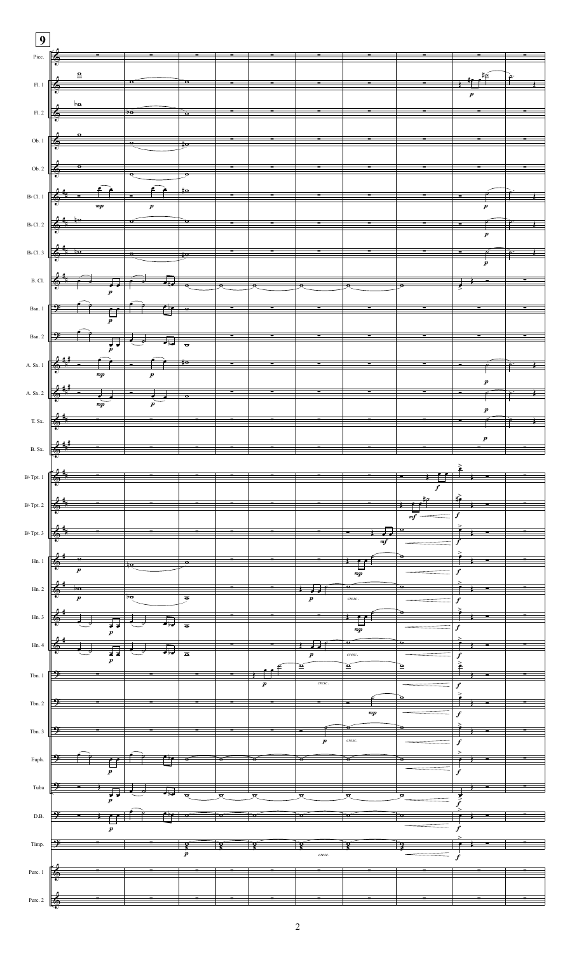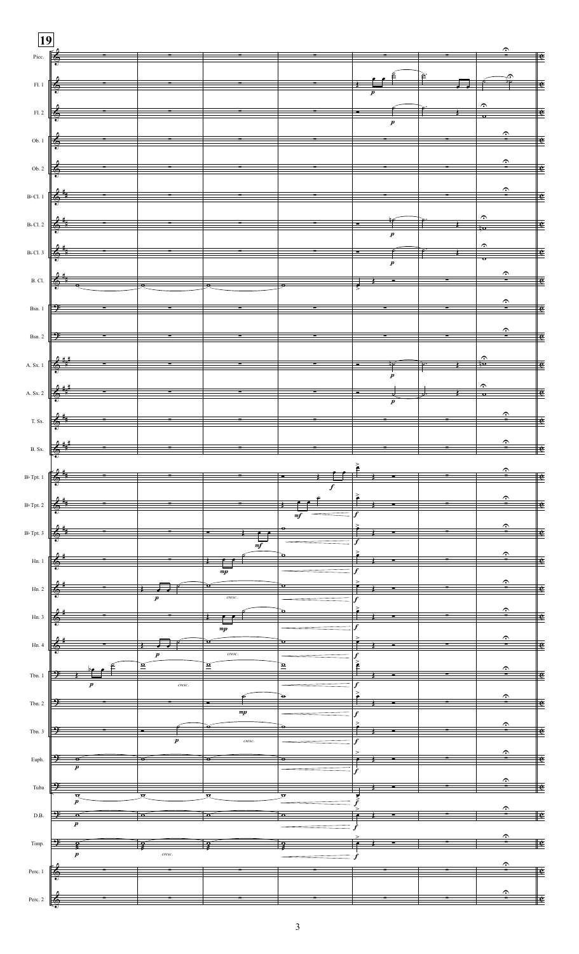| 19                                   |                                  |                              |                                                  |                     |                    |                     |                                                 |                                   |
|--------------------------------------|----------------------------------|------------------------------|--------------------------------------------------|---------------------|--------------------|---------------------|-------------------------------------------------|-----------------------------------|
| $\rm Picc.$                          | 圈                                |                              |                                                  |                     |                    |                     |                                                 | $\overline{\bullet}$              |
| FL.1                                 |                                  |                              |                                                  |                     |                    | $\hat{f}$           |                                                 | $\overline{\bullet}$              |
|                                      | Ģ                                |                              |                                                  |                     | $\overline{p}$     |                     |                                                 |                                   |
| FI. 2 $\frac{1}{2}$                  |                                  |                              |                                                  |                     |                    |                     | $\hat{\mathbf{r}}$                              | $\overline{\bullet}$              |
|                                      |                                  |                              |                                                  |                     | $\boldsymbol{p}$   |                     |                                                 |                                   |
| Ob. $1$                              | $\frac{1}{2}$                    |                              |                                                  |                     |                    |                     |                                                 | ¢                                 |
| Ob. 2                                | $\mathbf{r}$                     | $\blacksquare$               |                                                  |                     |                    |                     |                                                 | $\overline{\blacksquare}$         |
|                                      |                                  |                              |                                                  |                     |                    |                     |                                                 |                                   |
|                                      | $B \triangleright C1.1$          |                              |                                                  |                     |                    |                     |                                                 | $\overline{\bullet}$              |
|                                      | $B_2 C1.2$ $\frac{24}{5}$        |                              |                                                  | Ξ                   | ≝<br>Ξ             | t                   | $\frac{1}{2}$                                   | $\frac{1}{16}$                    |
|                                      |                                  |                              |                                                  |                     | $\boldsymbol{p}$   |                     |                                                 |                                   |
| $B \triangleright$ Cl. 3             |                                  | Ξ                            |                                                  |                     | Ξ                  |                     | $\hat{\phantom{a}}$<br>$\sigma$                 | $\frac{1}{10}$                    |
|                                      |                                  |                              |                                                  |                     | $\dot{p}$          |                     |                                                 |                                   |
|                                      |                                  |                              |                                                  | $\equiv$            |                    |                     |                                                 | $\overline{\bullet}$              |
| Bsn. 1                               | ୨                                |                              |                                                  |                     |                    |                     |                                                 | $\overline{\bullet}$              |
|                                      |                                  |                              |                                                  |                     |                    |                     |                                                 |                                   |
| Bsn. 2                               | Þ                                |                              |                                                  |                     |                    |                     |                                                 | $\overline{\bullet}$              |
|                                      |                                  |                              |                                                  |                     |                    | ۳                   | $\frac{1}{10}$                                  | ⋢                                 |
|                                      |                                  |                              |                                                  |                     | $\boldsymbol{p}$   |                     |                                                 |                                   |
| A. Sx. 2 $\frac{2 \frac{11}{10}}{2}$ | $\sim$                           |                              |                                                  |                     | Ξ<br>$\frac{p}{p}$ | $\overline{\phi}$ . | $\hat{\phantom{a}}$<br>$\overline{\phantom{a}}$ | $\overline{\bullet}$              |
|                                      |                                  |                              |                                                  |                     |                    |                     | $\hat{\phantom{a}}$                             |                                   |
| $\mathbf{T}$ Sx.                     | $\frac{2}{9}$                    |                              |                                                  |                     |                    |                     |                                                 | $\overline{\bullet}$              |
|                                      | B. Sx.<br>$\equiv$               | Ξ                            | Ξ.                                               |                     |                    |                     | $\hat{\phantom{a}}$                             | $\overline{\mathbf{e}}$           |
|                                      |                                  |                              |                                                  |                     |                    |                     |                                                 |                                   |
| $B \triangleright$ Tpt. 1            | $\blacklozenge$                  |                              |                                                  | $\boldsymbol{f}$    |                    |                     |                                                 | ¢                                 |
|                                      |                                  |                              |                                                  |                     |                    |                     |                                                 |                                   |
|                                      |                                  |                              |                                                  |                     |                    |                     |                                                 |                                   |
| $B \triangleright$ Tpt. 2            |                                  |                              |                                                  | m f                 |                    |                     |                                                 | ¢                                 |
| $B \triangleright$ Tpt. 3            | 6.                               |                              |                                                  |                     |                    |                     |                                                 | ¢                                 |
|                                      |                                  |                              | $\frac{1}{m}$                                    |                     |                    |                     |                                                 |                                   |
| Hn. 1                                |                                  |                              | $\overline{\phantom{a}}$<br>t<br>$\overline{mp}$ |                     |                    |                     |                                                 | ¢                                 |
| Hn. 2                                |                                  |                              | $\alpha$                                         | $\mathbf{o}$        |                    |                     |                                                 | ¢                                 |
|                                      |                                  | $\boldsymbol{p}$             | cresc.                                           |                     |                    |                     | ↷                                               |                                   |
| Hn. $3\,$                            | $\overline{\bullet}$             |                              | $\overline{\phantom{a}}$<br>रे                   |                     |                    |                     |                                                 | ¢                                 |
| Hn. 4                                | ⊚                                | 戸<br>$\overline{\mathbf{r}}$ | $\it mp$<br>$\frac{1}{\sqrt{2}}$                 | $\alpha$            |                    |                     |                                                 | €                                 |
|                                      |                                  | $\overline{p}$               | $\overline{\mathit{cresc}}$ .                    |                     |                    |                     |                                                 |                                   |
| Tbn. $1$                             | 9<br>$\boldsymbol{p}$            | $\overline{a}$<br>cresc.     | $\overline{\mathbf{v}}$                          | $\overline{\sigma}$ | É                  |                     | ⌒                                               | ¢                                 |
|                                      |                                  |                              |                                                  | ۰                   |                    |                     |                                                 |                                   |
| Tbn. $2$                             |                                  |                              | $\it mp$                                         |                     |                    |                     |                                                 | ¢                                 |
| Tbn. 3                               |                                  |                              |                                                  |                     |                    |                     |                                                 | $\overline{\mathbf{e}}$           |
|                                      |                                  | $\boldsymbol{p}$             | cresc.                                           |                     |                    |                     |                                                 |                                   |
| $\ensuremath{\text{Euph}}\xspace$    | $\bullet$<br>$\overline{p}$      | $\overline{\bullet}$         | $\overline{\bullet}$                             | $\bullet$           |                    |                     |                                                 | ¢                                 |
| Tuba                                 | C.                               |                              |                                                  |                     |                    |                     |                                                 | ¢                                 |
|                                      | $\frac{\overline{\sigma}}{p}$    | $\overline{\mathbf{v}}$      | $\overline{\mathbf{a}}$                          | $\overline{\sigma}$ |                    |                     |                                                 |                                   |
| $\mathbf{D}.\mathbf{B}.$             | $\bullet$<br>$\boldsymbol{p}$    | $\bullet$                    |                                                  |                     |                    |                     |                                                 | $\mathbf{e}$                      |
|                                      |                                  |                              |                                                  |                     |                    |                     |                                                 |                                   |
| Timp.                                | $\mathbf{P}$<br>$\boldsymbol{p}$ | $\it{cresc}.$                |                                                  |                     |                    |                     |                                                 | ¢                                 |
| Perc. 1                              | ๋                                |                              |                                                  |                     |                    |                     |                                                 | $\overline{\bullet}$              |
| Perc. 2                              | Ξ                                | Ξ                            | Ξ                                                | Ξ                   | Ξ                  |                     | $\triangleq$                                    | $\overline{\mathbf{1}\mathbf{e}}$ |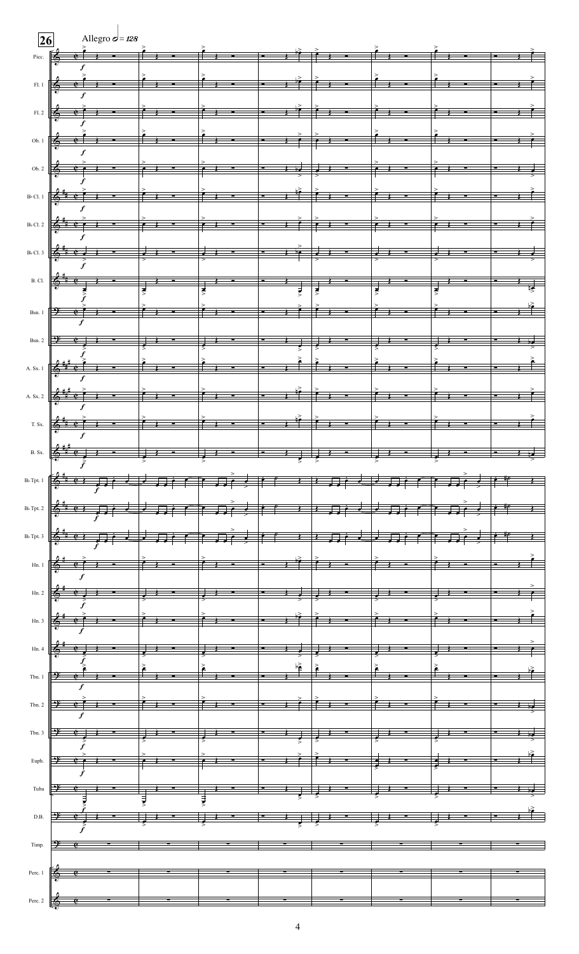| 26                                 |           | Allegro $\phi = 128$                                                                |                                                                                                                                                                                                                                                                                                                                                                                                                    |                                                                                                                                                                                                                                                                                                                       |                                                                       |                                         |                        |                                               |
|------------------------------------|-----------|-------------------------------------------------------------------------------------|--------------------------------------------------------------------------------------------------------------------------------------------------------------------------------------------------------------------------------------------------------------------------------------------------------------------------------------------------------------------------------------------------------------------|-----------------------------------------------------------------------------------------------------------------------------------------------------------------------------------------------------------------------------------------------------------------------------------------------------------------------|-----------------------------------------------------------------------|-----------------------------------------|------------------------|-----------------------------------------------|
| Picc.                              |           |                                                                                     |                                                                                                                                                                                                                                                                                                                                                                                                                    |                                                                                                                                                                                                                                                                                                                       |                                                                       |                                         |                        |                                               |
| FL1                                |           |                                                                                     |                                                                                                                                                                                                                                                                                                                                                                                                                    |                                                                                                                                                                                                                                                                                                                       |                                                                       |                                         |                        |                                               |
|                                    |           |                                                                                     |                                                                                                                                                                                                                                                                                                                                                                                                                    |                                                                                                                                                                                                                                                                                                                       |                                                                       |                                         |                        |                                               |
| Fl. 2                              |           |                                                                                     |                                                                                                                                                                                                                                                                                                                                                                                                                    |                                                                                                                                                                                                                                                                                                                       |                                                                       |                                         |                        |                                               |
| Ob. 1                              |           |                                                                                     |                                                                                                                                                                                                                                                                                                                                                                                                                    |                                                                                                                                                                                                                                                                                                                       |                                                                       |                                         |                        |                                               |
| Ob. 2                              |           |                                                                                     |                                                                                                                                                                                                                                                                                                                                                                                                                    |                                                                                                                                                                                                                                                                                                                       |                                                                       |                                         |                        |                                               |
|                                    |           |                                                                                     |                                                                                                                                                                                                                                                                                                                                                                                                                    |                                                                                                                                                                                                                                                                                                                       |                                                                       |                                         |                        |                                               |
| $B \triangleright C1.1$            |           |                                                                                     |                                                                                                                                                                                                                                                                                                                                                                                                                    |                                                                                                                                                                                                                                                                                                                       |                                                                       |                                         |                        |                                               |
| <b>B</b> <sub>b</sub> Cl. 2        |           |                                                                                     |                                                                                                                                                                                                                                                                                                                                                                                                                    |                                                                                                                                                                                                                                                                                                                       |                                                                       |                                         |                        |                                               |
| <b>B</b> <sub>b</sub> Cl. 3        |           |                                                                                     |                                                                                                                                                                                                                                                                                                                                                                                                                    |                                                                                                                                                                                                                                                                                                                       |                                                                       |                                         |                        |                                               |
|                                    |           |                                                                                     |                                                                                                                                                                                                                                                                                                                                                                                                                    |                                                                                                                                                                                                                                                                                                                       |                                                                       |                                         |                        |                                               |
| B.Cl.                              |           |                                                                                     |                                                                                                                                                                                                                                                                                                                                                                                                                    |                                                                                                                                                                                                                                                                                                                       |                                                                       |                                         |                        |                                               |
| Bsn. 1                             |           |                                                                                     |                                                                                                                                                                                                                                                                                                                                                                                                                    |                                                                                                                                                                                                                                                                                                                       |                                                                       |                                         |                        |                                               |
|                                    |           |                                                                                     |                                                                                                                                                                                                                                                                                                                                                                                                                    |                                                                                                                                                                                                                                                                                                                       |                                                                       |                                         |                        |                                               |
| Bsn. 2                             |           |                                                                                     |                                                                                                                                                                                                                                                                                                                                                                                                                    |                                                                                                                                                                                                                                                                                                                       |                                                                       |                                         |                        |                                               |
| A. Sx. 1                           |           |                                                                                     |                                                                                                                                                                                                                                                                                                                                                                                                                    |                                                                                                                                                                                                                                                                                                                       |                                                                       |                                         |                        |                                               |
| A. Sx. 2                           |           |                                                                                     |                                                                                                                                                                                                                                                                                                                                                                                                                    |                                                                                                                                                                                                                                                                                                                       |                                                                       |                                         |                        |                                               |
|                                    |           |                                                                                     |                                                                                                                                                                                                                                                                                                                                                                                                                    |                                                                                                                                                                                                                                                                                                                       |                                                                       |                                         |                        |                                               |
| T. Sx.                             |           |                                                                                     |                                                                                                                                                                                                                                                                                                                                                                                                                    |                                                                                                                                                                                                                                                                                                                       |                                                                       |                                         |                        |                                               |
|                                    |           |                                                                                     |                                                                                                                                                                                                                                                                                                                                                                                                                    | B. Sx. $\frac{2}{9}$ $\frac{1}{9}$ $\frac{1}{9}$ $\frac{1}{3}$ $\frac{1}{3}$ $\frac{1}{3}$ $\frac{1}{3}$ $\frac{1}{3}$ $\frac{1}{3}$ $\frac{1}{3}$ $\frac{1}{3}$ $\frac{1}{3}$ $\frac{1}{3}$ $\frac{1}{3}$ $\frac{1}{3}$ $\frac{1}{3}$ $\frac{1}{3}$ $\frac{1}{3}$ $\frac{1}{3}$ $\frac{1}{3}$ $\frac{1}{3}$ $\frac{$ |                                                                       |                                         |                        |                                               |
|                                    |           |                                                                                     |                                                                                                                                                                                                                                                                                                                                                                                                                    |                                                                                                                                                                                                                                                                                                                       |                                                                       |                                         |                        |                                               |
|                                    |           |                                                                                     |                                                                                                                                                                                                                                                                                                                                                                                                                    |                                                                                                                                                                                                                                                                                                                       |                                                                       |                                         |                        |                                               |
|                                    |           |                                                                                     |                                                                                                                                                                                                                                                                                                                                                                                                                    |                                                                                                                                                                                                                                                                                                                       |                                                                       |                                         |                        |                                               |
|                                    |           |                                                                                     | $B_3$ Tpt. 2 $\frac{2}{3}$ $\frac{2}{3}$ $\frac{4}{3}$ $\frac{4}{3}$ $\frac{3}{4}$ $\frac{3}{4}$ $\frac{3}{4}$ $\frac{3}{4}$ $\frac{3}{4}$ $\frac{3}{4}$ $\frac{3}{4}$ $\frac{3}{4}$ $\frac{3}{4}$ $\frac{3}{4}$ $\frac{3}{4}$ $\frac{3}{4}$ $\frac{3}{4}$ $\frac{3}{4}$ $\frac{3}{4}$ $\frac{3}{4}$ $\frac{3}{4}$                                                                                                 |                                                                                                                                                                                                                                                                                                                       |                                                                       |                                         |                        |                                               |
|                                    |           |                                                                                     | $B_{\rm b}$ Tpt. 3 $\frac{1}{\sqrt{3}}$ ( $\frac{1}{\sqrt{3}}$ , $\frac{1}{\sqrt{3}}$ , $\frac{1}{\sqrt{3}}$ , $\frac{1}{\sqrt{3}}$ , $\frac{1}{\sqrt{3}}$ , $\frac{1}{\sqrt{3}}$ , $\frac{1}{\sqrt{3}}$ , $\frac{1}{\sqrt{3}}$ , $\frac{1}{\sqrt{3}}$ , $\frac{1}{\sqrt{3}}$ , $\frac{1}{\sqrt{3}}$ , $\frac{1}{\sqrt{3}}$ , $\frac{1}{\sqrt{3$                                                                   |                                                                                                                                                                                                                                                                                                                       |                                                                       |                                         |                        |                                               |
|                                    |           |                                                                                     |                                                                                                                                                                                                                                                                                                                                                                                                                    |                                                                                                                                                                                                                                                                                                                       |                                                                       |                                         |                        |                                               |
|                                    |           |                                                                                     | $\frac{1}{2}$ $\frac{1}{2}$ $\frac{1}{2}$ $\frac{1}{2}$ $\frac{1}{2}$ $\frac{1}{2}$ $\frac{1}{2}$ $\frac{1}{2}$ $\frac{1}{2}$ $\frac{1}{2}$ $\frac{1}{2}$ $\frac{1}{2}$ $\frac{1}{2}$ $\frac{1}{2}$ $\frac{1}{2}$ $\frac{1}{2}$ $\frac{1}{2}$ $\frac{1}{2}$ $\frac{1}{2}$ $\frac{1}{2}$ $\frac{1}{2}$ $\frac{1}{2}$                                                                                                |                                                                                                                                                                                                                                                                                                                       |                                                                       |                                         |                        |                                               |
|                                    |           |                                                                                     | Hn. 2 $\frac{1}{2}$ $\frac{1}{2}$ $\frac{1}{2}$ $\frac{1}{2}$ $\frac{1}{2}$ $\frac{1}{2}$ $\frac{1}{2}$ $\frac{1}{2}$ $\frac{1}{2}$ $\frac{1}{2}$ $\frac{1}{2}$ $\frac{1}{2}$ $\frac{1}{2}$ $\frac{1}{2}$ $\frac{1}{2}$ $\frac{1}{2}$ $\frac{1}{2}$ $\frac{1}{2}$ $\frac{1}{2}$ $\frac{1}{2}$ $\frac{1}{2}$ $\frac{1$                                                                                              |                                                                                                                                                                                                                                                                                                                       |                                                                       |                                         |                        | $\overline{\phantom{0}}$                      |
|                                    |           |                                                                                     | $Hn.3$ $\left \frac{1}{\sqrt{3}}\frac{1}{3}\frac{1}{3}\frac{1}{3}\frac{1}{3}\frac{1}{3}\frac{1}{3}\frac{1}{3}\frac{1}{3}\frac{1}{3}\frac{1}{3}\frac{1}{3}\frac{1}{3}\frac{1}{3}\frac{1}{3}\frac{1}{3}\frac{1}{3}\frac{1}{3}\frac{1}{3}\frac{1}{3}\frac{1}{3}\frac{1}{3}\frac{1}{3}\frac{1}{3}\frac{1}{3}\frac{1}{3}\frac{1}{3}\frac{1}{3}\frac{1}{3}\frac{1}{3}\frac{1}{3}\frac{1}{3}\frac{1}{3}\frac{1}{3}\frac{$ |                                                                                                                                                                                                                                                                                                                       |                                                                       |                                         |                        |                                               |
|                                    |           |                                                                                     |                                                                                                                                                                                                                                                                                                                                                                                                                    |                                                                                                                                                                                                                                                                                                                       |                                                                       |                                         |                        |                                               |
|                                    |           |                                                                                     | Hn. 4 $\frac{1}{2}$ $\frac{1}{2}$ $\frac{1}{2}$ $\frac{1}{2}$ $\frac{1}{2}$ $\frac{1}{2}$ $\frac{1}{2}$ $\frac{1}{2}$ $\frac{1}{2}$ $\frac{1}{2}$ $\frac{1}{2}$ $\frac{1}{2}$ $\frac{1}{2}$ $\frac{1}{2}$ $\frac{1}{2}$ $\frac{1}{2}$ $\frac{1}{2}$ $\frac{1}{2}$ $\frac{1}{2}$ $\frac{1}{2}$ $\frac{1}{2}$ $\frac{1$                                                                                              |                                                                                                                                                                                                                                                                                                                       |                                                                       |                                         |                        |                                               |
| Tbn. $1$                           |           |                                                                                     | $\frac{1}{2}$ $\frac{1}{2}$ $\frac{1}{2}$ $\frac{1}{2}$ $\frac{1}{2}$ $\frac{1}{2}$ $\frac{1}{2}$ $\frac{1}{2}$ $\frac{1}{2}$ $\frac{1}{2}$ $\frac{1}{2}$ $\frac{1}{2}$ $\frac{1}{2}$ $\frac{1}{2}$ $\frac{1}{2}$ $\frac{1}{2}$ $\frac{1}{2}$ $\frac{1}{2}$ $\frac{1}{2}$ $\frac{1}{2}$ $\frac{1}{2}$ $\frac{1}{2}$                                                                                                |                                                                                                                                                                                                                                                                                                                       |                                                                       |                                         |                        | $\frac{1}{2}$ = $\frac{1}{2}$ = $\frac{1}{2}$ |
| Tbn. $2$                           |           | $\frac{1}{2}$ $\frac{1}{2}$ $\frac{1}{2}$ $\frac{1}{2}$ $\frac{1}{2}$ $\frac{1}{2}$ |                                                                                                                                                                                                                                                                                                                                                                                                                    | $\left  \cdot \right $                                                                                                                                                                                                                                                                                                |                                                                       | $\left  \cdot \right $<br>$\frac{1}{2}$ |                        | $\overline{\phantom{a}}$                      |
| Tbn. $3$                           |           |                                                                                     |                                                                                                                                                                                                                                                                                                                                                                                                                    | $\overline{\phantom{0}}$                                                                                                                                                                                                                                                                                              | $\cdot$                                                               |                                         | $\sim$ $\sim$ $\sim$   |                                               |
|                                    |           |                                                                                     |                                                                                                                                                                                                                                                                                                                                                                                                                    |                                                                                                                                                                                                                                                                                                                       |                                                                       | $\cdot$ $\cdot$                         |                        | $\frac{1}{2}$                                 |
| $\ensuremath{\text{Euph}}\xspace.$ | $9 \cdot$ |                                                                                     |                                                                                                                                                                                                                                                                                                                                                                                                                    |                                                                                                                                                                                                                                                                                                                       |                                                                       |                                         | $\left  \cdot \right $ |                                               |
| Tuba                               |           |                                                                                     |                                                                                                                                                                                                                                                                                                                                                                                                                    |                                                                                                                                                                                                                                                                                                                       | $\frac{1}{2}$ $\frac{1}{2}$ $\frac{1}{2}$ $\frac{1}{2}$ $\frac{1}{2}$ |                                         |                        |                                               |
| $\mathbf{D}.\mathbf{B}.$           |           |                                                                                     |                                                                                                                                                                                                                                                                                                                                                                                                                    |                                                                                                                                                                                                                                                                                                                       |                                                                       |                                         |                        |                                               |
|                                    |           |                                                                                     |                                                                                                                                                                                                                                                                                                                                                                                                                    |                                                                                                                                                                                                                                                                                                                       |                                                                       |                                         |                        |                                               |
| Timp.                              |           |                                                                                     |                                                                                                                                                                                                                                                                                                                                                                                                                    |                                                                                                                                                                                                                                                                                                                       |                                                                       |                                         |                        |                                               |
|                                    | Perc. 1   |                                                                                     |                                                                                                                                                                                                                                                                                                                                                                                                                    |                                                                                                                                                                                                                                                                                                                       |                                                                       |                                         |                        |                                               |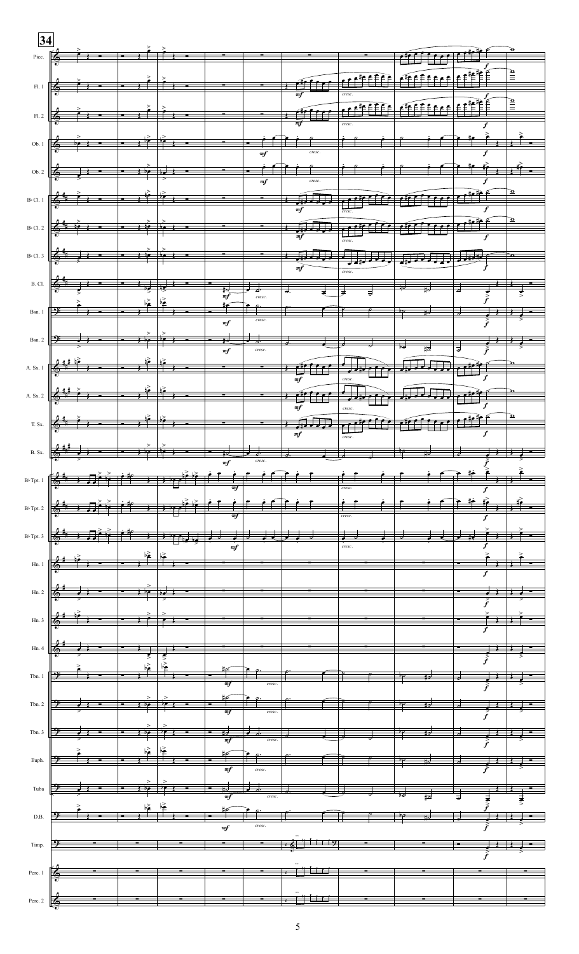| $\bf{34}$                                        |                         |                          |                                |                          |                         |                                    |                                                                                                                                                                                                                                                                                                                                                                             |                                     |                                   |                                  |                          |
|--------------------------------------------------|-------------------------|--------------------------|--------------------------------|--------------------------|-------------------------|------------------------------------|-----------------------------------------------------------------------------------------------------------------------------------------------------------------------------------------------------------------------------------------------------------------------------------------------------------------------------------------------------------------------------|-------------------------------------|-----------------------------------|----------------------------------|--------------------------|
| Picc.                                            |                         |                          |                                |                          |                         |                                    |                                                                                                                                                                                                                                                                                                                                                                             |                                     |                                   |                                  |                          |
| Fl.1                                             |                         |                          |                                |                          |                         |                                    | éttet                                                                                                                                                                                                                                                                                                                                                                       | <u>refer</u>                        | <u> FFFFF</u>                     | $\mathbf{\hat{a}}$               |                          |
|                                                  |                         |                          |                                |                          |                         |                                    | $\frac{1}{\overline{m}f}$                                                                                                                                                                                                                                                                                                                                                   | <u> #ffff</u>                       |                                   | $\mathbf{a}$<br>⊭ֲֲֲ             |                          |
| F1.2                                             |                         |                          | ŗ                              |                          |                         |                                    | $\begin{picture}(20,20) \put(0,0){\vector(1,0){10}} \put(15,0){\vector(1,0){10}} \put(15,0){\vector(1,0){10}} \put(15,0){\vector(1,0){10}} \put(15,0){\vector(1,0){10}} \put(15,0){\vector(1,0){10}} \put(15,0){\vector(1,0){10}} \put(15,0){\vector(1,0){10}} \put(15,0){\vector(1,0){10}} \put(15,0){\vector(1,0){10}} \put(15,0){\vector(1,0){10}} \put(15,0){\vector(1$ |                                     |                                   |                                  |                          |
| Ob. $\boldsymbol{1}$                             |                         |                          |                                |                          |                         | $\overline{mf}$                    | cresc                                                                                                                                                                                                                                                                                                                                                                       |                                     |                                   |                                  |                          |
| Ob. $2$                                          |                         |                          |                                |                          |                         |                                    |                                                                                                                                                                                                                                                                                                                                                                             |                                     |                                   |                                  |                          |
|                                                  |                         |                          |                                |                          |                         | $\overline{\mathit{mf}}$           | cresc                                                                                                                                                                                                                                                                                                                                                                       |                                     |                                   | $\alpha$                         |                          |
| $\rm B\ensuremath{\,\dot{\triangleright}}$ Cl. 1 | $\phi^*$                |                          | Ξ                              | ×                        |                         |                                    | $\begin{array}{c}\n\hline\n\text{Hence,} \\ \text{m} & \text{m} \\ \hline\n\end{array}$<br>ႈ                                                                                                                                                                                                                                                                                | $\cdot$ from $\cdot$<br>لا ہے۔<br>ا | $\frac{1}{2}$                     |                                  |                          |
| $\rm B\ensuremath{\,\circ}\, Cl.$ 2              |                         |                          | $\frac{1}{2}$                  | $\rightarrow$            |                         |                                    | $\sqrt{\frac{1}{m_f}}$<br>⇟                                                                                                                                                                                                                                                                                                                                                 |                                     |                                   |                                  |                          |
| $\rm B\!\!\flat$ Cl. 3                           | $\bullet$ .             |                          | م4 ≮                           |                          |                         | Ξ                                  | $\sqrt{2}$<br>₹                                                                                                                                                                                                                                                                                                                                                             |                                     |                                   |                                  |                          |
| $\,$ B. Cl. $\,$                                 |                         |                          |                                |                          | to                      |                                    | mf                                                                                                                                                                                                                                                                                                                                                                          | creso                               |                                   |                                  |                          |
| Bsn. $1\,$                                       | ∸                       |                          |                                |                          | mf                      | cresc.                             |                                                                                                                                                                                                                                                                                                                                                                             |                                     |                                   |                                  |                          |
|                                                  |                         |                          |                                |                          | m f                     | cresc.                             |                                                                                                                                                                                                                                                                                                                                                                             |                                     |                                   |                                  |                          |
| Bsn. $2$                                         |                         |                          | مطلح                           |                          | $\it mf$                | cresc.                             |                                                                                                                                                                                                                                                                                                                                                                             |                                     | ‡≉                                |                                  |                          |
| A. Sx. $1$                                       | 全生                      |                          |                                |                          |                         |                                    | di filmi                                                                                                                                                                                                                                                                                                                                                                    | <del>लंग</del>                      |                                   | $\epsilon$ $\epsilon$ $\epsilon$ |                          |
| A. Sx. $2$                                       | 牵                       |                          |                                |                          |                         |                                    | $\bar{m}f$<br>ris fra                                                                                                                                                                                                                                                                                                                                                       | # 1                                 | <u>التواريخ المتحدة التي</u>      |                                  |                          |
| $\mathbf{T}.$ Sx.                                |                         | $\overline{\phantom{a}}$ | <u>र फें</u><br>⋿              | $\overline{\phantom{0}}$ |                         |                                    | $\overline{\mathit{mf}}$<br>$\sqrt{2}$                                                                                                                                                                                                                                                                                                                                      | cresc.                              | <u>erit (ile deri tre ciris f</u> |                                  |                          |
|                                                  | $\frac{1}{2}$           |                          |                                |                          |                         |                                    | mf                                                                                                                                                                                                                                                                                                                                                                          | cresc.                              |                                   |                                  |                          |
| $\mathbf{B}.$ Sx.                                | $8 +$                   | -                        | $\leftrightarrow$<br>≔         |                          | $m\!f$                  | cresc.                             |                                                                                                                                                                                                                                                                                                                                                                             |                                     |                                   |                                  |                          |
|                                                  |                         |                          |                                |                          |                         |                                    |                                                                                                                                                                                                                                                                                                                                                                             |                                     |                                   |                                  |                          |
| $\rm B\flat$ Tpt. $1$                            | $6$ <sup>*</sup>        |                          |                                |                          |                         |                                    |                                                                                                                                                                                                                                                                                                                                                                             |                                     |                                   |                                  |                          |
| $\rm B\ensuremath{\circ}\, \rm Tpt.$ 2           |                         | $\pi$                    |                                | $\frac{1}{2}$            |                         | $\mathbb{I}$                       | $\mathbf{f}$                                                                                                                                                                                                                                                                                                                                                                |                                     |                                   | ¥                                |                          |
| $\rm B\ensuremath{\circ}\, \rm Tpt.$ 3           |                         | $\frac{1}{2}$            | ≛‡°                            |                          | $\frac{1}{\sqrt{m}}$    | $\overline{\phantom{a}}$           |                                                                                                                                                                                                                                                                                                                                                                             |                                     |                                   |                                  |                          |
|                                                  |                         |                          |                                |                          | m f                     |                                    |                                                                                                                                                                                                                                                                                                                                                                             | cresc.                              |                                   |                                  |                          |
| Hn. 1                                            |                         |                          |                                |                          |                         | $\overline{\phantom{a}}$           | $\frac{1}{\sqrt{2}}$                                                                                                                                                                                                                                                                                                                                                        |                                     |                                   |                                  |                          |
| Hn. $2$                                          | $\frac{2}{\frac{2}{3}}$ | $\frac{1}{2}$            | $\frac{1}{2}$ po $\frac{1}{2}$ | <u>—</u>                 | Ξ                       | Ξ                                  |                                                                                                                                                                                                                                                                                                                                                                             |                                     |                                   | $\overline{\phantom{a}}$         | $\overline{\phantom{a}}$ |
| Hn. 3                                            |                         |                          | $\left  \cdot \right $         | $\rightarrow$            | Ξ.                      |                                    |                                                                                                                                                                                                                                                                                                                                                                             |                                     |                                   |                                  |                          |
| Hn.4                                             | 6.                      |                          | $\overline{\phantom{0}}$       | ╼                        |                         | ≖                                  |                                                                                                                                                                                                                                                                                                                                                                             |                                     |                                   | ≖                                |                          |
| Tbn. 1                                           | €                       |                          |                                |                          |                         |                                    |                                                                                                                                                                                                                                                                                                                                                                             |                                     | ᇣ                                 | ₹                                |                          |
| Tbn. $2$                                         |                         |                          | $\overline{\cdot}$             |                          |                         | $\frac{1}{m}$<br>cresc.            |                                                                                                                                                                                                                                                                                                                                                                             |                                     | ₽                                 | ₹                                |                          |
|                                                  |                         |                          |                                |                          | m f                     | cresc.                             |                                                                                                                                                                                                                                                                                                                                                                             |                                     |                                   | $\overline{\cdot}$               | <u>र जुल्ला</u>          |
| Tbn. $3$                                         |                         |                          | $\overline{\cdot}$             |                          | $\frac{1}{\frac{4}{m}}$ | $\overline{\phantom{0}}$<br>cresc. |                                                                                                                                                                                                                                                                                                                                                                             |                                     |                                   | ₹                                |                          |
| Euph.                                            |                         |                          |                                |                          | ≞<br>m f                | $\mathit{cres}c$ .                 |                                                                                                                                                                                                                                                                                                                                                                             |                                     | ‡ਟ<br>甼                           | $\mathbf{R}$<br>ತ<br>₹           | ≢                        |
| Tuba                                             |                         |                          |                                |                          | ₽                       | ◢<br>cresc.                        |                                                                                                                                                                                                                                                                                                                                                                             |                                     |                                   |                                  |                          |
| $\mathbf{D}.\mathbf{B}.$                         |                         |                          |                                |                          | m f                     |                                    |                                                                                                                                                                                                                                                                                                                                                                             |                                     |                                   | $\frac{1}{2}$<br>$\pm J$         |                          |
|                                                  |                         |                          |                                |                          | m f                     | cresc.                             |                                                                                                                                                                                                                                                                                                                                                                             |                                     |                                   |                                  |                          |
| Timp.                                            |                         |                          |                                |                          |                         |                                    |                                                                                                                                                                                                                                                                                                                                                                             |                                     |                                   |                                  |                          |
| Perc. 1                                          |                         |                          |                                |                          |                         |                                    |                                                                                                                                                                                                                                                                                                                                                                             |                                     |                                   |                                  |                          |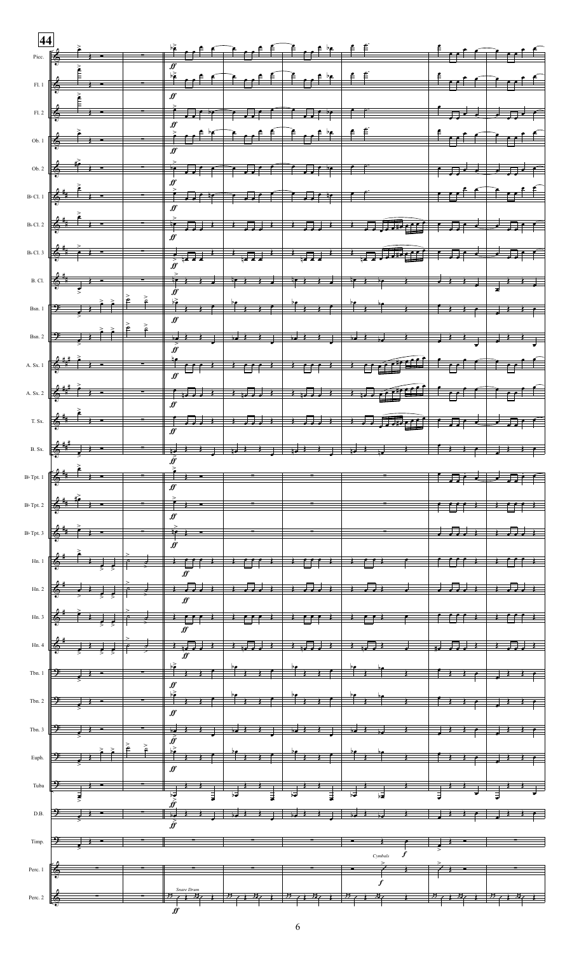| 44                                                                                                                                 |                                                                                                                                                                                                                                                                                                                                                              |                                                                                                                         |                      |                |                                                                                                                                                                                                                                                                                                                                                     |                                                                                                                                                                                                                                                                                                                        |
|------------------------------------------------------------------------------------------------------------------------------------|--------------------------------------------------------------------------------------------------------------------------------------------------------------------------------------------------------------------------------------------------------------------------------------------------------------------------------------------------------------|-------------------------------------------------------------------------------------------------------------------------|----------------------|----------------|-----------------------------------------------------------------------------------------------------------------------------------------------------------------------------------------------------------------------------------------------------------------------------------------------------------------------------------------------------|------------------------------------------------------------------------------------------------------------------------------------------------------------------------------------------------------------------------------------------------------------------------------------------------------------------------|
|                                                                                                                                    |                                                                                                                                                                                                                                                                                                                                                              |                                                                                                                         |                      | $f \circ f$ be |                                                                                                                                                                                                                                                                                                                                                     |                                                                                                                                                                                                                                                                                                                        |
| FI. 1                                                                                                                              |                                                                                                                                                                                                                                                                                                                                                              |                                                                                                                         |                      |                |                                                                                                                                                                                                                                                                                                                                                     | كنبج                                                                                                                                                                                                                                                                                                                   |
| FI. 2 $\frac{1}{2}$                                                                                                                |                                                                                                                                                                                                                                                                                                                                                              | $\sqrt{2}$                                                                                                              |                      |                | $\cdot$ Decker by $\cdot$ .                                                                                                                                                                                                                                                                                                                         |                                                                                                                                                                                                                                                                                                                        |
|                                                                                                                                    |                                                                                                                                                                                                                                                                                                                                                              |                                                                                                                         |                      |                |                                                                                                                                                                                                                                                                                                                                                     |                                                                                                                                                                                                                                                                                                                        |
| Ob. 1                                                                                                                              | $\overline{\phantom{a}}$                                                                                                                                                                                                                                                                                                                                     |                                                                                                                         | $\frac{1}{\sqrt{2}}$ |                |                                                                                                                                                                                                                                                                                                                                                     | $\frac{1}{2}$ of $\frac{1}{2}$ of $\frac{1}{2}$                                                                                                                                                                                                                                                                        |
|                                                                                                                                    | $0b.2$ $6$ $12$                                                                                                                                                                                                                                                                                                                                              |                                                                                                                         |                      |                | $\frac{1}{2}$                                                                                                                                                                                                                                                                                                                                       | $\frac{1}{\sqrt{2}}$                                                                                                                                                                                                                                                                                                   |
|                                                                                                                                    | $B \triangleright$ Cl. 1 $\frac{2 \frac{B}{11}}{1}$                                                                                                                                                                                                                                                                                                          |                                                                                                                         |                      |                | $\vert$ $f$ $D$ $\rightarrow$ $D$ $f$ $\vert$ $f$ $D$ $\rightarrow$ $\vert$ $f$ $\vert$ $f$ $\vert$ $\cdots$                                                                                                                                                                                                                                        |                                                                                                                                                                                                                                                                                                                        |
|                                                                                                                                    | $B > C1.2$ $\frac{1}{2}$                                                                                                                                                                                                                                                                                                                                     |                                                                                                                         |                      |                |                                                                                                                                                                                                                                                                                                                                                     | $\frac{1}{2}$                                                                                                                                                                                                                                                                                                          |
| $B \triangleright C1.3$                                                                                                            | $\leftarrow$                                                                                                                                                                                                                                                                                                                                                 |                                                                                                                         |                      |                |                                                                                                                                                                                                                                                                                                                                                     |                                                                                                                                                                                                                                                                                                                        |
|                                                                                                                                    |                                                                                                                                                                                                                                                                                                                                                              |                                                                                                                         |                      |                |                                                                                                                                                                                                                                                                                                                                                     | $\frac{1}{2}$ , $\frac{1}{2}$ , $\frac{1}{2}$ , $\frac{1}{2}$ , $\frac{1}{2}$ , $\frac{1}{2}$ , $\frac{1}{2}$ , $\frac{1}{2}$ , $\frac{1}{2}$ , $\frac{1}{2}$ , $\frac{1}{2}$ , $\frac{1}{2}$ , $\frac{1}{2}$                                                                                                          |
|                                                                                                                                    | B. Cl. $\begin{array}{ c c c c c }\n\hline\n\text{B. C1.} & \text{C1.} & \text{A} & \text{B1.} \\ \hline\n\text{C1.} & \text{A1.} & \text{A1.} & \text{B1.} \\ \hline\n\text{D1.} & \text{A1.} & \text{B1.} & \text{B1.} \\ \hline\n\end{array}$                                                                                                             |                                                                                                                         |                      |                |                                                                                                                                                                                                                                                                                                                                                     |                                                                                                                                                                                                                                                                                                                        |
|                                                                                                                                    |                                                                                                                                                                                                                                                                                                                                                              |                                                                                                                         |                      |                |                                                                                                                                                                                                                                                                                                                                                     |                                                                                                                                                                                                                                                                                                                        |
|                                                                                                                                    | Bsn. 2 3 $\frac{5}{2}$                                                                                                                                                                                                                                                                                                                                       |                                                                                                                         |                      |                |                                                                                                                                                                                                                                                                                                                                                     | <u> 1948 - 1958 - 1958 - 1958 - 1958 - 1958 - 1958 - 1958 - 1958 - 1958 - 1959 - 1959 - 1959 - 1959 - 1959 - 195</u>                                                                                                                                                                                                   |
|                                                                                                                                    | A. Sx. 1 $\frac{2 \frac{H_{\text{H}}}{1}}{2 \frac{H_{\text{H}}}{1}}$ $\frac{2}{1}$                                                                                                                                                                                                                                                                           |                                                                                                                         |                      |                |                                                                                                                                                                                                                                                                                                                                                     | ┲≐                                                                                                                                                                                                                                                                                                                     |
|                                                                                                                                    | A. Sx. 2 $\left  \frac{2 \frac{11}{11} + 2 \frac{1}{11}}{2 \frac{1}{11}} \right $                                                                                                                                                                                                                                                                            |                                                                                                                         |                      |                |                                                                                                                                                                                                                                                                                                                                                     | ككو                                                                                                                                                                                                                                                                                                                    |
|                                                                                                                                    | T. Sx. $\sqrt{\frac{H_{\text{H}}}{T_{\text{H}}}}$ + $\frac{1}{T_{\text{H}}}$ + $\frac{1}{T_{\text{H}}}$ + $\frac{1}{T_{\text{H}}}$ + $\frac{1}{T_{\text{H}}}$ + $\frac{1}{T_{\text{H}}}$ + $\frac{1}{T_{\text{H}}}$ + $\frac{1}{T_{\text{H}}}$ + $\frac{1}{T_{\text{H}}}$ + $\frac{1}{T_{\text{H}}}$ + $\frac{1}{T_{\text{H}}}$ + $\frac{1}{T_{\text{H}}}$ + |                                                                                                                         |                      |                | $ $ $\left $ $\left $ $\right $ $\left $ $\left $ $\right $ $\left $ $\right $ $\left $ $\left $ $\right $ $\left $ $\left $ $\right $ $\left $ $\left $ $\right $ $\left $ $\left $ $\right $ $\left $ $\left $ $\right $ $\left $ $\left $ $\right $ $\left $ $\left $ $\right $ $\left $ $\left $ $\right $ $\left $ $\left $ $\right $ $\left $ | $\overline{\phantom{a}}$                                                                                                                                                                                                                                                                                               |
|                                                                                                                                    | B. Sx. $\frac{1}{\sqrt{2}}$                                                                                                                                                                                                                                                                                                                                  |                                                                                                                         |                      |                |                                                                                                                                                                                                                                                                                                                                                     | $\Box$                                                                                                                                                                                                                                                                                                                 |
| $B \triangleright$ Tpt. 1 $\left[\begin{array}{ccc} \overline{6} & \overline{5} \\ \overline{6} & \overline{1} \end{array}\right]$ |                                                                                                                                                                                                                                                                                                                                                              |                                                                                                                         |                      |                |                                                                                                                                                                                                                                                                                                                                                     |                                                                                                                                                                                                                                                                                                                        |
| $B \triangleright$ Tpt. 2 $\left \bigotimes_{i=1}^{n} \frac{B_i}{B_i}\right $                                                      |                                                                                                                                                                                                                                                                                                                                                              | $\left( \begin{array}{ccc} \cdot & \cdot & \cdot \\ \cdot & \cdot & \cdot \\ \cdot & \cdot & \cdot \end{array} \right)$ |                      |                |                                                                                                                                                                                                                                                                                                                                                     |                                                                                                                                                                                                                                                                                                                        |
|                                                                                                                                    |                                                                                                                                                                                                                                                                                                                                                              |                                                                                                                         |                      |                |                                                                                                                                                                                                                                                                                                                                                     |                                                                                                                                                                                                                                                                                                                        |
| $B \triangleright$ Tpt. 3                                                                                                          | $\uparrow$ : $\uparrow$                                                                                                                                                                                                                                                                                                                                      | $\sqrt{2}$                                                                                                              |                      |                |                                                                                                                                                                                                                                                                                                                                                     |                                                                                                                                                                                                                                                                                                                        |
|                                                                                                                                    | $\frac{1}{2}$ $\frac{1}{2}$ $\frac{1}{2}$ $\frac{1}{2}$ $\frac{1}{2}$ $\frac{1}{2}$ $\frac{1}{2}$ $\frac{1}{2}$ $\frac{1}{2}$ $\frac{1}{2}$ $\frac{1}{2}$ $\frac{1}{2}$ $\frac{1}{2}$ $\frac{1}{2}$ $\frac{1}{2}$ $\frac{1}{2}$ $\frac{1}{2}$ $\frac{1}{2}$ $\frac{1}{2}$ $\frac{1}{2}$ $\frac{1}{2}$ $\frac{1}{2}$                                          |                                                                                                                         |                      |                |                                                                                                                                                                                                                                                                                                                                                     |                                                                                                                                                                                                                                                                                                                        |
|                                                                                                                                    | $\frac{1}{2}$ $\frac{1}{2}$ $\frac{1}{2}$ $\frac{1}{2}$ $\frac{1}{2}$ $\frac{1}{2}$ $\frac{1}{2}$ $\frac{1}{2}$ $\frac{1}{2}$ $\frac{1}{2}$ $\frac{1}{2}$ $\frac{1}{2}$ $\frac{1}{2}$ $\frac{1}{2}$ $\frac{1}{2}$ $\frac{1}{2}$ $\frac{1}{2}$ $\frac{1}{2}$ $\frac{1}{2}$ $\frac{1}{2}$ $\frac{1}{2}$ $\frac{1}{2}$                                          |                                                                                                                         |                      |                |                                                                                                                                                                                                                                                                                                                                                     |                                                                                                                                                                                                                                                                                                                        |
|                                                                                                                                    | $Hm-3$ $\frac{1}{2}$ $\frac{1}{2}$ $\frac{1}{2}$ $\frac{1}{2}$ $\frac{1}{2}$ $\frac{1}{2}$ $\frac{1}{2}$ $\frac{1}{2}$ $\frac{1}{2}$ $\frac{1}{2}$ $\frac{1}{2}$ $\frac{1}{2}$ $\frac{1}{2}$ $\frac{1}{2}$ $\frac{1}{2}$ $\frac{1}{2}$ $\frac{1}{2}$ $\frac{1}{2}$ $\frac{1}{2}$ $\frac{1}{2}$ $\frac{1}{2}$ $\frac{$                                        |                                                                                                                         |                      |                |                                                                                                                                                                                                                                                                                                                                                     |                                                                                                                                                                                                                                                                                                                        |
|                                                                                                                                    |                                                                                                                                                                                                                                                                                                                                                              |                                                                                                                         |                      |                |                                                                                                                                                                                                                                                                                                                                                     |                                                                                                                                                                                                                                                                                                                        |
|                                                                                                                                    | Tbn. 1 $\frac{9}{2}$ $\frac{?}{ }$                                                                                                                                                                                                                                                                                                                           |                                                                                                                         |                      |                |                                                                                                                                                                                                                                                                                                                                                     | <u> Este de la comparacción de la comparacción de la comparacción de la comparacción de la comparacción de la comp</u>                                                                                                                                                                                                 |
|                                                                                                                                    |                                                                                                                                                                                                                                                                                                                                                              |                                                                                                                         |                      |                |                                                                                                                                                                                                                                                                                                                                                     |                                                                                                                                                                                                                                                                                                                        |
| Tbn. $2$                                                                                                                           |                                                                                                                                                                                                                                                                                                                                                              |                                                                                                                         |                      |                |                                                                                                                                                                                                                                                                                                                                                     | <u> Fritti de l'Article de l'Article de la context de la context de la context de la context de la context de la </u>                                                                                                                                                                                                  |
|                                                                                                                                    | Tbn. 3 $\boxed{2}$ $\rightarrow$ $\rightarrow$                                                                                                                                                                                                                                                                                                               |                                                                                                                         |                      |                |                                                                                                                                                                                                                                                                                                                                                     | $\frac{1}{2}$                                                                                                                                                                                                                                                                                                          |
| ${\hbox{\rm Euph}}.$                                                                                                               |                                                                                                                                                                                                                                                                                                                                                              |                                                                                                                         |                      |                |                                                                                                                                                                                                                                                                                                                                                     |                                                                                                                                                                                                                                                                                                                        |
|                                                                                                                                    |                                                                                                                                                                                                                                                                                                                                                              |                                                                                                                         |                      |                |                                                                                                                                                                                                                                                                                                                                                     | $Tuba$ $\frac{1}{2}$ $\frac{1}{2}$ $\frac{1}{2}$ $\frac{1}{2}$ $\frac{1}{2}$ $\frac{1}{2}$ $\frac{1}{2}$ $\frac{1}{2}$ $\frac{1}{2}$ $\frac{1}{2}$ $\frac{1}{2}$ $\frac{1}{2}$ $\frac{1}{2}$ $\frac{1}{2}$ $\frac{1}{2}$ $\frac{1}{2}$ $\frac{1}{2}$ $\frac{1}{2}$ $\frac{1}{2}$ $\frac{1}{2}$ $\frac{1}{2}$ $\frac{1$ |
|                                                                                                                                    |                                                                                                                                                                                                                                                                                                                                                              | $\frac{1}{2}$                                                                                                           |                      |                | $\frac{1}{2}$ be the total definition of $\frac{1}{2}$                                                                                                                                                                                                                                                                                              | $\frac{1}{2}$                                                                                                                                                                                                                                                                                                          |
| Timp. $\frac{1}{2}$                                                                                                                |                                                                                                                                                                                                                                                                                                                                                              |                                                                                                                         |                      |                |                                                                                                                                                                                                                                                                                                                                                     |                                                                                                                                                                                                                                                                                                                        |
|                                                                                                                                    |                                                                                                                                                                                                                                                                                                                                                              |                                                                                                                         |                      |                |                                                                                                                                                                                                                                                                                                                                                     |                                                                                                                                                                                                                                                                                                                        |
| Perc. 1                                                                                                                            |                                                                                                                                                                                                                                                                                                                                                              | <b>Snare Drum</b>                                                                                                       |                      |                |                                                                                                                                                                                                                                                                                                                                                     |                                                                                                                                                                                                                                                                                                                        |
| Perc. 2                                                                                                                            |                                                                                                                                                                                                                                                                                                                                                              | $f\hspace{-0.1cm}f$                                                                                                     |                      |                |                                                                                                                                                                                                                                                                                                                                                     |                                                                                                                                                                                                                                                                                                                        |

 $\overline{6}$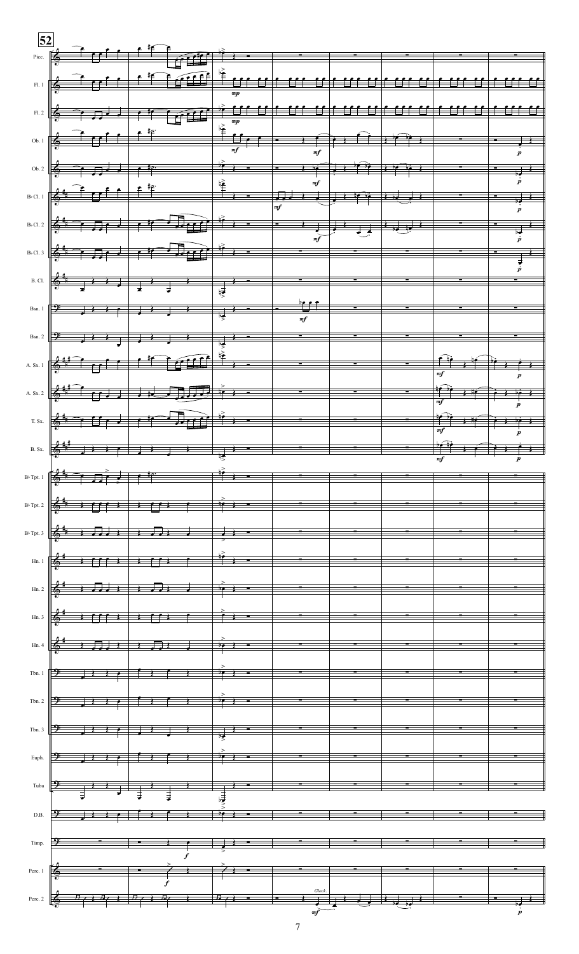| 52                                |                                                                                                                                                                                                                                                                                                                     |                                                                                                                                                                                                                                                                                                                                                                      |                                                                                                                                                                                                                |                                              |                                                                                                   |    |   |
|-----------------------------------|---------------------------------------------------------------------------------------------------------------------------------------------------------------------------------------------------------------------------------------------------------------------------------------------------------------------|----------------------------------------------------------------------------------------------------------------------------------------------------------------------------------------------------------------------------------------------------------------------------------------------------------------------------------------------------------------------|----------------------------------------------------------------------------------------------------------------------------------------------------------------------------------------------------------------|----------------------------------------------|---------------------------------------------------------------------------------------------------|----|---|
|                                   |                                                                                                                                                                                                                                                                                                                     |                                                                                                                                                                                                                                                                                                                                                                      |                                                                                                                                                                                                                |                                              |                                                                                                   |    |   |
| FL1                               |                                                                                                                                                                                                                                                                                                                     | $\frac{1}{\sqrt{1-\frac{1}{2}}}\left\{ \frac{1}{\sqrt{1-\frac{1}{2}}}\right\}$                                                                                                                                                                                                                                                                                       | <u>'É crecele</u>                                                                                                                                                                                              |                                              |                                                                                                   |    |   |
| FL.2                              |                                                                                                                                                                                                                                                                                                                     |                                                                                                                                                                                                                                                                                                                                                                      |                                                                                                                                                                                                                | <u>ur n</u>                                  |                                                                                                   |    |   |
|                                   | Ob. 1 6 ft                                                                                                                                                                                                                                                                                                          |                                                                                                                                                                                                                                                                                                                                                                      | $\frac{1}{2}$                                                                                                                                                                                                  |                                              |                                                                                                   |    |   |
| Ob. $2$                           | ๒                                                                                                                                                                                                                                                                                                                   | $\frac{1}{\sqrt{2}}$ , $\frac{1}{\sqrt{2}}$ , $\frac{1}{\sqrt{2}}$ , $\frac{1}{\sqrt{2}}$ , $\frac{1}{\sqrt{2}}$ , $\frac{1}{\sqrt{2}}$ , $\frac{1}{\sqrt{2}}$ , $\frac{1}{\sqrt{2}}$ , $\frac{1}{\sqrt{2}}$                                                                                                                                                         |                                                                                                                                                                                                                | $\frac{1}{2}$ be<br>$\overline{\phantom{a}}$ |                                                                                                   |    |   |
|                                   | $B_1$ Cl. 1 $\frac{2}{10}$ $\frac{R_1}{10}$ $\frac{R_2}{10}$ $\frac{R_1}{10}$ $\frac{R_2}{10}$ $\frac{R_1}{10}$ $\frac{R_2}{10}$ $\frac{R_1}{10}$                                                                                                                                                                   |                                                                                                                                                                                                                                                                                                                                                                      | $\frac{1}{2}$ $\frac{1}{2}$ $\frac{1}{2}$ $\frac{1}{2}$ $\frac{1}{2}$ $\frac{1}{2}$                                                                                                                            |                                              | $\frac{1}{2}$ $\frac{1}{2}$ $\frac{1}{2}$ $\frac{1}{2}$ $\frac{1}{2}$ $\frac{1}{2}$ $\frac{1}{2}$ |    |   |
|                                   |                                                                                                                                                                                                                                                                                                                     | $B_{\rm B}$ Cl $2$ $\frac{1}{2}$ $\frac{1}{2}$ $\frac{1}{2}$ $\frac{1}{2}$ $\frac{1}{2}$ $\frac{1}{2}$ $\frac{1}{2}$ $\frac{1}{2}$ $\frac{1}{2}$ $\frac{1}{2}$ $\frac{1}{2}$ $\frac{1}{2}$ $\frac{1}{2}$ $\frac{1}{2}$ $\frac{1}{2}$ $\frac{1}{2}$ $\frac{1}{2}$ $\frac{1}{2}$ $\frac{1}{2}$ $\frac{1}{2}$ $\frac{1$                                                 |                                                                                                                                                                                                                |                                              |                                                                                                   |    |   |
|                                   |                                                                                                                                                                                                                                                                                                                     |                                                                                                                                                                                                                                                                                                                                                                      |                                                                                                                                                                                                                |                                              | <del>Ţ.</del>                                                                                     |    |   |
|                                   |                                                                                                                                                                                                                                                                                                                     | $B_{\rm B}$ (1, $\frac{1}{2}$ ) $\frac{1}{2}$ , $\frac{1}{2}$ , $\frac{1}{2}$ , $\frac{1}{2}$ , $\frac{1}{2}$ , $\frac{1}{2}$ , $\frac{1}{2}$ , $\frac{1}{2}$ , $\frac{1}{2}$ , $\frac{1}{2}$ , $\frac{1}{2}$ , $\frac{1}{2}$ , $\frac{1}{2}$ , $\frac{1}{2}$ , $\frac{1}{2}$ , $\frac{1}{2}$ , $\frac{$                                                             |                                                                                                                                                                                                                |                                              |                                                                                                   |    |   |
|                                   |                                                                                                                                                                                                                                                                                                                     | B.Cl. $\frac{2}{3}$                                                                                                                                                                                                                                                                                                                                                  |                                                                                                                                                                                                                |                                              |                                                                                                   |    |   |
|                                   | Bsn. 1 $\frac{1}{2}$                                                                                                                                                                                                                                                                                                |                                                                                                                                                                                                                                                                                                                                                                      |                                                                                                                                                                                                                |                                              |                                                                                                   |    |   |
| Bsn. 2 $\left \frac{1}{2}\right $ |                                                                                                                                                                                                                                                                                                                     |                                                                                                                                                                                                                                                                                                                                                                      |                                                                                                                                                                                                                |                                              |                                                                                                   |    |   |
|                                   |                                                                                                                                                                                                                                                                                                                     | $\mathbf{A}$ Sx. 1 $\mathbf{B}$                                                                                                                                                                                                                                                                                                                                      |                                                                                                                                                                                                                |                                              |                                                                                                   |    |   |
| A. Sx. 2 $\sqrt{4\pi}$            |                                                                                                                                                                                                                                                                                                                     | فسنفش البروج المسابر لمروع أأنسا                                                                                                                                                                                                                                                                                                                                     |                                                                                                                                                                                                                |                                              |                                                                                                   |    |   |
| $\mathbf{T}.$ Sx.                 |                                                                                                                                                                                                                                                                                                                     | $\frac{2}{9}$ $\frac{1}{9}$ $\frac{1}{10}$ $\frac{1}{10}$ $\frac{1}{10}$ $\frac{1}{10}$ $\frac{1}{10}$ $\frac{1}{10}$ $\frac{1}{10}$ $\frac{1}{10}$ $\frac{1}{10}$ $\frac{1}{10}$ $\frac{1}{10}$ $\frac{1}{10}$ $\frac{1}{10}$ $\frac{1}{10}$ $\frac{1}{10}$ $\frac{1}{10}$ $\frac{1}{10}$ $\frac{1}{10}$ $\frac$                                                    |                                                                                                                                                                                                                |                                              |                                                                                                   |    |   |
| B. Sx.                            | $6 + 1 + 1$                                                                                                                                                                                                                                                                                                         | $\frac{1}{2}$ $\frac{1}{2}$ $\frac{1}{2}$ $\frac{1}{2}$ $\frac{1}{2}$                                                                                                                                                                                                                                                                                                |                                                                                                                                                                                                                |                                              |                                                                                                   |    |   |
| $B \triangleright$ Tpt. 1         | $\frac{1}{2}$ $\frac{1}{2}$ $\frac{1}{2}$ $\frac{1}{2}$ $\frac{1}{2}$ $\frac{1}{2}$ $\frac{1}{2}$ $\frac{1}{2}$ $\frac{1}{2}$ $\frac{1}{2}$ $\frac{1}{2}$ $\frac{1}{2}$ $\frac{1}{2}$ $\frac{1}{2}$ $\frac{1}{2}$ $\frac{1}{2}$ $\frac{1}{2}$ $\frac{1}{2}$ $\frac{1}{2}$ $\frac{1}{2}$ $\frac{1}{2}$ $\frac{1}{2}$ |                                                                                                                                                                                                                                                                                                                                                                      |                                                                                                                                                                                                                |                                              |                                                                                                   | mf |   |
|                                   |                                                                                                                                                                                                                                                                                                                     |                                                                                                                                                                                                                                                                                                                                                                      |                                                                                                                                                                                                                |                                              |                                                                                                   |    |   |
| $B \triangleright$ Tpt. 2         |                                                                                                                                                                                                                                                                                                                     | $\frac{1}{2}$ $\frac{1}{2}$ $\frac{1}{2}$ $\frac{1}{2}$ $\frac{1}{2}$ $\frac{1}{2}$ $\frac{1}{2}$ $\frac{1}{2}$ $\frac{1}{2}$ $\frac{1}{2}$ $\frac{1}{2}$ $\frac{1}{2}$ $\frac{1}{2}$ $\frac{1}{2}$ $\frac{1}{2}$ $\frac{1}{2}$ $\frac{1}{2}$ $\frac{1}{2}$ $\frac{1}{2}$ $\frac{1}{2}$ $\frac{1}{2}$ $\frac{1}{2}$                                                  | $\frac{1}{2}$                                                                                                                                                                                                  |                                              |                                                                                                   |    |   |
| $B \triangleright$ Tpt. 3         |                                                                                                                                                                                                                                                                                                                     | $\frac{2}{3}$ $\frac{2}{3}$ $\frac{1}{2}$ $\frac{1}{2}$ $\frac{1}{3}$ $\frac{1}{2}$ $\frac{1}{2}$ $\frac{1}{2}$ $\frac{1}{2}$ $\frac{1}{2}$ $\frac{1}{2}$ $\frac{1}{2}$ $\frac{1}{2}$ $\frac{1}{2}$ $\frac{1}{2}$ $\frac{1}{2}$ $\frac{1}{2}$ $\frac{1}{2}$ $\frac{1}{2}$ $\frac{1}{2}$ $\frac{1}{2}$ $\frac{1}{2}$                                                  |                                                                                                                                                                                                                | $\mathbf{r}$ and $\mathbf{r}$                |                                                                                                   |    |   |
| Hn. 1                             |                                                                                                                                                                                                                                                                                                                     | $\frac{1}{2}$ $\frac{1}{2}$ $\frac{1}{2}$ $\frac{1}{2}$ $\frac{1}{2}$ $\frac{1}{2}$ $\frac{1}{2}$ $\frac{1}{2}$ $\frac{1}{2}$ $\frac{1}{2}$ $\frac{1}{2}$ $\frac{1}{2}$ $\frac{1}{2}$ $\frac{1}{2}$ $\frac{1}{2}$ $\frac{1}{2}$ $\frac{1}{2}$ $\frac{1}{2}$ $\frac{1}{2}$ $\frac{1}{2}$ $\frac{1}{2}$ $\frac{1}{2}$                                                  |                                                                                                                                                                                                                |                                              |                                                                                                   |    |   |
|                                   |                                                                                                                                                                                                                                                                                                                     | $\mathbb{E}_{\mathbb{P}^{n,2}}$ $\left  \frac{2}{\mathbb{P}^{n}}$ $\frac{1}{\mathbb{P}^{n}}$ $\frac{1}{\mathbb{P}^{n}}$ $\frac{1}{\mathbb{P}^{n}}$ $\frac{1}{\mathbb{P}^{n}}$ $\frac{1}{\mathbb{P}^{n}}$ $\frac{1}{\mathbb{P}^{n}}$ $\frac{1}{\mathbb{P}^{n}}$ $\frac{1}{\mathbb{P}^{n}}$ $\frac{1}{\mathbb{P}^{n}}$ $\frac{1}{\mathbb{P}^{n}}$ $\frac{1}{\mathbb{P$ |                                                                                                                                                                                                                |                                              | $\frac{1}{2}$ , $\frac{1}{2}$ , $\frac{1}{2}$ , $\frac{1}{2}$                                     |    |   |
|                                   |                                                                                                                                                                                                                                                                                                                     |                                                                                                                                                                                                                                                                                                                                                                      |                                                                                                                                                                                                                |                                              |                                                                                                   |    |   |
|                                   |                                                                                                                                                                                                                                                                                                                     | $Hn.4$ $\left[\frac{A}{2}$ $\frac{1}{2}$ $\frac{1}{2}$ $\frac{1}{2}$ $\frac{1}{2}$ $\frac{1}{2}$ $\frac{1}{2}$ $\frac{1}{2}$ $\frac{1}{2}$ $\frac{1}{2}$ $\frac{1}{2}$ $\frac{1}{2}$ $\frac{1}{2}$ $\frac{1}{2}$ $\frac{1}{2}$ $\frac{1}{2}$ $\frac{1}{2}$ $\frac{1}{2}$ $\frac{1}{2}$ $\frac{1}{2}$ $\frac{1}{2}$ $\$                                               |                                                                                                                                                                                                                |                                              | $\sim$ $\sim$                                                                                     |    |   |
| Tbn. $1$                          |                                                                                                                                                                                                                                                                                                                     | $\rightarrow$                                                                                                                                                                                                                                                                                                                                                        | $\frac{1}{2}$                                                                                                                                                                                                  |                                              |                                                                                                   |    |   |
| Tbn. $2$                          |                                                                                                                                                                                                                                                                                                                     | $\frac{1}{2}$ $\frac{1}{2}$ $\frac{1}{2}$ $\frac{1}{2}$ $\frac{1}{2}$ $\frac{1}{2}$ $\frac{1}{2}$ $\frac{1}{2}$ $\frac{1}{2}$ $\frac{1}{2}$ $\frac{1}{2}$ $\frac{1}{2}$ $\frac{1}{2}$ $\frac{1}{2}$ $\frac{1}{2}$ $\frac{1}{2}$ $\frac{1}{2}$ $\frac{1}{2}$ $\frac{1}{2}$ $\frac{1}{2}$ $\frac{1}{2}$ $\frac{1}{2}$                                                  |                                                                                                                                                                                                                |                                              |                                                                                                   |    |   |
| Tbn. $3$                          | $\overline{1}$                                                                                                                                                                                                                                                                                                      | $\frac{1}{2}$                                                                                                                                                                                                                                                                                                                                                        | $\begin{array}{c c c c c c} \hline \textbf{1} & \textbf{1} & \textbf{1} & \textbf{1} & \textbf{1} \\ \hline \textbf{2} & \textbf{1} & \textbf{1} & \textbf{1} & \textbf{1} & \textbf{1} \\ \hline \end{array}$ |                                              |                                                                                                   |    |   |
| ${\hbox{\rm Euph}}.$              | $\mathcal{P}$ , $\mathcal{P}$                                                                                                                                                                                                                                                                                       | $\begin{array}{c} \begin{array}{c} \end{array} \end{array}$                                                                                                                                                                                                                                                                                                          | $\rightarrow$                                                                                                                                                                                                  | $\mathbf{r}$ and $\mathbf{r}$                |                                                                                                   |    |   |
| Tuba                              |                                                                                                                                                                                                                                                                                                                     |                                                                                                                                                                                                                                                                                                                                                                      |                                                                                                                                                                                                                |                                              |                                                                                                   |    |   |
| $\mathbf{D}.\mathbf{B}.$          |                                                                                                                                                                                                                                                                                                                     |                                                                                                                                                                                                                                                                                                                                                                      |                                                                                                                                                                                                                |                                              |                                                                                                   |    |   |
| Timp.                             |                                                                                                                                                                                                                                                                                                                     |                                                                                                                                                                                                                                                                                                                                                                      |                                                                                                                                                                                                                |                                              |                                                                                                   |    |   |
| Perc. 1                           |                                                                                                                                                                                                                                                                                                                     |                                                                                                                                                                                                                                                                                                                                                                      |                                                                                                                                                                                                                |                                              |                                                                                                   |    |   |
|                                   |                                                                                                                                                                                                                                                                                                                     | $\left  \begin{array}{c c} \hline \cdot & \cdot & \cdot \\ \hline \cdot & \cdot & \cdot \end{array} \right $                                                                                                                                                                                                                                                         |                                                                                                                                                                                                                | Glock                                        |                                                                                                   |    |   |
| Perc. 2                           |                                                                                                                                                                                                                                                                                                                     |                                                                                                                                                                                                                                                                                                                                                                      | $\overline{\phantom{a}}$                                                                                                                                                                                       |                                              |                                                                                                   |    | p |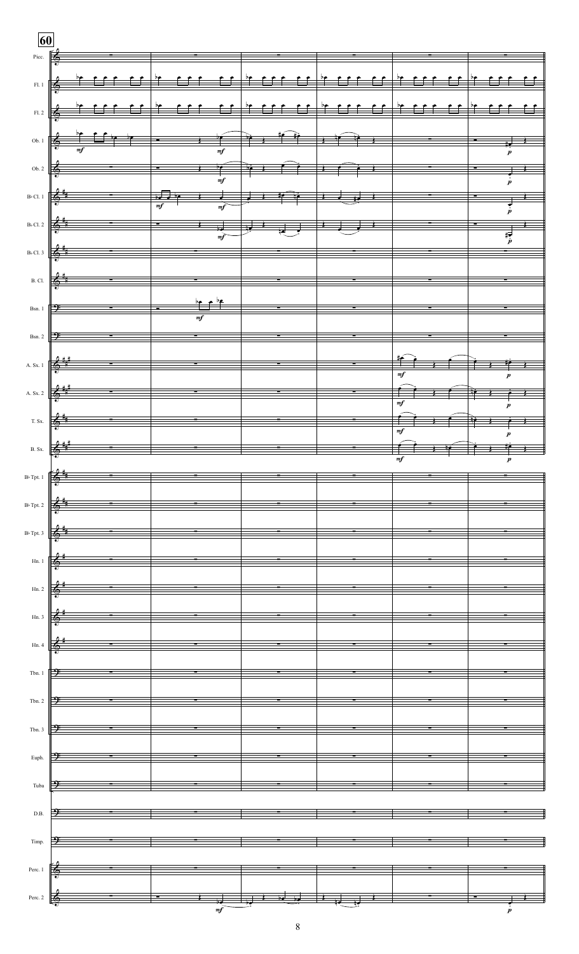| 60                                                            |              |                                                                                                                                                                                                                                                                                                                       |                          |                                                                              |                          |  |  |     |  |                      |  |
|---------------------------------------------------------------|--------------|-----------------------------------------------------------------------------------------------------------------------------------------------------------------------------------------------------------------------------------------------------------------------------------------------------------------------|--------------------------|------------------------------------------------------------------------------|--------------------------|--|--|-----|--|----------------------|--|
| Picc.                                                         |              |                                                                                                                                                                                                                                                                                                                       |                          |                                                                              |                          |  |  |     |  |                      |  |
| FL.1                                                          |              |                                                                                                                                                                                                                                                                                                                       |                          |                                                                              |                          |  |  |     |  |                      |  |
| FI. 2 $\mathbb{R}$                                            |              |                                                                                                                                                                                                                                                                                                                       |                          |                                                                              |                          |  |  |     |  |                      |  |
| Ob. 1                                                         |              | $\frac{b_{\text{p}}}{m\text{p}}$ $\frac{b_{\text{p}}}{m\text{p}}$ $\frac{b_{\text{p}}}{m\text{p}}$ $\frac{b_{\text{p}}}{m\text{p}}$                                                                                                                                                                                   |                          |                                                                              |                          |  |  |     |  |                      |  |
| Ob. 2 $\frac{1}{2}$                                           |              |                                                                                                                                                                                                                                                                                                                       | $\overline{\phantom{a}}$ |                                                                              |                          |  |  |     |  | $\frac{1}{p}$        |  |
|                                                               |              |                                                                                                                                                                                                                                                                                                                       |                          | $\begin{array}{c c}\n\hline\n\downarrow & \downarrow \\ \hline\n\end{array}$ |                          |  |  |     |  |                      |  |
| $\mathrm{B}\flat$ Cl. 1                                       |              |                                                                                                                                                                                                                                                                                                                       | $\frac{b}{\sqrt{m}}$     | $\frac{1}{\frac{1}{m f}}$                                                    | $\overline{\phantom{a}}$ |  |  |     |  |                      |  |
| $B \triangleright C1.2$                                       |              |                                                                                                                                                                                                                                                                                                                       |                          | $\frac{1}{\frac{1}{\frac{1}{n}}$ $\frac{1}{n}$                               | ķ                        |  |  |     |  | $\overrightarrow{p}$ |  |
| $B \triangleright C1.3$                                       |              |                                                                                                                                                                                                                                                                                                                       |                          |                                                                              |                          |  |  |     |  |                      |  |
| B. C1.                                                        |              |                                                                                                                                                                                                                                                                                                                       |                          |                                                                              |                          |  |  |     |  |                      |  |
| Bsn. 1                                                        |              |                                                                                                                                                                                                                                                                                                                       |                          | m f                                                                          |                          |  |  |     |  |                      |  |
| Bsn. 2                                                        |              |                                                                                                                                                                                                                                                                                                                       |                          |                                                                              |                          |  |  |     |  |                      |  |
| A. Sx. 1 $\left  \bigoplus_{n=1}^{\infty}$                    |              |                                                                                                                                                                                                                                                                                                                       |                          |                                                                              |                          |  |  |     |  |                      |  |
| A. Sx. 2 $\frac{2}{3}$                                        |              |                                                                                                                                                                                                                                                                                                                       |                          |                                                                              |                          |  |  | mf  |  |                      |  |
| T. Sx.                                                        |              |                                                                                                                                                                                                                                                                                                                       |                          |                                                                              |                          |  |  |     |  |                      |  |
|                                                               |              |                                                                                                                                                                                                                                                                                                                       |                          |                                                                              |                          |  |  | m f |  |                      |  |
| B. Sx.                                                        |              |                                                                                                                                                                                                                                                                                                                       |                          |                                                                              |                          |  |  |     |  |                      |  |
| $B \triangleright$ Tpt. 1                                     |              |                                                                                                                                                                                                                                                                                                                       |                          |                                                                              |                          |  |  |     |  |                      |  |
|                                                               |              | $B_3$ Tpt. 2 $\frac{2\frac{H_1}{10}}{2}$                                                                                                                                                                                                                                                                              |                          |                                                                              |                          |  |  |     |  |                      |  |
| $B \triangleright$ Tpt. 3 $\frac{2 \frac{H}{2}}{\frac{A}{2}}$ |              |                                                                                                                                                                                                                                                                                                                       |                          |                                                                              |                          |  |  |     |  |                      |  |
|                                                               |              | $Hn.1$ $\frac{1}{2}$ $\frac{1}{2}$ $\frac{1}{2}$ $\frac{1}{2}$ $\frac{1}{2}$ $\frac{1}{2}$ $\frac{1}{2}$ $\frac{1}{2}$ $\frac{1}{2}$ $\frac{1}{2}$ $\frac{1}{2}$ $\frac{1}{2}$ $\frac{1}{2}$ $\frac{1}{2}$ $\frac{1}{2}$ $\frac{1}{2}$ $\frac{1}{2}$ $\frac{1}{2}$ $\frac{1}{2}$ $\frac{1}{2}$ $\frac{1}{2}$ $\frac{$ |                          |                                                                              |                          |  |  |     |  |                      |  |
|                                                               |              | $Hn. 2$ $\frac{24}{9}$                                                                                                                                                                                                                                                                                                |                          |                                                                              |                          |  |  |     |  |                      |  |
|                                                               |              | $Hn.3$ $\frac{27}{9}$                                                                                                                                                                                                                                                                                                 |                          |                                                                              |                          |  |  |     |  |                      |  |
|                                                               |              | $Hn.4$ $\frac{24}{9}$                                                                                                                                                                                                                                                                                                 |                          |                                                                              |                          |  |  |     |  |                      |  |
|                                                               |              | Tbn. 1 $\frac{1}{2}$ $\frac{1}{2}$ $\frac{1}{2}$ $\frac{1}{2}$ $\frac{1}{2}$ $\frac{1}{2}$ $\frac{1}{2}$ $\frac{1}{2}$ $\frac{1}{2}$ $\frac{1}{2}$ $\frac{1}{2}$ $\frac{1}{2}$ $\frac{1}{2}$ $\frac{1}{2}$ $\frac{1}{2}$ $\frac{1}{2}$ $\frac{1}{2}$ $\frac{1}{2}$ $\frac{1}{2}$ $\frac{1}{2}$ $\frac{1}{2}$ $\frac{$ |                          |                                                                              |                          |  |  |     |  |                      |  |
| Tbn. 2 $\left \sum_{i=1}^{n} x_i\right $                      |              |                                                                                                                                                                                                                                                                                                                       |                          |                                                                              |                          |  |  |     |  |                      |  |
| Tbn. 3 $\boxed{2}$                                            |              |                                                                                                                                                                                                                                                                                                                       |                          |                                                                              |                          |  |  |     |  |                      |  |
|                                                               |              |                                                                                                                                                                                                                                                                                                                       |                          |                                                                              |                          |  |  |     |  |                      |  |
| Euph.                                                         |              |                                                                                                                                                                                                                                                                                                                       |                          |                                                                              |                          |  |  |     |  |                      |  |
| Tuba                                                          |              |                                                                                                                                                                                                                                                                                                                       |                          |                                                                              |                          |  |  |     |  |                      |  |
| D.B.                                                          |              |                                                                                                                                                                                                                                                                                                                       |                          |                                                                              |                          |  |  |     |  |                      |  |
| Timp.                                                         | $\mathbf{P}$ |                                                                                                                                                                                                                                                                                                                       |                          |                                                                              |                          |  |  |     |  |                      |  |
| Perc. 1                                                       |              |                                                                                                                                                                                                                                                                                                                       |                          |                                                                              |                          |  |  |     |  |                      |  |
| Perc. 2                                                       |              |                                                                                                                                                                                                                                                                                                                       |                          |                                                                              |                          |  |  |     |  |                      |  |
|                                                               |              |                                                                                                                                                                                                                                                                                                                       |                          | $m\bar{f}$                                                                   |                          |  |  |     |  | $\boldsymbol{p}$     |  |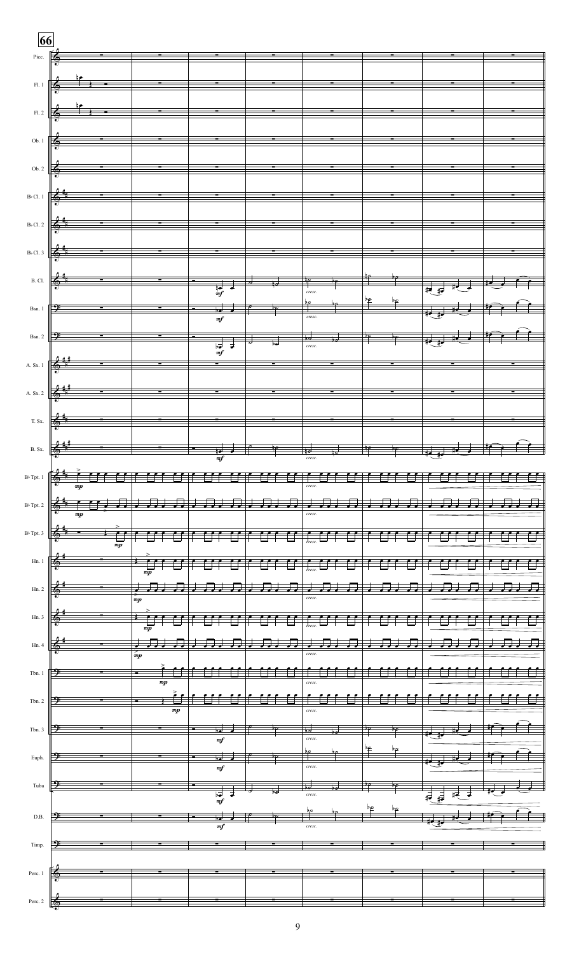| 66                                             |                            |    |        |                                                                                                                                                                                                     |                                            |                                                                                                                                                                                                                                                                                                                                                                                                                      |                 |  |                                           |                                                                                                                                                                                                                                                                                  |                      |                     |                          |                           |                          |   |                                                    |                            |                         |               |              |                                            |   |              |   |              |
|------------------------------------------------|----------------------------|----|--------|-----------------------------------------------------------------------------------------------------------------------------------------------------------------------------------------------------|--------------------------------------------|----------------------------------------------------------------------------------------------------------------------------------------------------------------------------------------------------------------------------------------------------------------------------------------------------------------------------------------------------------------------------------------------------------------------|-----------------|--|-------------------------------------------|----------------------------------------------------------------------------------------------------------------------------------------------------------------------------------------------------------------------------------------------------------------------------------|----------------------|---------------------|--------------------------|---------------------------|--------------------------|---|----------------------------------------------------|----------------------------|-------------------------|---------------|--------------|--------------------------------------------|---|--------------|---|--------------|
| $\rm Picc.$                                    |                            |    |        |                                                                                                                                                                                                     |                                            |                                                                                                                                                                                                                                                                                                                                                                                                                      |                 |  |                                           |                                                                                                                                                                                                                                                                                  |                      |                     |                          |                           |                          |   |                                                    |                            |                         |               |              |                                            |   |              |   |              |
| FL 1                                           |                            |    |        |                                                                                                                                                                                                     |                                            |                                                                                                                                                                                                                                                                                                                                                                                                                      |                 |  |                                           |                                                                                                                                                                                                                                                                                  |                      |                     |                          |                           |                          |   |                                                    |                            |                         |               |              |                                            |   |              |   |              |
| Fl. 2 $\frac{1}{2}$                            |                            |    | $\sim$ |                                                                                                                                                                                                     |                                            |                                                                                                                                                                                                                                                                                                                                                                                                                      | $\blacksquare$  |  |                                           | $\blacksquare$                                                                                                                                                                                                                                                                   |                      |                     |                          |                           |                          |   |                                                    |                            |                         |               |              |                                            |   |              |   |              |
|                                                |                            |    |        |                                                                                                                                                                                                     |                                            |                                                                                                                                                                                                                                                                                                                                                                                                                      |                 |  |                                           |                                                                                                                                                                                                                                                                                  |                      |                     |                          |                           |                          |   |                                                    |                            |                         |               |              |                                            |   |              |   |              |
| Ob. 1                                          |                            |    |        |                                                                                                                                                                                                     |                                            |                                                                                                                                                                                                                                                                                                                                                                                                                      |                 |  |                                           |                                                                                                                                                                                                                                                                                  |                      |                     |                          |                           |                          |   |                                                    |                            |                         |               |              |                                            |   |              |   |              |
| Ob. 2 $\frac{1}{2}$                            |                            |    |        |                                                                                                                                                                                                     |                                            |                                                                                                                                                                                                                                                                                                                                                                                                                      |                 |  |                                           |                                                                                                                                                                                                                                                                                  |                      |                     |                          |                           |                          |   |                                                    |                            |                         |               |              |                                            |   |              |   |              |
| $B \triangleright C1.1$ $\theta$ $\frac{1}{2}$ |                            |    |        |                                                                                                                                                                                                     |                                            |                                                                                                                                                                                                                                                                                                                                                                                                                      |                 |  |                                           |                                                                                                                                                                                                                                                                                  |                      |                     |                          |                           |                          |   |                                                    |                            |                         |               |              |                                            |   |              |   |              |
|                                                |                            |    |        | $B \triangleright C1.2$ $\frac{L}{\sqrt{2}}$                                                                                                                                                        |                                            |                                                                                                                                                                                                                                                                                                                                                                                                                      |                 |  |                                           |                                                                                                                                                                                                                                                                                  |                      |                     |                          |                           |                          |   |                                                    |                            |                         |               |              |                                            |   |              |   |              |
| $B \triangleright C1.3$                        |                            |    |        |                                                                                                                                                                                                     |                                            |                                                                                                                                                                                                                                                                                                                                                                                                                      |                 |  |                                           |                                                                                                                                                                                                                                                                                  |                      |                     |                          |                           |                          |   |                                                    |                            |                         |               |              |                                            |   |              |   |              |
| B. C1.                                         |                            |    |        |                                                                                                                                                                                                     |                                            |                                                                                                                                                                                                                                                                                                                                                                                                                      |                 |  |                                           | $\begin{array}{c c c c c} \hline \text{---} & \text{---} & \text{---} \\ & & \text{---} & \text{---} \\ & & \text{---} & \text{---} \\ & & \text{---} & \text{---} & \text{---} \\ \hline \end{array}$                                                                           |                      |                     |                          | <u>ite</u>                |                          | 季 |                                                    |                            |                         |               |              | $\frac{1}{k}$                              |   |              |   |              |
| $_{\rm Bsn.}$ 1                                |                            |    |        |                                                                                                                                                                                                     |                                            |                                                                                                                                                                                                                                                                                                                                                                                                                      |                 |  | $rac{1}{\sqrt{1+\frac{1}{n}}}\frac{1}{n}$ |                                                                                                                                                                                                                                                                                  |                      |                     |                          | $\frac{1}{\text{cresc.}}$ |                          |   |                                                    | $\frac{p_{\rho}}{p}$       |                         |               |              |                                            |   |              |   |              |
|                                                |                            |    |        |                                                                                                                                                                                                     |                                            |                                                                                                                                                                                                                                                                                                                                                                                                                      |                 |  |                                           |                                                                                                                                                                                                                                                                                  |                      |                     |                          | cresc                     |                          |   |                                                    |                            |                         |               |              |                                            |   |              | Ħ |              |
| Bsn. 2                                         |                            |    |        |                                                                                                                                                                                                     |                                            |                                                                                                                                                                                                                                                                                                                                                                                                                      |                 |  |                                           | $\begin{array}{c c c c c} \hline \text{ } & \text{ } & \text{ } & \text{ } \\ \hline \text{ } & \text{ } & \text{ } & \text{ } & \text{ } \\ \text{ } & \text{ } & \text{ } & \text{ } & \text{ } \\ \text{ } & \text{ } & \text{ } & \text{ } & \text{ } \\ \hline \end{array}$ |                      | $\overline{b}$      |                          |                           |                          |   |                                                    | $\mathbb{P}^{\mathcal{P}}$ |                         | $\frac{1}{2}$ |              | $\frac{1}{\sqrt{1-\frac{1}{2}}}$           |   |              |   |              |
| A. Sx. $1$                                     | $\frac{2\frac{11}{10}}{2}$ |    |        |                                                                                                                                                                                                     |                                            |                                                                                                                                                                                                                                                                                                                                                                                                                      |                 |  |                                           |                                                                                                                                                                                                                                                                                  |                      |                     |                          |                           |                          |   |                                                    |                            |                         |               |              |                                            |   |              |   |              |
| A. Sx. 2 $\frac{2 \frac{H}{2}}{2}$             |                            |    |        |                                                                                                                                                                                                     |                                            |                                                                                                                                                                                                                                                                                                                                                                                                                      |                 |  |                                           |                                                                                                                                                                                                                                                                                  |                      |                     |                          |                           |                          |   |                                                    |                            |                         |               |              |                                            |   |              |   |              |
| $\mathbf{T}$ Sx.                               | $\frac{2\pi}{3}$           |    |        |                                                                                                                                                                                                     |                                            | $\overline{\phantom{0}}$                                                                                                                                                                                                                                                                                                                                                                                             |                 |  |                                           |                                                                                                                                                                                                                                                                                  |                      |                     |                          |                           |                          |   |                                                    |                            |                         |               |              |                                            |   |              |   |              |
|                                                |                            |    |        | B. Sx. $\frac{2}{\sqrt{3}}$                                                                                                                                                                         |                                            |                                                                                                                                                                                                                                                                                                                                                                                                                      |                 |  |                                           |                                                                                                                                                                                                                                                                                  | $\equiv$ f $\hat{ }$ | 平                   |                          | $\overline{\phantom{a}}$  |                          |   |                                                    | <u>lip</u>                 |                         | $\frac{b}{2}$ |              | $\frac{1}{\sqrt{2}}$                       |   |              |   |              |
| $\rm B\flat$ Tpt. 1                            |                            | mp |        |                                                                                                                                                                                                     |                                            |                                                                                                                                                                                                                                                                                                                                                                                                                      |                 |  |                                           |                                                                                                                                                                                                                                                                                  |                      |                     |                          | cresc.                    |                          |   |                                                    |                            |                         |               |              |                                            |   |              |   |              |
| $\rm B\textsc{i}$ Tpt. 2                       |                            |    |        | $C \leftarrow \overline{D} \leftarrow \overline{D} \leftarrow \overline{D} \leftarrow \overline{D} \leftarrow \overline{D} \leftarrow \overline{D} \leftarrow \overline{D} \leftarrow \overline{D}$ |                                            |                                                                                                                                                                                                                                                                                                                                                                                                                      |                 |  |                                           |                                                                                                                                                                                                                                                                                  |                      |                     |                          | cresc.                    |                          |   | $\sqrt{2}$                                         |                            |                         |               |              |                                            |   |              |   | 叧            |
| $B \triangleright$ Tpt. 3                      |                            |    |        | $\begin{array}{c}\n\bullet \\ \hline\n\text{mp}\n\end{array}$                                                                                                                                       |                                            |                                                                                                                                                                                                                                                                                                                                                                                                                      |                 |  |                                           |                                                                                                                                                                                                                                                                                  |                      |                     |                          |                           |                          |   |                                                    |                            |                         |               | ≝1           |                                            |   | $\Box$       |   | $\mathbf{C}$ |
| Hn. 1                                          |                            |    |        |                                                                                                                                                                                                     |                                            | $\frac{1}{\frac{1}{\frac{1}{\frac{1}{1-\frac{1}{1-\frac{1}{1-\frac{1}{1-\frac{1}{1-\frac{1}{1-\frac{1}{1-\frac{1}{1-\frac{1}{1-\frac{1}{1-\frac{1}{1-\frac{1}{1-\frac{1}{1-\frac{1}{1-\frac{1}{1-\frac{1}{1-\frac{1}{1-\frac{1}{1-\frac{1}{1-\frac{1}{1-\frac{1}{1-\frac{1}{1-\frac{1}{1-\frac{1}{1-\frac{1}{1-\frac{1}{1-\frac{1}{1-\frac{1}{1-\frac{1}{1-\frac{1}{1-\frac{1}{1-\frac{1}{1-\frac{1}{1-\frac{1}{1-\$ |                 |  |                                           |                                                                                                                                                                                                                                                                                  |                      |                     |                          |                           | $\blacksquare$           |   |                                                    |                            |                         |               |              |                                            |   |              |   |              |
| Hn. 2                                          |                            |    |        |                                                                                                                                                                                                     | $\frac{1}{\frac{2}{mp}}$                   |                                                                                                                                                                                                                                                                                                                                                                                                                      |                 |  |                                           |                                                                                                                                                                                                                                                                                  |                      |                     | $\overline{\phantom{a}}$ | cresc                     |                          |   |                                                    |                            |                         |               |              |                                            |   |              |   |              |
| Hn. $3$                                        |                            |    |        |                                                                                                                                                                                                     |                                            | $\frac{1}{mp}$                                                                                                                                                                                                                                                                                                                                                                                                       |                 |  |                                           | $\mathfrak{C}$                                                                                                                                                                                                                                                                   |                      | $\cdot \cdot \cdot$ | $ \mathbf{f}^{\star} $   |                           |                          |   | $\frac{1}{\text{c} \cdot \text{c} \cdot \text{c}}$ |                            | $\cdot$ $\cdot$ $\cdot$ |               | $\mathbf{C}$ |                                            |   | $\mathbf{C}$ |   | $\Box$       |
| Hn.4                                           |                            |    |        |                                                                                                                                                                                                     | $\overline{\phantom{a}}$<br>$\frac{p}{mp}$ | 万                                                                                                                                                                                                                                                                                                                                                                                                                    |                 |  |                                           |                                                                                                                                                                                                                                                                                  |                      |                     | $\overline{\phantom{a}}$ | cresc.                    | $\overline{\phantom{a}}$ |   |                                                    |                            |                         |               |              |                                            |   |              |   |              |
| Tbn. 1                                         |                            |    |        |                                                                                                                                                                                                     |                                            | mp                                                                                                                                                                                                                                                                                                                                                                                                                   |                 |  |                                           |                                                                                                                                                                                                                                                                                  |                      |                     |                          | cresc                     |                          |   |                                                    |                            |                         |               |              |                                            |   |              |   |              |
| Tbn. 2                                         |                            |    |        |                                                                                                                                                                                                     |                                            |                                                                                                                                                                                                                                                                                                                                                                                                                      | $\mathfrak{m}p$ |  |                                           |                                                                                                                                                                                                                                                                                  |                      |                     |                          | cresc.                    |                          |   |                                                    |                            |                         |               |              |                                            |   |              |   |              |
| Tbn. 3                                         |                            |    |        |                                                                                                                                                                                                     |                                            |                                                                                                                                                                                                                                                                                                                                                                                                                      |                 |  | इ≢                                        |                                                                                                                                                                                                                                                                                  |                      |                     |                          | $\overline{\phantom{a}}$  |                          |   |                                                    |                            |                         |               |              | <b>FU</b>                                  |   |              |   |              |
| Euph.                                          |                            |    |        |                                                                                                                                                                                                     |                                            |                                                                                                                                                                                                                                                                                                                                                                                                                      |                 |  | mf<br>$\overline{\phantom{a}}$            |                                                                                                                                                                                                                                                                                  |                      |                     |                          | cresc                     |                          |   |                                                    |                            |                         |               |              |                                            | ⋥ |              |   |              |
|                                                |                            |    |        |                                                                                                                                                                                                     |                                            |                                                                                                                                                                                                                                                                                                                                                                                                                      |                 |  | m f                                       |                                                                                                                                                                                                                                                                                  |                      |                     |                          | cresc.                    |                          |   |                                                    |                            |                         |               |              | $\overline{\overline{12}}$ $\overline{12}$ |   |              |   |              |
| Tuba                                           |                            |    |        |                                                                                                                                                                                                     |                                            |                                                                                                                                                                                                                                                                                                                                                                                                                      |                 |  | 급<br>m f                                  |                                                                                                                                                                                                                                                                                  |                      |                     |                          | cresc.                    |                          |   |                                                    |                            |                         |               |              | 譚                                          | 莳 |              |   |              |
| D.B.                                           |                            |    |        |                                                                                                                                                                                                     |                                            |                                                                                                                                                                                                                                                                                                                                                                                                                      |                 |  | m f                                       |                                                                                                                                                                                                                                                                                  |                      |                     |                          | cresc.                    |                          |   |                                                    |                            |                         |               |              | 寿                                          |   |              |   |              |
| Timp.                                          |                            |    |        |                                                                                                                                                                                                     |                                            |                                                                                                                                                                                                                                                                                                                                                                                                                      |                 |  |                                           |                                                                                                                                                                                                                                                                                  |                      |                     |                          |                           |                          |   |                                                    |                            |                         |               |              |                                            |   |              |   |              |
| Perc. 1                                        |                            |    |        |                                                                                                                                                                                                     |                                            |                                                                                                                                                                                                                                                                                                                                                                                                                      |                 |  |                                           |                                                                                                                                                                                                                                                                                  |                      |                     |                          |                           |                          |   |                                                    |                            |                         |               |              |                                            |   |              |   |              |
| Perc. 2                                        |                            |    |        |                                                                                                                                                                                                     |                                            |                                                                                                                                                                                                                                                                                                                                                                                                                      |                 |  |                                           |                                                                                                                                                                                                                                                                                  |                      |                     |                          |                           |                          |   |                                                    |                            |                         |               |              |                                            |   |              |   |              |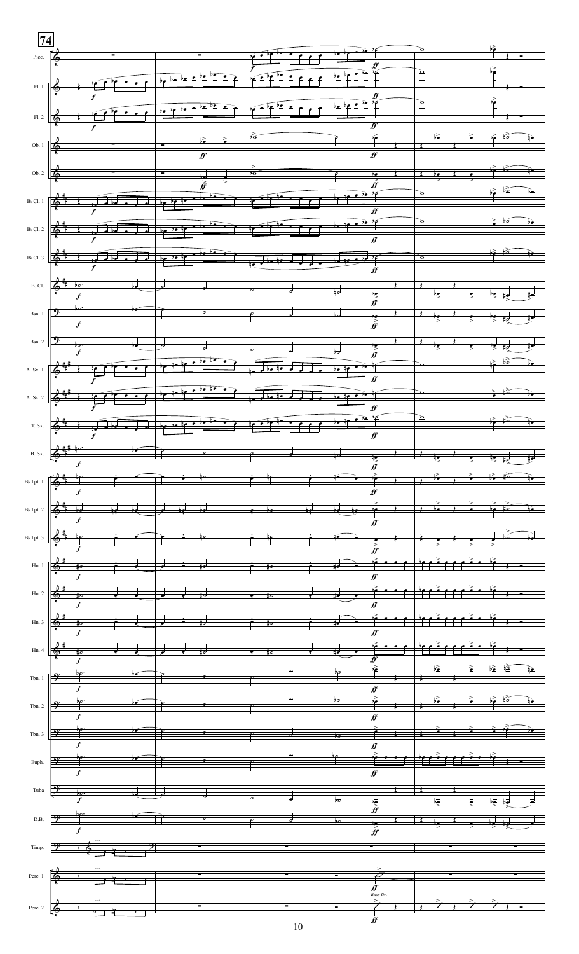| 74                                                                                                                                                                                                                                       |                                |                                                                      |                          |                                                                                           |  |                                                                                                          |                                                                                                                                                                                                                                                                                                                                                                                                   |  |    |  |                  |               |               |     |  |                             |
|------------------------------------------------------------------------------------------------------------------------------------------------------------------------------------------------------------------------------------------|--------------------------------|----------------------------------------------------------------------|--------------------------|-------------------------------------------------------------------------------------------|--|----------------------------------------------------------------------------------------------------------|---------------------------------------------------------------------------------------------------------------------------------------------------------------------------------------------------------------------------------------------------------------------------------------------------------------------------------------------------------------------------------------------------|--|----|--|------------------|---------------|---------------|-----|--|-----------------------------|
|                                                                                                                                                                                                                                          |                                |                                                                      |                          |                                                                                           |  |                                                                                                          |                                                                                                                                                                                                                                                                                                                                                                                                   |  |    |  |                  |               |               |     |  |                             |
| Fl.1                                                                                                                                                                                                                                     |                                |                                                                      |                          |                                                                                           |  |                                                                                                          |                                                                                                                                                                                                                                                                                                                                                                                                   |  |    |  |                  |               |               |     |  |                             |
|                                                                                                                                                                                                                                          |                                |                                                                      |                          |                                                                                           |  |                                                                                                          |                                                                                                                                                                                                                                                                                                                                                                                                   |  |    |  | $\frac{1}{2}$    |               |               |     |  |                             |
| Ob. 1                                                                                                                                                                                                                                    |                                |                                                                      |                          |                                                                                           |  |                                                                                                          |                                                                                                                                                                                                                                                                                                                                                                                                   |  |    |  |                  |               |               |     |  |                             |
| Ob. 2                                                                                                                                                                                                                                    |                                |                                                                      |                          |                                                                                           |  |                                                                                                          |                                                                                                                                                                                                                                                                                                                                                                                                   |  |    |  |                  |               |               |     |  |                             |
|                                                                                                                                                                                                                                          |                                |                                                                      |                          | $\overrightarrow{v}$ , $\overrightarrow{v}$ , $\overrightarrow{v}$ , $\overrightarrow{v}$ |  |                                                                                                          |                                                                                                                                                                                                                                                                                                                                                                                                   |  |    |  |                  |               |               |     |  |                             |
| $B \triangleright C1.1$                                                                                                                                                                                                                  |                                |                                                                      |                          |                                                                                           |  |                                                                                                          |                                                                                                                                                                                                                                                                                                                                                                                                   |  |    |  |                  |               |               |     |  |                             |
| $B \triangleright C1.2$                                                                                                                                                                                                                  |                                |                                                                      |                          |                                                                                           |  |                                                                                                          |                                                                                                                                                                                                                                                                                                                                                                                                   |  |    |  |                  |               |               |     |  |                             |
| B, Cl. 3 $\frac{1}{2}$ $\frac{1}{2}$ $\frac{1}{2}$ $\frac{1}{2}$ $\frac{1}{2}$ $\frac{1}{2}$ $\frac{1}{2}$ $\frac{1}{2}$ $\frac{1}{2}$ $\frac{1}{2}$ $\frac{1}{2}$ $\frac{1}{2}$ $\frac{1}{2}$ $\frac{1}{2}$ $\frac{1}{2}$ $\frac{1}{2}$ |                                |                                                                      |                          |                                                                                           |  |                                                                                                          |                                                                                                                                                                                                                                                                                                                                                                                                   |  |    |  |                  |               |               |     |  |                             |
| $\, {\bf B}.\, {\bf Cl}.\,$                                                                                                                                                                                                              | $\int_{0}^{\frac{\pi}{4}}$ be: |                                                                      | $\overline{\phantom{a}}$ |                                                                                           |  |                                                                                                          |                                                                                                                                                                                                                                                                                                                                                                                                   |  |    |  |                  |               |               |     |  |                             |
| Bsn. 1                                                                                                                                                                                                                                   |                                |                                                                      |                          |                                                                                           |  |                                                                                                          |                                                                                                                                                                                                                                                                                                                                                                                                   |  |    |  |                  |               |               |     |  |                             |
| Bsn. 2                                                                                                                                                                                                                                   |                                |                                                                      |                          |                                                                                           |  |                                                                                                          |                                                                                                                                                                                                                                                                                                                                                                                                   |  |    |  |                  |               |               |     |  |                             |
| A. Sx. 1                                                                                                                                                                                                                                 |                                |                                                                      |                          |                                                                                           |  |                                                                                                          |                                                                                                                                                                                                                                                                                                                                                                                                   |  |    |  |                  |               |               |     |  |                             |
| A. Sx. 2 $\sqrt{6}$                                                                                                                                                                                                                      |                                |                                                                      |                          |                                                                                           |  |                                                                                                          | <u>to to to a second control</u>                                                                                                                                                                                                                                                                                                                                                                  |  |    |  |                  |               |               |     |  |                             |
| T. Sx.                                                                                                                                                                                                                                   |                                |                                                                      |                          |                                                                                           |  | $\overrightarrow{e}$ be $\overrightarrow{e}$ and $\overrightarrow{e}$ be the $\overrightarrow{e}$ be the |                                                                                                                                                                                                                                                                                                                                                                                                   |  |    |  |                  |               |               |     |  |                             |
| B. Sx.                                                                                                                                                                                                                                   |                                |                                                                      |                          |                                                                                           |  |                                                                                                          |                                                                                                                                                                                                                                                                                                                                                                                                   |  |    |  |                  |               |               |     |  |                             |
|                                                                                                                                                                                                                                          |                                |                                                                      |                          |                                                                                           |  |                                                                                                          | $\mathbf{B}_9$ Tpt. 1 $\begin{bmatrix} \frac{1}{2} & \frac{1}{2} & \frac{1}{2} & \frac{1}{2} & \frac{1}{2} & \frac{1}{2} & \frac{1}{2} & \frac{1}{2} & \frac{1}{2} & \frac{1}{2} & \frac{1}{2} & \frac{1}{2} & \frac{1}{2} & \frac{1}{2} & \frac{1}{2} & \frac{1}{2} & \frac{1}{2} & \frac{1}{2} & \frac{1}{2} & \frac{1}{2} & \frac{1}{2} & \frac{1}{2} & \frac{1}{2} & \frac{1}{2} & \frac{1}{$ |  |    |  |                  |               |               |     |  |                             |
|                                                                                                                                                                                                                                          |                                |                                                                      |                          |                                                                                           |  |                                                                                                          |                                                                                                                                                                                                                                                                                                                                                                                                   |  |    |  |                  |               |               |     |  |                             |
|                                                                                                                                                                                                                                          |                                |                                                                      |                          |                                                                                           |  |                                                                                                          |                                                                                                                                                                                                                                                                                                                                                                                                   |  |    |  |                  |               |               |     |  |                             |
|                                                                                                                                                                                                                                          |                                |                                                                      |                          |                                                                                           |  |                                                                                                          | $\frac{1}{10}$ $\frac{1}{10}$ $\frac{1}{10}$ $\frac{1}{10}$ $\frac{1}{10}$ $\frac{1}{10}$ $\frac{1}{10}$ $\frac{1}{10}$ $\frac{1}{10}$ $\frac{1}{10}$ $\frac{1}{10}$ $\frac{1}{10}$ $\frac{1}{10}$ $\frac{1}{10}$ $\frac{1}{10}$ $\frac{1}{10}$ $\frac{1}{10}$ $\frac{1}{10}$ $\frac{1}{10}$ $\frac{1}{10}$                                                                                       |  |    |  |                  |               |               |     |  |                             |
|                                                                                                                                                                                                                                          |                                |                                                                      |                          |                                                                                           |  |                                                                                                          |                                                                                                                                                                                                                                                                                                                                                                                                   |  |    |  |                  |               |               |     |  |                             |
|                                                                                                                                                                                                                                          |                                |                                                                      |                          |                                                                                           |  |                                                                                                          |                                                                                                                                                                                                                                                                                                                                                                                                   |  |    |  |                  |               |               |     |  |                             |
|                                                                                                                                                                                                                                          |                                |                                                                      |                          |                                                                                           |  |                                                                                                          | Hn. 3 $\left \frac{p^{2}}{3}\right ^{2}$ $\frac{p^{2}}{4}$ $\frac{p^{2}}{4}$ $\frac{p^{2}}{4}$ $\frac{p^{2}}{4}$ $\frac{p^{2}}{4}$ $\frac{p^{2}}{4}$ $\frac{p^{2}}{4}$ $\frac{p^{2}}{4}$ $\frac{p^{2}}{4}$ $\frac{p^{2}}{4}$ $\frac{p^{2}}{4}$ $\frac{p^{2}}{4}$ $\frac{p^{2}}{4}$ $\frac{p^{2}}{4}$ $\frac{p^{2}}{4}$                                                                            |  |    |  |                  |               |               |     |  |                             |
|                                                                                                                                                                                                                                          |                                |                                                                      |                          |                                                                                           |  |                                                                                                          | $\frac{b\rho}{f}$ , and the set of $\frac{b\rho}{f}$ , $\frac{b\rho}{f}$ , $\frac{b\rho}{f}$ , $\frac{b\rho}{f}$ , $\frac{b\rho}{f}$ , $\frac{b\rho}{f}$ , $\frac{b\rho}{f}$ , $\frac{b\rho}{f}$ , $\frac{b\rho}{f}$ , $\frac{b\rho}{f}$ , $\frac{b\rho}{f}$ , $\frac{b\rho}{f}$ , $\frac{b\rho}{f}$ , $\frac{b\rho}{f}$                                                                          |  |    |  |                  |               |               |     |  |                             |
| Tbn. 1                                                                                                                                                                                                                                   |                                |                                                                      |                          |                                                                                           |  |                                                                                                          |                                                                                                                                                                                                                                                                                                                                                                                                   |  |    |  |                  |               |               |     |  |                             |
| Tbn. 2 $\left \frac{1}{2}\right $                                                                                                                                                                                                        |                                |                                                                      |                          |                                                                                           |  |                                                                                                          | $\frac{1}{2}$                                                                                                                                                                                                                                                                                                                                                                                     |  |    |  |                  |               |               |     |  |                             |
| Tbn. 3                                                                                                                                                                                                                                   |                                |                                                                      |                          |                                                                                           |  |                                                                                                          |                                                                                                                                                                                                                                                                                                                                                                                                   |  |    |  |                  |               |               |     |  |                             |
| ${\hbox{\rm Euph}}.$                                                                                                                                                                                                                     |                                |                                                                      |                          |                                                                                           |  |                                                                                                          | $\frac{1}{2}$ and $\frac{1}{2}$ and $\frac{1}{2}$ and $\frac{1}{2}$ and $\frac{1}{2}$ and $\frac{1}{2}$ and $\frac{1}{2}$ and $\frac{1}{2}$ and $\frac{1}{2}$ and $\frac{1}{2}$ and $\frac{1}{2}$ and $\frac{1}{2}$ and $\frac{1}{2}$ and $\frac{1}{2}$ and $\frac{1}{2}$ and $\frac{1}{2}$ a                                                                                                     |  |    |  |                  |               |               |     |  |                             |
| Tuba                                                                                                                                                                                                                                     |                                |                                                                      |                          |                                                                                           |  |                                                                                                          |                                                                                                                                                                                                                                                                                                                                                                                                   |  |    |  |                  |               |               |     |  |                             |
|                                                                                                                                                                                                                                          |                                | $D.B.$ $\frac{96}{2}$ $\frac{96}{2}$ $\frac{100}{2}$ $\frac{100}{2}$ |                          |                                                                                           |  |                                                                                                          | $\begin{array}{ccc}\n\circ & & \circ & & \circ \\ \circ & & \circ & & \circ \\ \end{array}$                                                                                                                                                                                                                                                                                                       |  |    |  |                  |               | $\frac{1}{2}$ | ⇒ → |  | $\frac{1}{2}$ $\frac{1}{2}$ |
| Timp.                                                                                                                                                                                                                                    |                                | $\frac{9!}{2}$ $\frac{2}{3}$ $\frac{4}{3}$ $\frac{9!}{4}$            |                          |                                                                                           |  |                                                                                                          |                                                                                                                                                                                                                                                                                                                                                                                                   |  |    |  |                  |               |               |     |  |                             |
|                                                                                                                                                                                                                                          |                                |                                                                      |                          |                                                                                           |  |                                                                                                          | Perc. 1                                                                                                                                                                                                                                                                                                                                                                                           |  |    |  |                  | $\ell$ $\sim$ |               |     |  |                             |
| Perc. 2                                                                                                                                                                                                                                  |                                |                                                                      |                          |                                                                                           |  |                                                                                                          |                                                                                                                                                                                                                                                                                                                                                                                                   |  |    |  | ff               | Bass Dr.      |               |     |  |                             |
|                                                                                                                                                                                                                                          |                                |                                                                      |                          |                                                                                           |  |                                                                                                          |                                                                                                                                                                                                                                                                                                                                                                                                   |  | 10 |  | $\boldsymbol{f}$ |               |               |     |  |                             |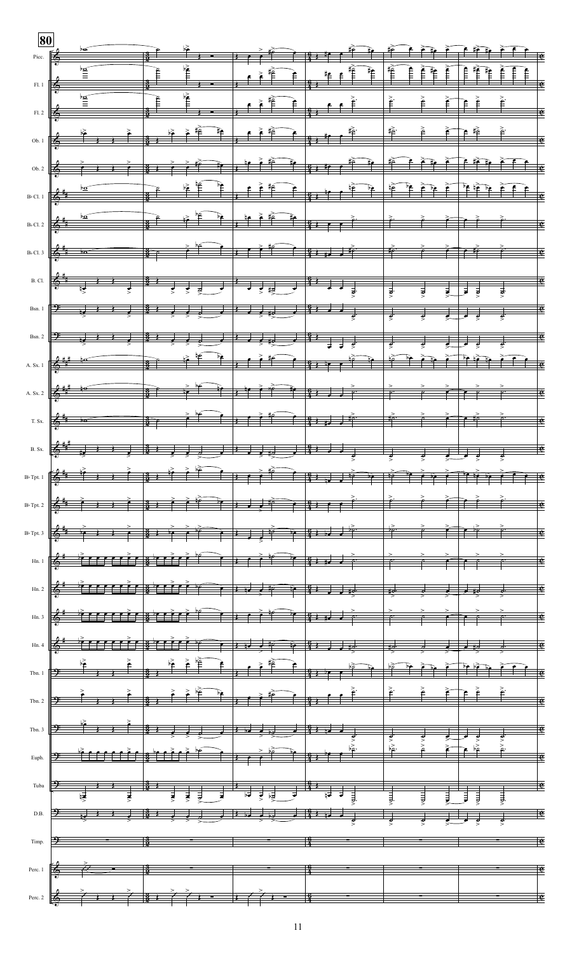| þΩ<br><u> Ē 节 节 ╒ ╒ ╒</u><br>Fl. 1<br>$\begin{array}{c} \displaystyle \qquad \qquad \uparrow \qquad \qquad \uparrow \qquad \qquad \uparrow \qquad \qquad \uparrow \qquad \qquad \uparrow \qquad \qquad \uparrow \qquad \qquad \uparrow \qquad \qquad \uparrow \qquad \qquad \uparrow \qquad \qquad \uparrow \qquad \qquad \uparrow \qquad \qquad \uparrow \qquad \qquad \uparrow \qquad \uparrow \qquad \qquad \uparrow \qquad \uparrow \qquad \uparrow \qquad \uparrow \qquad \uparrow \qquad \uparrow \qquad \uparrow \qquad \uparrow \qquad \uparrow \qquad \uparrow \qquad \uparrow \qquad \uparrow \qquad \uparrow \qquad \uparrow$<br>Fl. 2<br>$\frac{1}{2}$<br>$\begin{picture}(120,10) \put(0,0){\vector(1,0){10}} \put(15,0){\vector(1,0){10}} \put(15,0){\vector(1,0){10}} \put(15,0){\vector(1,0){10}} \put(15,0){\vector(1,0){10}} \put(15,0){\vector(1,0){10}} \put(15,0){\vector(1,0){10}} \put(15,0){\vector(1,0){10}} \put(15,0){\vector(1,0){10}} \put(15,0){\vector(1,0){10}} \put(15,0){\vector(1,0){10}} \put(15,0){\vector($<br>$\frac{\vec{k}}{2}$<br>$\frac{1}{2}$<br>$rac{4e}{2}$ $rac{1}{2}$ $rac{1}{2}$ $rac{1}{2}$ $rac{1}{2}$ $rac{1}{2}$<br>$\frac{1}{2}$ $\frac{1}{2}$ $\frac{1}{2}$ $\frac{1}{2}$ $\frac{1}{2}$ $\frac{1}{2}$ $\frac{1}{2}$ $\frac{1}{2}$ $\frac{1}{2}$ $\frac{1}{2}$ $\frac{1}{2}$ $\frac{1}{2}$ $\frac{1}{2}$ $\frac{1}{2}$ $\frac{1}{2}$ $\frac{1}{2}$ $\frac{1}{2}$ $\frac{1}{2}$ $\frac{1}{2}$ $\frac{1}{2}$ $\frac{1}{2}$ $\frac{1}{2}$<br>≢<br>$\frac{1}{2}$<br>$\begin{array}{c c c c c c} \hline \multicolumn{3}{c }{\qquad} & \multicolumn{3}{c}{\qquad} & \multicolumn{3}{c}{\qquad} & \multicolumn{3}{c}{\qquad} \\ \hline \multicolumn{3}{c }{\qquad} & \multicolumn{3}{c}{\qquad} & \multicolumn{3}{c}{\qquad} & \multicolumn{3}{c}{\qquad} & \multicolumn{3}{c}{\qquad} & \multicolumn{3}{c}{\qquad} \\ \hline \multicolumn{3}{c }{\qquad} & \multicolumn{3}{c}{\qquad} & \multicolumn{3}{c}{\qquad} & \multicolumn{3}{c}{$<br>$Bb$ Cl. 1<br>$B_1 C1.2$<br>$\frac{1}{\sqrt{2}}$<br>$\frac{1}{2}$ $\frac{1}{2}$ $\frac{1}{2}$ $\frac{1}{2}$ $\frac{1}{2}$ $\frac{1}{2}$ $\frac{1}{2}$ $\frac{1}{2}$ $\frac{1}{2}$ $\frac{1}{2}$ $\frac{1}{2}$ $\frac{1}{2}$ $\frac{1}{2}$ $\frac{1}{2}$ $\frac{1}{2}$ $\frac{1}{2}$ $\frac{1}{2}$ $\frac{1}{2}$ $\frac{1}{2}$ $\frac{1}{2}$ $\frac{1}{2}$ $\frac{1}{2}$<br>$\frac{1}{2}$ $\frac{3}{2}$ $\frac{3}{2}$<br>$\mathrm{B}\flat$ Cl. 3<br>$\overline{\bullet}$<br>B.Cl. $\frac{2}{3}$<br>Bsn. 2<br>$\frac{16}{2}$<br>A. Sx. 1<br>$\frac{1}{2}$<br>$\frac{8}{2}$<br>$\frac{1}{2}$ , $\frac{1}{2}$ , $\frac{1}{2}$ , $\frac{1}{2}$ , $\frac{1}{2}$ , $\frac{1}{2}$ , $\frac{1}{2}$ , $\frac{1}{2}$ , $\frac{1}{2}$ , $\frac{1}{2}$<br>A. Sx. 2<br>$\lambda$ $\rightarrow$ $\lambda$ $\rightarrow$ $\lambda$<br>$\frac{6}{4}$<br>$\frac{2}{3}$<br>$\overline{\bullet}$<br>$\mathbf{B}.$ Sx.<br>$\frac{1}{2}$ $\frac{1}{2}$ $\frac{1}{2}$ $\frac{1}{2}$<br>$B_{3.7 p1.1}$ $\frac{1}{100}$ $\frac{4}{100}$ $\frac{1}{100}$ $\frac{3}{100}$ $\frac{1}{100}$ $\frac{3}{100}$ $\frac{1}{100}$ $\frac{3}{100}$ $\frac{3}{100}$ $\frac{3}{100}$ $\frac{3}{100}$ $\frac{3}{100}$ $\frac{3}{100}$ $\frac{3}{100}$ $\frac{3}{100}$ $\frac{3}{100}$ $\frac{3}{100}$ $\frac{$<br>$B_{3}\text{ Tpt. 2}$ $\left \begin{array}{ccccc ccccc} 0 & \frac{3}{2} & \frac{3}{2} & \frac{3}{2} & \frac{3}{2} & \frac{3}{2} & \frac{3}{2} & \frac{3}{2} & \frac{3}{2} & \frac{3}{2} & \frac{3}{2} & \frac{3}{2} & \frac{3}{2} & \frac{3}{2} & \frac{3}{2} & \frac{3}{2} & \frac{3}{2} & \frac{3}{2} & \frac{3}{2} & \frac{3}{2} & \frac{3}{2} & \frac{3}{2} & \frac{3}{2} & \frac{3}{2} & \frac{3}{$<br>$H_{11,2}$ ) $\frac{1}{\sqrt{3}}$ = $\frac{1}{\sqrt{3}}$ = $\frac{1}{\sqrt{3}}$ = $\frac{1}{\sqrt{3}}$ = $\frac{1}{\sqrt{3}}$ = $\frac{1}{\sqrt{3}}$ = $\frac{1}{\sqrt{3}}$ = $\frac{1}{\sqrt{3}}$ = $\frac{1}{\sqrt{3}}$ = $\frac{1}{\sqrt{3}}$ = $\frac{1}{\sqrt{3}}$ = $\frac{1}{\sqrt{3}}$ = $\frac{1}{\sqrt{3}}$ = $\frac{1}{\sqrt{3}}$ =<br>$H_{\rm m,3}$ $\frac{1}{2}$ $\frac{1}{2}$ $\frac{1}{2}$ $\frac{1}{2}$ $\frac{1}{2}$ $\frac{1}{2}$ $\frac{1}{2}$ $\frac{1}{2}$ $\frac{1}{2}$ $\frac{1}{2}$ $\frac{1}{2}$ $\frac{1}{2}$ $\frac{1}{2}$ $\frac{1}{2}$ $\frac{1}{2}$ $\frac{1}{2}$ $\frac{1}{2}$ $\frac{1}{2}$ $\frac{1}{2}$ $\frac{1}{2}$ $\frac{1}{2}$<br>$Hn.4$<br>$T_{\rm bh,1}$<br>Tbn. 3 $\frac{1}{2}$ $\frac{1}{2}$ $\frac{1}{2}$ $\frac{1}{2}$ $\frac{1}{2}$ $\frac{1}{2}$ $\frac{1}{2}$ $\frac{1}{2}$ $\frac{1}{2}$ $\frac{1}{2}$ $\frac{1}{2}$ $\frac{1}{2}$ $\frac{1}{2}$ $\frac{1}{2}$ $\frac{1}{2}$ $\frac{1}{2}$ $\frac{1}{2}$ $\frac{1}{2}$ $\frac{1}{2}$ $\frac{1}{2}$ $\frac{1}{2}$ $\frac{$<br>$\frac{1}{e}$ e<br>Tuba $\frac{1}{2}$ $\frac{1}{2}$ $\frac{1}{2}$ $\frac{1}{2}$ $\frac{1}{2}$ $\frac{1}{2}$ $\frac{1}{2}$ $\frac{1}{2}$ $\frac{1}{2}$ $\frac{1}{2}$ $\frac{1}{2}$ $\frac{1}{2}$ $\frac{1}{2}$ $\frac{1}{2}$ $\frac{1}{2}$ $\frac{1}{2}$ $\frac{1}{2}$ $\frac{1}{2}$ $\frac{1}{2}$ $\frac{1}{2}$ $\frac{1}{2}$ $\frac{1}{$<br>D.B. $\frac{92}{2}$ is $\frac{1}{2}$ if $\frac{1}{2}$ if $\frac{1}{2}$ if $\frac{1}{2}$ if $\frac{1}{2}$ if $\frac{1}{2}$ if $\frac{1}{2}$ if $\frac{1}{2}$ if $\frac{1}{2}$ if $\frac{1}{2}$ if $\frac{1}{2}$ if $\frac{1}{2}$ if $\frac{1}{2}$<br>$\pm$ e<br>$\begin{array}{ccc} \circ & \circ & \circ & \circ \\ \circ & \circ & \circ & \circ \end{array}$<br>$\frac{1}{2}$<br>Perc. 2 $\frac{1}{\sqrt{2}}$<br>$\overline{\bullet}$ | 80 |  |  |  |
|--------------------------------------------------------------------------------------------------------------------------------------------------------------------------------------------------------------------------------------------------------------------------------------------------------------------------------------------------------------------------------------------------------------------------------------------------------------------------------------------------------------------------------------------------------------------------------------------------------------------------------------------------------------------------------------------------------------------------------------------------------------------------------------------------------------------------------------------------------------------------------------------------------------------------------------------------------------------------------------------------------------------------------------------------------------------------------------------------------------------------------------------------------------------------------------------------------------------------------------------------------------------------------------------------------------------------------------------------------------------------------------------------------------------------------------------------------------------------------------------------------------------------------------------------------------------------------------------------------------------------------------------------------------------------------------------------------------------------------------------------------------------------------------------------------------------------------------------------------------------------------------------------------------------------------------------------------------------------------------------------------------------------------------------------------------------------------------------------------------------------------------------------------------------------------------------------------------------------------------------------------------------------------------------------------------------------------------------------------------------------------------------------------------------------------------------------------------------------------------------------------------------------------------------------------------------------------------------------------------------------------------------------------------------------------------------------------------------------------------------------------------------------------------------------------------------------------------------------------------------------------------------------------------------------------------------------------------------------------------------------------------------------------------------------------------------------------------------------------------------------------------------------------------------------------------------------------------------------------------------------------------------------------------------------------------------------------------------------------------------------------------------------------------------------------------------------------------------------------------------------------------------------------------------------------------------------------------------------------------------------------------------------------------------------------------------------------------------------------------------------------------------------------------------------------------------------------------------------------------------------------------------------------------------------------------------------------------------------------------------------------------------------------------------------------------------------------------------------------------------------------------------------------------------------------------------------------------------------------------------------------------------------------------------------------------------------------------------------------------------------------------------------------------------------------------------------------------------------------------------------------------------------------------------------------------------------------------------------------------------------------------------------------------------------------------------------------------------------------------------------------------------------------------------------------------------------------------------------------------------------------------------------------------------------------------------------------------------------------------------------------------------------------------------------------------------------------------------------------------------------------------------------------------------------------------------------------------------------------------------------------------------------------------------------------------------------------------------------------------------------------------------------------------------------------------------------------------------------------------------------------|----|--|--|--|
|                                                                                                                                                                                                                                                                                                                                                                                                                                                                                                                                                                                                                                                                                                                                                                                                                                                                                                                                                                                                                                                                                                                                                                                                                                                                                                                                                                                                                                                                                                                                                                                                                                                                                                                                                                                                                                                                                                                                                                                                                                                                                                                                                                                                                                                                                                                                                                                                                                                                                                                                                                                                                                                                                                                                                                                                                                                                                                                                                                                                                                                                                                                                                                                                                                                                                                                                                                                                                                                                                                                                                                                                                                                                                                                                                                                                                                                                                                                                                                                                                                                                                                                                                                                                                                                                                                                                                                                                                                                                                                                                                                                                                                                                                                                                                                                                                                                                                                                                                                                                                                                                                                                                                                                                                                                                                                                                                                                                                                                                                                        |    |  |  |  |
|                                                                                                                                                                                                                                                                                                                                                                                                                                                                                                                                                                                                                                                                                                                                                                                                                                                                                                                                                                                                                                                                                                                                                                                                                                                                                                                                                                                                                                                                                                                                                                                                                                                                                                                                                                                                                                                                                                                                                                                                                                                                                                                                                                                                                                                                                                                                                                                                                                                                                                                                                                                                                                                                                                                                                                                                                                                                                                                                                                                                                                                                                                                                                                                                                                                                                                                                                                                                                                                                                                                                                                                                                                                                                                                                                                                                                                                                                                                                                                                                                                                                                                                                                                                                                                                                                                                                                                                                                                                                                                                                                                                                                                                                                                                                                                                                                                                                                                                                                                                                                                                                                                                                                                                                                                                                                                                                                                                                                                                                                                        |    |  |  |  |
|                                                                                                                                                                                                                                                                                                                                                                                                                                                                                                                                                                                                                                                                                                                                                                                                                                                                                                                                                                                                                                                                                                                                                                                                                                                                                                                                                                                                                                                                                                                                                                                                                                                                                                                                                                                                                                                                                                                                                                                                                                                                                                                                                                                                                                                                                                                                                                                                                                                                                                                                                                                                                                                                                                                                                                                                                                                                                                                                                                                                                                                                                                                                                                                                                                                                                                                                                                                                                                                                                                                                                                                                                                                                                                                                                                                                                                                                                                                                                                                                                                                                                                                                                                                                                                                                                                                                                                                                                                                                                                                                                                                                                                                                                                                                                                                                                                                                                                                                                                                                                                                                                                                                                                                                                                                                                                                                                                                                                                                                                                        |    |  |  |  |
|                                                                                                                                                                                                                                                                                                                                                                                                                                                                                                                                                                                                                                                                                                                                                                                                                                                                                                                                                                                                                                                                                                                                                                                                                                                                                                                                                                                                                                                                                                                                                                                                                                                                                                                                                                                                                                                                                                                                                                                                                                                                                                                                                                                                                                                                                                                                                                                                                                                                                                                                                                                                                                                                                                                                                                                                                                                                                                                                                                                                                                                                                                                                                                                                                                                                                                                                                                                                                                                                                                                                                                                                                                                                                                                                                                                                                                                                                                                                                                                                                                                                                                                                                                                                                                                                                                                                                                                                                                                                                                                                                                                                                                                                                                                                                                                                                                                                                                                                                                                                                                                                                                                                                                                                                                                                                                                                                                                                                                                                                                        |    |  |  |  |
|                                                                                                                                                                                                                                                                                                                                                                                                                                                                                                                                                                                                                                                                                                                                                                                                                                                                                                                                                                                                                                                                                                                                                                                                                                                                                                                                                                                                                                                                                                                                                                                                                                                                                                                                                                                                                                                                                                                                                                                                                                                                                                                                                                                                                                                                                                                                                                                                                                                                                                                                                                                                                                                                                                                                                                                                                                                                                                                                                                                                                                                                                                                                                                                                                                                                                                                                                                                                                                                                                                                                                                                                                                                                                                                                                                                                                                                                                                                                                                                                                                                                                                                                                                                                                                                                                                                                                                                                                                                                                                                                                                                                                                                                                                                                                                                                                                                                                                                                                                                                                                                                                                                                                                                                                                                                                                                                                                                                                                                                                                        |    |  |  |  |
|                                                                                                                                                                                                                                                                                                                                                                                                                                                                                                                                                                                                                                                                                                                                                                                                                                                                                                                                                                                                                                                                                                                                                                                                                                                                                                                                                                                                                                                                                                                                                                                                                                                                                                                                                                                                                                                                                                                                                                                                                                                                                                                                                                                                                                                                                                                                                                                                                                                                                                                                                                                                                                                                                                                                                                                                                                                                                                                                                                                                                                                                                                                                                                                                                                                                                                                                                                                                                                                                                                                                                                                                                                                                                                                                                                                                                                                                                                                                                                                                                                                                                                                                                                                                                                                                                                                                                                                                                                                                                                                                                                                                                                                                                                                                                                                                                                                                                                                                                                                                                                                                                                                                                                                                                                                                                                                                                                                                                                                                                                        |    |  |  |  |
|                                                                                                                                                                                                                                                                                                                                                                                                                                                                                                                                                                                                                                                                                                                                                                                                                                                                                                                                                                                                                                                                                                                                                                                                                                                                                                                                                                                                                                                                                                                                                                                                                                                                                                                                                                                                                                                                                                                                                                                                                                                                                                                                                                                                                                                                                                                                                                                                                                                                                                                                                                                                                                                                                                                                                                                                                                                                                                                                                                                                                                                                                                                                                                                                                                                                                                                                                                                                                                                                                                                                                                                                                                                                                                                                                                                                                                                                                                                                                                                                                                                                                                                                                                                                                                                                                                                                                                                                                                                                                                                                                                                                                                                                                                                                                                                                                                                                                                                                                                                                                                                                                                                                                                                                                                                                                                                                                                                                                                                                                                        |    |  |  |  |
|                                                                                                                                                                                                                                                                                                                                                                                                                                                                                                                                                                                                                                                                                                                                                                                                                                                                                                                                                                                                                                                                                                                                                                                                                                                                                                                                                                                                                                                                                                                                                                                                                                                                                                                                                                                                                                                                                                                                                                                                                                                                                                                                                                                                                                                                                                                                                                                                                                                                                                                                                                                                                                                                                                                                                                                                                                                                                                                                                                                                                                                                                                                                                                                                                                                                                                                                                                                                                                                                                                                                                                                                                                                                                                                                                                                                                                                                                                                                                                                                                                                                                                                                                                                                                                                                                                                                                                                                                                                                                                                                                                                                                                                                                                                                                                                                                                                                                                                                                                                                                                                                                                                                                                                                                                                                                                                                                                                                                                                                                                        |    |  |  |  |
|                                                                                                                                                                                                                                                                                                                                                                                                                                                                                                                                                                                                                                                                                                                                                                                                                                                                                                                                                                                                                                                                                                                                                                                                                                                                                                                                                                                                                                                                                                                                                                                                                                                                                                                                                                                                                                                                                                                                                                                                                                                                                                                                                                                                                                                                                                                                                                                                                                                                                                                                                                                                                                                                                                                                                                                                                                                                                                                                                                                                                                                                                                                                                                                                                                                                                                                                                                                                                                                                                                                                                                                                                                                                                                                                                                                                                                                                                                                                                                                                                                                                                                                                                                                                                                                                                                                                                                                                                                                                                                                                                                                                                                                                                                                                                                                                                                                                                                                                                                                                                                                                                                                                                                                                                                                                                                                                                                                                                                                                                                        |    |  |  |  |
|                                                                                                                                                                                                                                                                                                                                                                                                                                                                                                                                                                                                                                                                                                                                                                                                                                                                                                                                                                                                                                                                                                                                                                                                                                                                                                                                                                                                                                                                                                                                                                                                                                                                                                                                                                                                                                                                                                                                                                                                                                                                                                                                                                                                                                                                                                                                                                                                                                                                                                                                                                                                                                                                                                                                                                                                                                                                                                                                                                                                                                                                                                                                                                                                                                                                                                                                                                                                                                                                                                                                                                                                                                                                                                                                                                                                                                                                                                                                                                                                                                                                                                                                                                                                                                                                                                                                                                                                                                                                                                                                                                                                                                                                                                                                                                                                                                                                                                                                                                                                                                                                                                                                                                                                                                                                                                                                                                                                                                                                                                        |    |  |  |  |
|                                                                                                                                                                                                                                                                                                                                                                                                                                                                                                                                                                                                                                                                                                                                                                                                                                                                                                                                                                                                                                                                                                                                                                                                                                                                                                                                                                                                                                                                                                                                                                                                                                                                                                                                                                                                                                                                                                                                                                                                                                                                                                                                                                                                                                                                                                                                                                                                                                                                                                                                                                                                                                                                                                                                                                                                                                                                                                                                                                                                                                                                                                                                                                                                                                                                                                                                                                                                                                                                                                                                                                                                                                                                                                                                                                                                                                                                                                                                                                                                                                                                                                                                                                                                                                                                                                                                                                                                                                                                                                                                                                                                                                                                                                                                                                                                                                                                                                                                                                                                                                                                                                                                                                                                                                                                                                                                                                                                                                                                                                        |    |  |  |  |
|                                                                                                                                                                                                                                                                                                                                                                                                                                                                                                                                                                                                                                                                                                                                                                                                                                                                                                                                                                                                                                                                                                                                                                                                                                                                                                                                                                                                                                                                                                                                                                                                                                                                                                                                                                                                                                                                                                                                                                                                                                                                                                                                                                                                                                                                                                                                                                                                                                                                                                                                                                                                                                                                                                                                                                                                                                                                                                                                                                                                                                                                                                                                                                                                                                                                                                                                                                                                                                                                                                                                                                                                                                                                                                                                                                                                                                                                                                                                                                                                                                                                                                                                                                                                                                                                                                                                                                                                                                                                                                                                                                                                                                                                                                                                                                                                                                                                                                                                                                                                                                                                                                                                                                                                                                                                                                                                                                                                                                                                                                        |    |  |  |  |
|                                                                                                                                                                                                                                                                                                                                                                                                                                                                                                                                                                                                                                                                                                                                                                                                                                                                                                                                                                                                                                                                                                                                                                                                                                                                                                                                                                                                                                                                                                                                                                                                                                                                                                                                                                                                                                                                                                                                                                                                                                                                                                                                                                                                                                                                                                                                                                                                                                                                                                                                                                                                                                                                                                                                                                                                                                                                                                                                                                                                                                                                                                                                                                                                                                                                                                                                                                                                                                                                                                                                                                                                                                                                                                                                                                                                                                                                                                                                                                                                                                                                                                                                                                                                                                                                                                                                                                                                                                                                                                                                                                                                                                                                                                                                                                                                                                                                                                                                                                                                                                                                                                                                                                                                                                                                                                                                                                                                                                                                                                        |    |  |  |  |
|                                                                                                                                                                                                                                                                                                                                                                                                                                                                                                                                                                                                                                                                                                                                                                                                                                                                                                                                                                                                                                                                                                                                                                                                                                                                                                                                                                                                                                                                                                                                                                                                                                                                                                                                                                                                                                                                                                                                                                                                                                                                                                                                                                                                                                                                                                                                                                                                                                                                                                                                                                                                                                                                                                                                                                                                                                                                                                                                                                                                                                                                                                                                                                                                                                                                                                                                                                                                                                                                                                                                                                                                                                                                                                                                                                                                                                                                                                                                                                                                                                                                                                                                                                                                                                                                                                                                                                                                                                                                                                                                                                                                                                                                                                                                                                                                                                                                                                                                                                                                                                                                                                                                                                                                                                                                                                                                                                                                                                                                                                        |    |  |  |  |
|                                                                                                                                                                                                                                                                                                                                                                                                                                                                                                                                                                                                                                                                                                                                                                                                                                                                                                                                                                                                                                                                                                                                                                                                                                                                                                                                                                                                                                                                                                                                                                                                                                                                                                                                                                                                                                                                                                                                                                                                                                                                                                                                                                                                                                                                                                                                                                                                                                                                                                                                                                                                                                                                                                                                                                                                                                                                                                                                                                                                                                                                                                                                                                                                                                                                                                                                                                                                                                                                                                                                                                                                                                                                                                                                                                                                                                                                                                                                                                                                                                                                                                                                                                                                                                                                                                                                                                                                                                                                                                                                                                                                                                                                                                                                                                                                                                                                                                                                                                                                                                                                                                                                                                                                                                                                                                                                                                                                                                                                                                        |    |  |  |  |
|                                                                                                                                                                                                                                                                                                                                                                                                                                                                                                                                                                                                                                                                                                                                                                                                                                                                                                                                                                                                                                                                                                                                                                                                                                                                                                                                                                                                                                                                                                                                                                                                                                                                                                                                                                                                                                                                                                                                                                                                                                                                                                                                                                                                                                                                                                                                                                                                                                                                                                                                                                                                                                                                                                                                                                                                                                                                                                                                                                                                                                                                                                                                                                                                                                                                                                                                                                                                                                                                                                                                                                                                                                                                                                                                                                                                                                                                                                                                                                                                                                                                                                                                                                                                                                                                                                                                                                                                                                                                                                                                                                                                                                                                                                                                                                                                                                                                                                                                                                                                                                                                                                                                                                                                                                                                                                                                                                                                                                                                                                        |    |  |  |  |
|                                                                                                                                                                                                                                                                                                                                                                                                                                                                                                                                                                                                                                                                                                                                                                                                                                                                                                                                                                                                                                                                                                                                                                                                                                                                                                                                                                                                                                                                                                                                                                                                                                                                                                                                                                                                                                                                                                                                                                                                                                                                                                                                                                                                                                                                                                                                                                                                                                                                                                                                                                                                                                                                                                                                                                                                                                                                                                                                                                                                                                                                                                                                                                                                                                                                                                                                                                                                                                                                                                                                                                                                                                                                                                                                                                                                                                                                                                                                                                                                                                                                                                                                                                                                                                                                                                                                                                                                                                                                                                                                                                                                                                                                                                                                                                                                                                                                                                                                                                                                                                                                                                                                                                                                                                                                                                                                                                                                                                                                                                        |    |  |  |  |
|                                                                                                                                                                                                                                                                                                                                                                                                                                                                                                                                                                                                                                                                                                                                                                                                                                                                                                                                                                                                                                                                                                                                                                                                                                                                                                                                                                                                                                                                                                                                                                                                                                                                                                                                                                                                                                                                                                                                                                                                                                                                                                                                                                                                                                                                                                                                                                                                                                                                                                                                                                                                                                                                                                                                                                                                                                                                                                                                                                                                                                                                                                                                                                                                                                                                                                                                                                                                                                                                                                                                                                                                                                                                                                                                                                                                                                                                                                                                                                                                                                                                                                                                                                                                                                                                                                                                                                                                                                                                                                                                                                                                                                                                                                                                                                                                                                                                                                                                                                                                                                                                                                                                                                                                                                                                                                                                                                                                                                                                                                        |    |  |  |  |
|                                                                                                                                                                                                                                                                                                                                                                                                                                                                                                                                                                                                                                                                                                                                                                                                                                                                                                                                                                                                                                                                                                                                                                                                                                                                                                                                                                                                                                                                                                                                                                                                                                                                                                                                                                                                                                                                                                                                                                                                                                                                                                                                                                                                                                                                                                                                                                                                                                                                                                                                                                                                                                                                                                                                                                                                                                                                                                                                                                                                                                                                                                                                                                                                                                                                                                                                                                                                                                                                                                                                                                                                                                                                                                                                                                                                                                                                                                                                                                                                                                                                                                                                                                                                                                                                                                                                                                                                                                                                                                                                                                                                                                                                                                                                                                                                                                                                                                                                                                                                                                                                                                                                                                                                                                                                                                                                                                                                                                                                                                        |    |  |  |  |
|                                                                                                                                                                                                                                                                                                                                                                                                                                                                                                                                                                                                                                                                                                                                                                                                                                                                                                                                                                                                                                                                                                                                                                                                                                                                                                                                                                                                                                                                                                                                                                                                                                                                                                                                                                                                                                                                                                                                                                                                                                                                                                                                                                                                                                                                                                                                                                                                                                                                                                                                                                                                                                                                                                                                                                                                                                                                                                                                                                                                                                                                                                                                                                                                                                                                                                                                                                                                                                                                                                                                                                                                                                                                                                                                                                                                                                                                                                                                                                                                                                                                                                                                                                                                                                                                                                                                                                                                                                                                                                                                                                                                                                                                                                                                                                                                                                                                                                                                                                                                                                                                                                                                                                                                                                                                                                                                                                                                                                                                                                        |    |  |  |  |
|                                                                                                                                                                                                                                                                                                                                                                                                                                                                                                                                                                                                                                                                                                                                                                                                                                                                                                                                                                                                                                                                                                                                                                                                                                                                                                                                                                                                                                                                                                                                                                                                                                                                                                                                                                                                                                                                                                                                                                                                                                                                                                                                                                                                                                                                                                                                                                                                                                                                                                                                                                                                                                                                                                                                                                                                                                                                                                                                                                                                                                                                                                                                                                                                                                                                                                                                                                                                                                                                                                                                                                                                                                                                                                                                                                                                                                                                                                                                                                                                                                                                                                                                                                                                                                                                                                                                                                                                                                                                                                                                                                                                                                                                                                                                                                                                                                                                                                                                                                                                                                                                                                                                                                                                                                                                                                                                                                                                                                                                                                        |    |  |  |  |
|                                                                                                                                                                                                                                                                                                                                                                                                                                                                                                                                                                                                                                                                                                                                                                                                                                                                                                                                                                                                                                                                                                                                                                                                                                                                                                                                                                                                                                                                                                                                                                                                                                                                                                                                                                                                                                                                                                                                                                                                                                                                                                                                                                                                                                                                                                                                                                                                                                                                                                                                                                                                                                                                                                                                                                                                                                                                                                                                                                                                                                                                                                                                                                                                                                                                                                                                                                                                                                                                                                                                                                                                                                                                                                                                                                                                                                                                                                                                                                                                                                                                                                                                                                                                                                                                                                                                                                                                                                                                                                                                                                                                                                                                                                                                                                                                                                                                                                                                                                                                                                                                                                                                                                                                                                                                                                                                                                                                                                                                                                        |    |  |  |  |
|                                                                                                                                                                                                                                                                                                                                                                                                                                                                                                                                                                                                                                                                                                                                                                                                                                                                                                                                                                                                                                                                                                                                                                                                                                                                                                                                                                                                                                                                                                                                                                                                                                                                                                                                                                                                                                                                                                                                                                                                                                                                                                                                                                                                                                                                                                                                                                                                                                                                                                                                                                                                                                                                                                                                                                                                                                                                                                                                                                                                                                                                                                                                                                                                                                                                                                                                                                                                                                                                                                                                                                                                                                                                                                                                                                                                                                                                                                                                                                                                                                                                                                                                                                                                                                                                                                                                                                                                                                                                                                                                                                                                                                                                                                                                                                                                                                                                                                                                                                                                                                                                                                                                                                                                                                                                                                                                                                                                                                                                                                        |    |  |  |  |
|                                                                                                                                                                                                                                                                                                                                                                                                                                                                                                                                                                                                                                                                                                                                                                                                                                                                                                                                                                                                                                                                                                                                                                                                                                                                                                                                                                                                                                                                                                                                                                                                                                                                                                                                                                                                                                                                                                                                                                                                                                                                                                                                                                                                                                                                                                                                                                                                                                                                                                                                                                                                                                                                                                                                                                                                                                                                                                                                                                                                                                                                                                                                                                                                                                                                                                                                                                                                                                                                                                                                                                                                                                                                                                                                                                                                                                                                                                                                                                                                                                                                                                                                                                                                                                                                                                                                                                                                                                                                                                                                                                                                                                                                                                                                                                                                                                                                                                                                                                                                                                                                                                                                                                                                                                                                                                                                                                                                                                                                                                        |    |  |  |  |
|                                                                                                                                                                                                                                                                                                                                                                                                                                                                                                                                                                                                                                                                                                                                                                                                                                                                                                                                                                                                                                                                                                                                                                                                                                                                                                                                                                                                                                                                                                                                                                                                                                                                                                                                                                                                                                                                                                                                                                                                                                                                                                                                                                                                                                                                                                                                                                                                                                                                                                                                                                                                                                                                                                                                                                                                                                                                                                                                                                                                                                                                                                                                                                                                                                                                                                                                                                                                                                                                                                                                                                                                                                                                                                                                                                                                                                                                                                                                                                                                                                                                                                                                                                                                                                                                                                                                                                                                                                                                                                                                                                                                                                                                                                                                                                                                                                                                                                                                                                                                                                                                                                                                                                                                                                                                                                                                                                                                                                                                                                        |    |  |  |  |
|                                                                                                                                                                                                                                                                                                                                                                                                                                                                                                                                                                                                                                                                                                                                                                                                                                                                                                                                                                                                                                                                                                                                                                                                                                                                                                                                                                                                                                                                                                                                                                                                                                                                                                                                                                                                                                                                                                                                                                                                                                                                                                                                                                                                                                                                                                                                                                                                                                                                                                                                                                                                                                                                                                                                                                                                                                                                                                                                                                                                                                                                                                                                                                                                                                                                                                                                                                                                                                                                                                                                                                                                                                                                                                                                                                                                                                                                                                                                                                                                                                                                                                                                                                                                                                                                                                                                                                                                                                                                                                                                                                                                                                                                                                                                                                                                                                                                                                                                                                                                                                                                                                                                                                                                                                                                                                                                                                                                                                                                                                        |    |  |  |  |
|                                                                                                                                                                                                                                                                                                                                                                                                                                                                                                                                                                                                                                                                                                                                                                                                                                                                                                                                                                                                                                                                                                                                                                                                                                                                                                                                                                                                                                                                                                                                                                                                                                                                                                                                                                                                                                                                                                                                                                                                                                                                                                                                                                                                                                                                                                                                                                                                                                                                                                                                                                                                                                                                                                                                                                                                                                                                                                                                                                                                                                                                                                                                                                                                                                                                                                                                                                                                                                                                                                                                                                                                                                                                                                                                                                                                                                                                                                                                                                                                                                                                                                                                                                                                                                                                                                                                                                                                                                                                                                                                                                                                                                                                                                                                                                                                                                                                                                                                                                                                                                                                                                                                                                                                                                                                                                                                                                                                                                                                                                        |    |  |  |  |
|                                                                                                                                                                                                                                                                                                                                                                                                                                                                                                                                                                                                                                                                                                                                                                                                                                                                                                                                                                                                                                                                                                                                                                                                                                                                                                                                                                                                                                                                                                                                                                                                                                                                                                                                                                                                                                                                                                                                                                                                                                                                                                                                                                                                                                                                                                                                                                                                                                                                                                                                                                                                                                                                                                                                                                                                                                                                                                                                                                                                                                                                                                                                                                                                                                                                                                                                                                                                                                                                                                                                                                                                                                                                                                                                                                                                                                                                                                                                                                                                                                                                                                                                                                                                                                                                                                                                                                                                                                                                                                                                                                                                                                                                                                                                                                                                                                                                                                                                                                                                                                                                                                                                                                                                                                                                                                                                                                                                                                                                                                        |    |  |  |  |
|                                                                                                                                                                                                                                                                                                                                                                                                                                                                                                                                                                                                                                                                                                                                                                                                                                                                                                                                                                                                                                                                                                                                                                                                                                                                                                                                                                                                                                                                                                                                                                                                                                                                                                                                                                                                                                                                                                                                                                                                                                                                                                                                                                                                                                                                                                                                                                                                                                                                                                                                                                                                                                                                                                                                                                                                                                                                                                                                                                                                                                                                                                                                                                                                                                                                                                                                                                                                                                                                                                                                                                                                                                                                                                                                                                                                                                                                                                                                                                                                                                                                                                                                                                                                                                                                                                                                                                                                                                                                                                                                                                                                                                                                                                                                                                                                                                                                                                                                                                                                                                                                                                                                                                                                                                                                                                                                                                                                                                                                                                        |    |  |  |  |
|                                                                                                                                                                                                                                                                                                                                                                                                                                                                                                                                                                                                                                                                                                                                                                                                                                                                                                                                                                                                                                                                                                                                                                                                                                                                                                                                                                                                                                                                                                                                                                                                                                                                                                                                                                                                                                                                                                                                                                                                                                                                                                                                                                                                                                                                                                                                                                                                                                                                                                                                                                                                                                                                                                                                                                                                                                                                                                                                                                                                                                                                                                                                                                                                                                                                                                                                                                                                                                                                                                                                                                                                                                                                                                                                                                                                                                                                                                                                                                                                                                                                                                                                                                                                                                                                                                                                                                                                                                                                                                                                                                                                                                                                                                                                                                                                                                                                                                                                                                                                                                                                                                                                                                                                                                                                                                                                                                                                                                                                                                        |    |  |  |  |
|                                                                                                                                                                                                                                                                                                                                                                                                                                                                                                                                                                                                                                                                                                                                                                                                                                                                                                                                                                                                                                                                                                                                                                                                                                                                                                                                                                                                                                                                                                                                                                                                                                                                                                                                                                                                                                                                                                                                                                                                                                                                                                                                                                                                                                                                                                                                                                                                                                                                                                                                                                                                                                                                                                                                                                                                                                                                                                                                                                                                                                                                                                                                                                                                                                                                                                                                                                                                                                                                                                                                                                                                                                                                                                                                                                                                                                                                                                                                                                                                                                                                                                                                                                                                                                                                                                                                                                                                                                                                                                                                                                                                                                                                                                                                                                                                                                                                                                                                                                                                                                                                                                                                                                                                                                                                                                                                                                                                                                                                                                        |    |  |  |  |
|                                                                                                                                                                                                                                                                                                                                                                                                                                                                                                                                                                                                                                                                                                                                                                                                                                                                                                                                                                                                                                                                                                                                                                                                                                                                                                                                                                                                                                                                                                                                                                                                                                                                                                                                                                                                                                                                                                                                                                                                                                                                                                                                                                                                                                                                                                                                                                                                                                                                                                                                                                                                                                                                                                                                                                                                                                                                                                                                                                                                                                                                                                                                                                                                                                                                                                                                                                                                                                                                                                                                                                                                                                                                                                                                                                                                                                                                                                                                                                                                                                                                                                                                                                                                                                                                                                                                                                                                                                                                                                                                                                                                                                                                                                                                                                                                                                                                                                                                                                                                                                                                                                                                                                                                                                                                                                                                                                                                                                                                                                        |    |  |  |  |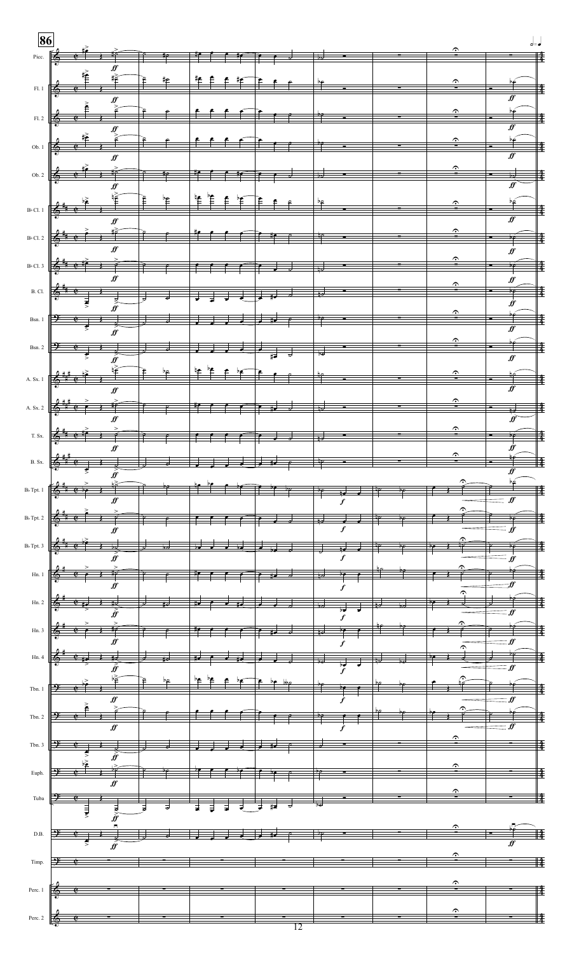| 86                          |                                                                                                                                                                                                                                                                                                                                                                                                                          |                                        |                                                            |                                                      |                                                              |                | ↷                   |                                                                             |
|-----------------------------|--------------------------------------------------------------------------------------------------------------------------------------------------------------------------------------------------------------------------------------------------------------------------------------------------------------------------------------------------------------------------------------------------------------------------|----------------------------------------|------------------------------------------------------------|------------------------------------------------------|--------------------------------------------------------------|----------------|---------------------|-----------------------------------------------------------------------------|
| Picc.                       | $f\hspace{-0.1cm}f$                                                                                                                                                                                                                                                                                                                                                                                                      |                                        |                                                            |                                                      |                                                              |                |                     |                                                                             |
| Fl. 1                       | 幢<br>悒                                                                                                                                                                                                                                                                                                                                                                                                                   | 艳                                      |                                                            |                                                      |                                                              |                |                     | ℉<br>$\frac{4}{4}$                                                          |
|                             | f f                                                                                                                                                                                                                                                                                                                                                                                                                      |                                        |                                                            |                                                      |                                                              |                | ↷                   | $\overline{f}$<br>$\frac{56}{10}$                                           |
| F1.2                        |                                                                                                                                                                                                                                                                                                                                                                                                                          |                                        |                                                            |                                                      |                                                              |                |                     | $\frac{4}{4}$<br>$\overline{f}$                                             |
| Ob. 1                       | f f                                                                                                                                                                                                                                                                                                                                                                                                                      |                                        |                                                            |                                                      |                                                              |                |                     | ₽₽<br>$\frac{4}{4}$<br>$\overline{f}$                                       |
| Ob. $2$                     |                                                                                                                                                                                                                                                                                                                                                                                                                          |                                        |                                                            |                                                      | bd                                                           |                |                     | 4<br>$\overline{b}$                                                         |
|                             | ff                                                                                                                                                                                                                                                                                                                                                                                                                       | $\hat{\mathbb{F}}$<br>坚                | 里<br>笔<br>₽<br>℉                                           |                                                      |                                                              |                |                     | $\overline{f}$                                                              |
| $B \triangleright Cl$ . 1   |                                                                                                                                                                                                                                                                                                                                                                                                                          |                                        |                                                            | ₿                                                    | ≜°                                                           |                | $\hat{\phantom{a}}$ | ≜<br>$\vert \pmb{\ddagger}$<br>$\overline{\boldsymbol{f}^{\boldsymbol{f}}}$ |
| $\mathrm{B}\!\!\flat$ Cl. 2 |                                                                                                                                                                                                                                                                                                                                                                                                                          |                                        |                                                            |                                                      |                                                              |                |                     | $\overline{\mathbf{1}}$<br>٥e                                               |
| $\mathrm{B}\flat$ Cl. 3     | $f\hspace{-0.1cm}f$                                                                                                                                                                                                                                                                                                                                                                                                      |                                        |                                                            |                                                      |                                                              |                | $\hat{\phantom{a}}$ | $\boldsymbol{\mathit{ff}}$<br>$\frac{4}{4}$<br>€ל                           |
|                             | f f                                                                                                                                                                                                                                                                                                                                                                                                                      |                                        |                                                            |                                                      |                                                              |                |                     | ff                                                                          |
| $B.$ Cl.                    | र                                                                                                                                                                                                                                                                                                                                                                                                                        |                                        |                                                            |                                                      |                                                              |                |                     | $\vert 4$<br>ff                                                             |
| Bsn. $\boldsymbol{1}$       |                                                                                                                                                                                                                                                                                                                                                                                                                          |                                        |                                                            |                                                      |                                                              |                | ⌒                   | 4<br>$\overline{f}$                                                         |
| $_{\rm Bsn.~2}$             |                                                                                                                                                                                                                                                                                                                                                                                                                          |                                        |                                                            |                                                      |                                                              |                |                     | 14                                                                          |
|                             | ff                                                                                                                                                                                                                                                                                                                                                                                                                       | ₽<br>≜Ք                                | ⋭                                                          | ₹                                                    | bd                                                           |                | $\hat{\phantom{a}}$ | $f\hspace{-0.1cm}f$                                                         |
| A. Sx. 1                    | ff                                                                                                                                                                                                                                                                                                                                                                                                                       |                                        |                                                            |                                                      |                                                              |                |                     | ≝<br>$\vert 4$<br>$\overline{f}$                                            |
| A. Sx. 2                    | $\blacklozenge$                                                                                                                                                                                                                                                                                                                                                                                                          |                                        |                                                            |                                                      | ₽                                                            |                | $\hat{\phantom{a}}$ | $\frac{4}{4}$<br>$\frac{1}{f}$                                              |
| T. Sx.                      | $\mathbf{f}$<br>$e \neq$<br>$\frac{6}{9}$                                                                                                                                                                                                                                                                                                                                                                                |                                        |                                                            |                                                      |                                                              |                | ⌒                   | $\frac{1}{4}$<br>$\frac{b\rho}{\sqrt{2}}$<br>-                              |
|                             | $f\hspace{-0.1cm}f$                                                                                                                                                                                                                                                                                                                                                                                                      |                                        |                                                            |                                                      |                                                              |                |                     | $\boldsymbol{f}\!\boldsymbol{f}$                                            |
| $\,$ B. Sx.                 | 辱                                                                                                                                                                                                                                                                                                                                                                                                                        |                                        |                                                            | ₽                                                    |                                                              |                |                     | $\overline{f}$                                                              |
| $B \triangleright Tpt. 1$   | $\cdot$                                                                                                                                                                                                                                                                                                                                                                                                                  |                                        |                                                            | ٥p                                                   | $\Rightarrow$                                                | $\frac{1}{2}$  |                     | $\overline{f}$                                                              |
| $B\nu$ Tpt. 2               | $\frac{1}{2}$                                                                                                                                                                                                                                                                                                                                                                                                            |                                        |                                                            |                                                      | ┡<br>$\frac{1}{f}$                                           | ≝              |                     | $\frac{4}{4}$<br>$\frac{1}{f}$                                              |
| $B \triangleright$ Tpt. 3   |                                                                                                                                                                                                                                                                                                                                                                                                                          |                                        | $\frac{1}{2}$ $\frac{1}{2}$ $\frac{1}{2}$<br>$\Box$        | $\overline{\phantom{a}}$<br>$\overline{\phantom{a}}$ | $\exists$                                                    | <u>مو</u>      |                     | $\frac{1}{4}$<br>$\frac{b\rho}{\sqrt{2}}$                                   |
|                             | $\frac{1}{\hat{f}}$ be $\frac{1}{\hat{f}}$                                                                                                                                                                                                                                                                                                                                                                               |                                        |                                                            | $\overline{\phantom{a}}$                             | $\overline{f}$                                               |                |                     |                                                                             |
| Hn. 1                       | $\overline{\cdot}$<br>$\frac{1}{f}$<br>唪                                                                                                                                                                                                                                                                                                                                                                                 | 聿<br>$\overline{\mathcal{L}}$          | 手                                                          | $\overline{\phantom{a}}$<br>$\overline{\phantom{a}}$ | ═┪┙<br>$\rightarrow$                                         |                |                     | 4<br>ff                                                                     |
|                             | $Hn. 2$ $\frac{1}{2}$ $\frac{1}{2}$ $\frac{1}{2}$ $\frac{1}{2}$ $\frac{1}{2}$                                                                                                                                                                                                                                                                                                                                            | $\overline{z}$<br>$\overline{\bullet}$ | #<br>$\overline{\mathbf{r}}$                               |                                                      | $\overline{\phantom{a}}$<br>$\overline{v}$<br>₹              |                |                     | 4<br>$\boldsymbol{f}$                                                       |
| Hn. $3\,$                   |                                                                                                                                                                                                                                                                                                                                                                                                                          |                                        |                                                            | $\overline{\phantom{a}}$                             | $\frac{1}{2}$                                                |                |                     | 拝                                                                           |
|                             |                                                                                                                                                                                                                                                                                                                                                                                                                          |                                        |                                                            |                                                      |                                                              |                |                     | $\pmb{\mathit{ff}}$                                                         |
| Hn. $\sqrt{4}$              | $e_{\frac{1}{2}}$<br>唪                                                                                                                                                                                                                                                                                                                                                                                                   | $\overline{\phantom{a}}$               | ⋕┙<br>$\overline{\phantom{a}}$<br>$\overline{\phantom{a}}$ | $\overline{\phantom{a}}$<br>$\overline{\phantom{a}}$ | $\overline{\phantom{a}}$<br>$\frac{1}{\sqrt{1-\frac{1}{2}}}$ |                |                     | 4<br>$\frac{1}{\hat{H}}$                                                    |
| Tbn. $1$                    | $\mathbf{e}$<br>$\mathbb{P}$<br>₩                                                                                                                                                                                                                                                                                                                                                                                        |                                        | $\frac{1}{\frac{1}{2}}$                                    |                                                      |                                                              |                |                     | $\frac{1}{4}$                                                               |
| Tbn. $2$                    |                                                                                                                                                                                                                                                                                                                                                                                                                          |                                        |                                                            |                                                      | $\frac{1}{2}$                                                |                |                     | $\frac{4}{4}$<br>$\frac{1}{f}$                                              |
| Tbn. $3$                    | ∯                                                                                                                                                                                                                                                                                                                                                                                                                        |                                        |                                                            |                                                      | ≖                                                            | $\blacksquare$ | ↷<br>$\blacksquare$ | 4                                                                           |
|                             |                                                                                                                                                                                                                                                                                                                                                                                                                          |                                        |                                                            |                                                      | $\overline{\phantom{a}}$                                     |                |                     |                                                                             |
| Euph.                       | $f\hspace{-0.1cm}f$                                                                                                                                                                                                                                                                                                                                                                                                      |                                        |                                                            | ₽                                                    | DΡ                                                           |                |                     | 4                                                                           |
| Tuba                        | $\begin{array}{c c c c c} \hline \textbf{1} & \textbf{1} & \textbf{1} & \textbf{1} & \textbf{1} & \textbf{1} & \textbf{1} & \textbf{1} & \textbf{1} & \textbf{1} & \textbf{1} & \textbf{1} & \textbf{1} & \textbf{1} & \textbf{1} & \textbf{1} & \textbf{1} & \textbf{1} & \textbf{1} & \textbf{1} & \textbf{1} & \textbf{1} & \textbf{1} & \textbf{1} & \textbf{1} & \textbf{1} & \textbf{1} & \textbf{1} & \textbf{1}$ | चु<br>न्न                              | ₹<br>₹<br>₹<br>$\overline{\mathbf{t}}$                     | म<br>ţ<br>$\overline{z}$                             |                                                              |                |                     |                                                                             |
|                             |                                                                                                                                                                                                                                                                                                                                                                                                                          |                                        |                                                            |                                                      |                                                              |                |                     |                                                                             |
| $\mathbf{D}.\mathbf{B}.$    | ⊉<br>₹<br>$\frac{2}{f}$                                                                                                                                                                                                                                                                                                                                                                                                  |                                        |                                                            | #<br>$\mathsf{P}$                                    |                                                              |                |                     | $\frac{14}{4}$                                                              |
| Timp.                       |                                                                                                                                                                                                                                                                                                                                                                                                                          |                                        |                                                            |                                                      |                                                              |                |                     |                                                                             |
| Perc. 1                     |                                                                                                                                                                                                                                                                                                                                                                                                                          |                                        |                                                            |                                                      |                                                              |                |                     |                                                                             |
| Perc. 2                     |                                                                                                                                                                                                                                                                                                                                                                                                                          |                                        |                                                            |                                                      |                                                              |                | $\hat{\mathbf{r}}$  |                                                                             |
|                             | $\overline{6}$                                                                                                                                                                                                                                                                                                                                                                                                           |                                        |                                                            | $\overline{12}$                                      |                                                              |                |                     | $\frac{1}{4}$                                                               |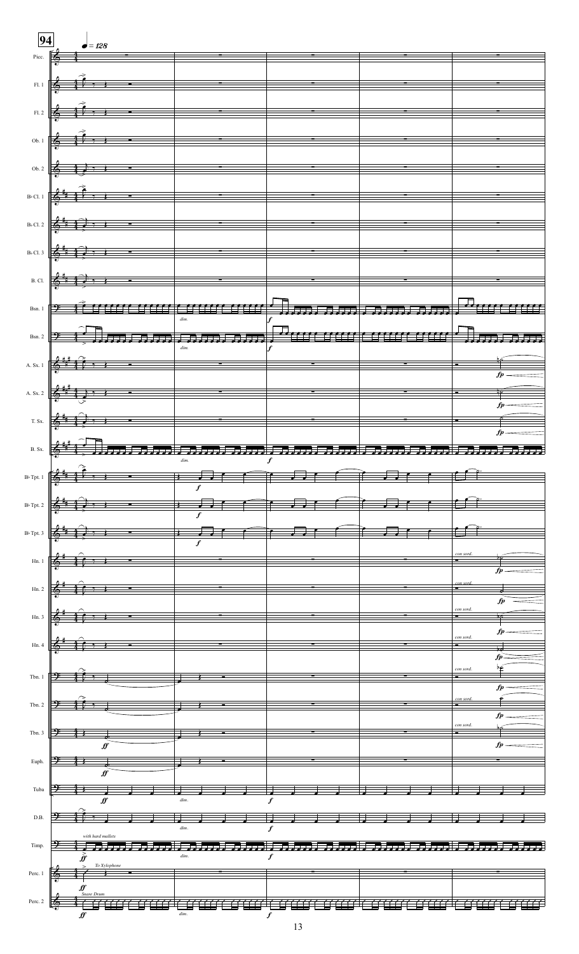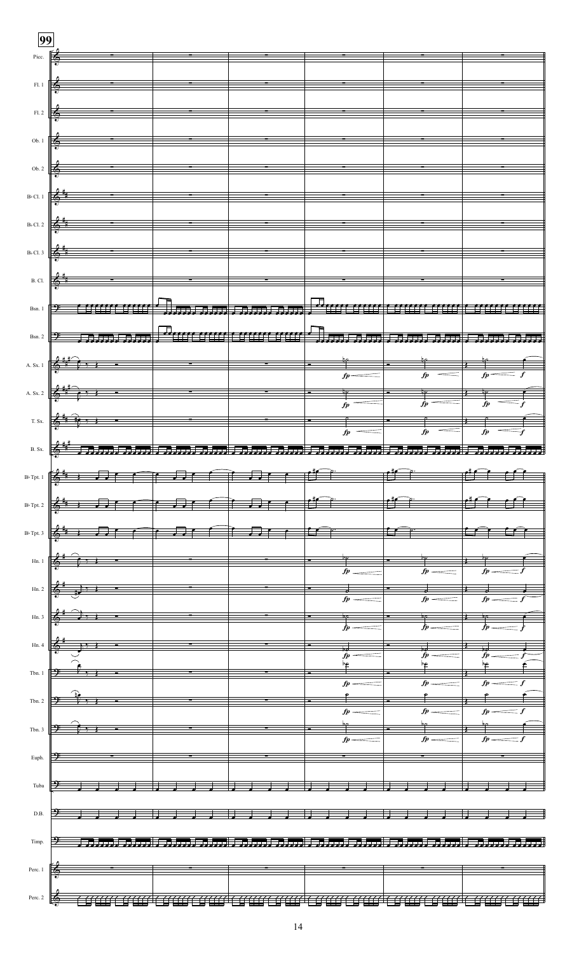| 99                        |                                                                                                                                                                                                                                                                                                                        |                                                                                                                |                                                  |                                                         |                                                                                         |                             |
|---------------------------|------------------------------------------------------------------------------------------------------------------------------------------------------------------------------------------------------------------------------------------------------------------------------------------------------------------------|----------------------------------------------------------------------------------------------------------------|--------------------------------------------------|---------------------------------------------------------|-----------------------------------------------------------------------------------------|-----------------------------|
| $\rm Picc.$               |                                                                                                                                                                                                                                                                                                                        |                                                                                                                |                                                  |                                                         |                                                                                         |                             |
| $\rm{Fl.}$ $1$            |                                                                                                                                                                                                                                                                                                                        |                                                                                                                |                                                  |                                                         |                                                                                         |                             |
| Fl. 2                     |                                                                                                                                                                                                                                                                                                                        |                                                                                                                |                                                  |                                                         |                                                                                         |                             |
|                           |                                                                                                                                                                                                                                                                                                                        |                                                                                                                |                                                  |                                                         |                                                                                         |                             |
| Ob. 1                     |                                                                                                                                                                                                                                                                                                                        |                                                                                                                |                                                  |                                                         |                                                                                         |                             |
| Ob. $2$                   |                                                                                                                                                                                                                                                                                                                        |                                                                                                                |                                                  |                                                         |                                                                                         |                             |
| $\operatorname{B}$ Cl. 1  | 嚎<br>$\sim$ $\sim$ $\sim$ $\sim$ $\sim$                                                                                                                                                                                                                                                                                |                                                                                                                |                                                  |                                                         |                                                                                         |                             |
| $B \triangleright C1.2$   |                                                                                                                                                                                                                                                                                                                        |                                                                                                                |                                                  |                                                         |                                                                                         |                             |
| $B \triangleright C1.3$   |                                                                                                                                                                                                                                                                                                                        |                                                                                                                |                                                  |                                                         |                                                                                         |                             |
|                           |                                                                                                                                                                                                                                                                                                                        |                                                                                                                |                                                  |                                                         |                                                                                         |                             |
|                           | $B.$ Cl. $\frac{24}{9}$                                                                                                                                                                                                                                                                                                | $\sim$ $\sim$                                                                                                  |                                                  |                                                         |                                                                                         |                             |
| Bsn. 1                    | <del>, , , , , , , , , , , , , , , ,</del><br>Þ                                                                                                                                                                                                                                                                        |                                                                                                                | <u>, and the control of the control</u>          |                                                         | <del>Tennes anno escrito circo</del>                                                    |                             |
| Bsn. 2                    | $\mathbb{P}$ $\Box$                                                                                                                                                                                                                                                                                                    |                                                                                                                | <del>Tung and range and t</del>                  |                                                         |                                                                                         |                             |
|                           | A. Sx. 1 $\frac{2 \frac{p+1}{p} - p - p}{2}$ $\frac{p}{p}$ $\frac{p}{p}$ $\frac{p}{p}$ $\frac{p}{p}$ $\frac{p}{p}$ $\frac{p}{p}$ $\frac{p}{p}$ $\frac{p}{p}$ $\frac{p}{p}$ $\frac{p}{p}$ $\frac{p}{p}$ $\frac{p}{p}$ $\frac{p}{p}$ $\frac{p}{p}$ $\frac{p}{p}$ $\frac{p}{p}$ $\frac{p}{p}$ $\frac{p}{p}$ $\frac{p}{p}$ |                                                                                                                |                                                  |                                                         |                                                                                         | $\frac{p}{p}$ $\frac{p}{p}$ |
|                           | A. Sx. 2 $\frac{2 \frac{4 \pi i}{3} - 2 \pi i}{2 \pi i}$                                                                                                                                                                                                                                                               |                                                                                                                |                                                  | $\frac{1}{2}$                                           |                                                                                         |                             |
|                           | T.Sx.                                                                                                                                                                                                                                                                                                                  |                                                                                                                |                                                  | $\overline{\phantom{a}}$                                |                                                                                         |                             |
|                           |                                                                                                                                                                                                                                                                                                                        |                                                                                                                |                                                  | $\frac{1}{\frac{1}{\frac{1}{2}}\frac{1}{\frac{1}{2}}}=$ | $\frac{\cdot}{\cdot}$ $\frac{\cdot}{\cdot}$ $\frac{\cdot}{\cdot}$ $\frac{\cdot}{\cdot}$ |                             |
|                           |                                                                                                                                                                                                                                                                                                                        |                                                                                                                |                                                  |                                                         | 有月十                                                                                     | 555555555                   |
|                           |                                                                                                                                                                                                                                                                                                                        |                                                                                                                |                                                  |                                                         |                                                                                         |                             |
| $B\nu$ Tpt. 1             | $\frac{2}{6}$                                                                                                                                                                                                                                                                                                          | 担子<br>╔                                                                                                        | $\sqrt{2}$                                       |                                                         |                                                                                         |                             |
| $B \triangleright$ Tpt. 2 |                                                                                                                                                                                                                                                                                                                        | $\sqrt{ }$                                                                                                     | ┢<br>$\overline{\phantom{a}}$                    | $\left  \cdot \right $                                  | $\mathbf{f}$                                                                            | $\mathbf{r}^{\sharp}$       |
| $B\nu$ Tpt. 3             | $\frac{2}{6}$                                                                                                                                                                                                                                                                                                          | $\overline{r}$                                                                                                 | _ , , , <sub>,</sub><br>$\overline{\phantom{0}}$ | $\mathbf{C}$                                            | Ľ                                                                                       |                             |
|                           |                                                                                                                                                                                                                                                                                                                        |                                                                                                                | $\overline{\phantom{a}}$                         |                                                         |                                                                                         |                             |
| Hn. 1                     |                                                                                                                                                                                                                                                                                                                        |                                                                                                                |                                                  | fp                                                      | $\overline{\textbf{f}p}$ –                                                              | fp                          |
| Hn. 2                     | $\frac{2}{6}$                                                                                                                                                                                                                                                                                                          |                                                                                                                |                                                  | fp                                                      | $\mathfrak{f}_{p}$                                                                      | fъ                          |
| Hn. 3                     |                                                                                                                                                                                                                                                                                                                        |                                                                                                                |                                                  |                                                         | $\frac{b\rho}{fp}$                                                                      |                             |
| Hn. 4                     | 圈                                                                                                                                                                                                                                                                                                                      |                                                                                                                |                                                  | fp                                                      | 矮                                                                                       | fp                          |
| Tbn. $1$                  |                                                                                                                                                                                                                                                                                                                        |                                                                                                                |                                                  | þę                                                      |                                                                                         |                             |
| Tbn. $2$                  |                                                                                                                                                                                                                                                                                                                        |                                                                                                                |                                                  | $fp -$                                                  | $fp$ .                                                                                  | $\mathbf{f}$                |
|                           |                                                                                                                                                                                                                                                                                                                        |                                                                                                                |                                                  | $\mathbf{f}$                                            | $fp$ .                                                                                  | $\mathbf{f}$                |
| Tbn. $3$                  |                                                                                                                                                                                                                                                                                                                        |                                                                                                                |                                                  | fp                                                      | $\mathfrak{f} p$                                                                        | $\mathbf{f}$ р -            |
| Euph.                     |                                                                                                                                                                                                                                                                                                                        |                                                                                                                |                                                  |                                                         |                                                                                         |                             |
| Tuba                      |                                                                                                                                                                                                                                                                                                                        |                                                                                                                |                                                  |                                                         |                                                                                         |                             |
| D.B.                      |                                                                                                                                                                                                                                                                                                                        |                                                                                                                |                                                  |                                                         |                                                                                         |                             |
| Timp.                     |                                                                                                                                                                                                                                                                                                                        | ת המכוני ממונים ממונים המונים המונים המונים המונים המונים המונים ממונים ממונים ממונים המונים המונים המונים ממו |                                                  |                                                         |                                                                                         | 7777                        |
|                           |                                                                                                                                                                                                                                                                                                                        |                                                                                                                |                                                  |                                                         |                                                                                         |                             |
| Perc. 1<br>Perc. 2        |                                                                                                                                                                                                                                                                                                                        |                                                                                                                |                                                  |                                                         |                                                                                         |                             |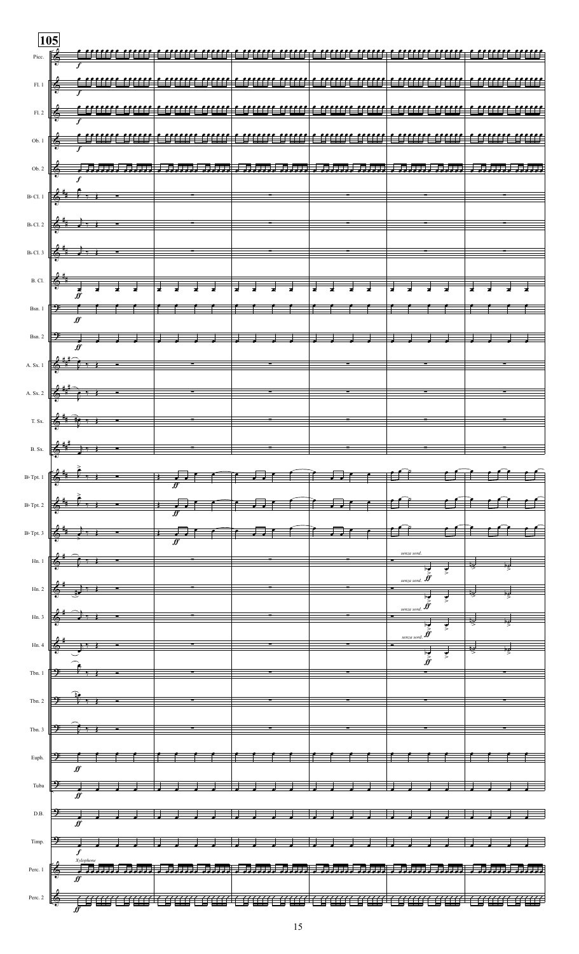| 105                       |                                                                                                                                                                                                                                                         |                                                                                                                                                                                                                                                                                                                                                                                                      |  |                                                                                                                                |  |                                                         |  |                                                                                |            |             |             |  |   |        |                |
|---------------------------|---------------------------------------------------------------------------------------------------------------------------------------------------------------------------------------------------------------------------------------------------------|------------------------------------------------------------------------------------------------------------------------------------------------------------------------------------------------------------------------------------------------------------------------------------------------------------------------------------------------------------------------------------------------------|--|--------------------------------------------------------------------------------------------------------------------------------|--|---------------------------------------------------------|--|--------------------------------------------------------------------------------|------------|-------------|-------------|--|---|--------|----------------|
| Picc.                     |                                                                                                                                                                                                                                                         | <u>ר מנחמנו מנחמו ל מנחמק מנחמו ל מנחמו מנחמו ל מנ</u>                                                                                                                                                                                                                                                                                                                                               |  |                                                                                                                                |  |                                                         |  |                                                                                |            |             |             |  |   |        |                |
| FL.1                      |                                                                                                                                                                                                                                                         | <u> 14 - Entra ami cama ami cama ami cama </u>                                                                                                                                                                                                                                                                                                                                                       |  |                                                                                                                                |  |                                                         |  |                                                                                |            |             |             |  |   |        |                |
|                           |                                                                                                                                                                                                                                                         | <u> FLANCE CONFIDENTIAL CONFIDENTIAL CONFIDENTIAL CONFIDENTIAL CONFIDENTIAL CONFIDENTIAL CONFIDENTIAL CONFIDENTIAL</u>                                                                                                                                                                                                                                                                               |  |                                                                                                                                |  |                                                         |  |                                                                                |            |             |             |  |   |        | <u>TIMININ</u> |
| Ob. $1$                   |                                                                                                                                                                                                                                                         | <u>   Kentimia mana (calattaria mana mana (calattaria mana) c</u>                                                                                                                                                                                                                                                                                                                                    |  |                                                                                                                                |  |                                                         |  |                                                                                |            |             |             |  |   |        |                |
|                           |                                                                                                                                                                                                                                                         |                                                                                                                                                                                                                                                                                                                                                                                                      |  |                                                                                                                                |  |                                                         |  |                                                                                |            |             |             |  |   |        |                |
|                           |                                                                                                                                                                                                                                                         |                                                                                                                                                                                                                                                                                                                                                                                                      |  |                                                                                                                                |  |                                                         |  |                                                                                |            |             |             |  |   |        |                |
|                           |                                                                                                                                                                                                                                                         | B <sub>b</sub> Cl. 1 $\left  \frac{2\frac{1}{2} + \sqrt{2}}{2\frac{1}{2} + \sqrt{2}} \right $                                                                                                                                                                                                                                                                                                        |  |                                                                                                                                |  |                                                         |  |                                                                                |            |             |             |  |   |        |                |
|                           |                                                                                                                                                                                                                                                         | B + Cl. 2 $\frac{2}{\sqrt{2}}$ + $\frac{1}{2}$ + $\frac{1}{2}$ + $\frac{1}{2}$ + $\frac{1}{2}$ + $\frac{1}{2}$ + $\frac{1}{2}$ + $\frac{1}{2}$ + $\frac{1}{2}$ + $\frac{1}{2}$ + $\frac{1}{2}$ + $\frac{1}{2}$ + $\frac{1}{2}$ + $\frac{1}{2}$ + $\frac{1}{2}$ + $\frac{1}{2}$ + $\frac{1}{2}$ + $\frac{$                                                                                            |  |                                                                                                                                |  |                                                         |  |                                                                                |            |             |             |  |   |        |                |
|                           |                                                                                                                                                                                                                                                         | B <sub>b</sub> Cl. 3 $\frac{2\pi}{3}$ $\frac{2\pi}{3}$ $\frac{2\pi}{3}$ $\frac{2\pi}{3}$                                                                                                                                                                                                                                                                                                             |  |                                                                                                                                |  |                                                         |  |                                                                                |            |             |             |  |   |        |                |
|                           |                                                                                                                                                                                                                                                         | B.C. $\frac{1}{2}$ $\frac{1}{2}$ $\frac{1}{2}$ $\frac{1}{2}$ $\frac{1}{2}$ $\frac{1}{2}$ $\frac{1}{2}$ $\frac{1}{2}$ $\frac{1}{2}$ $\frac{1}{2}$ $\frac{1}{2}$ $\frac{1}{2}$ $\frac{1}{2}$ $\frac{1}{2}$ $\frac{1}{2}$ $\frac{1}{2}$                                                                                                                                                                 |  |                                                                                                                                |  |                                                         |  |                                                                                |            |             |             |  | ╤ |        |                |
| Bsn. 1                    |                                                                                                                                                                                                                                                         |                                                                                                                                                                                                                                                                                                                                                                                                      |  |                                                                                                                                |  |                                                         |  |                                                                                |            |             |             |  |   |        |                |
|                           | Bsn. 2 $\frac{9}{f}$                                                                                                                                                                                                                                    |                                                                                                                                                                                                                                                                                                                                                                                                      |  |                                                                                                                                |  | <u> Estados de Santiaco</u>                             |  |                                                                                |            | ≡           |             |  |   |        |                |
| A. Sx. $1$                |                                                                                                                                                                                                                                                         | $\frac{2!}{6}$ $\frac{1}{2}$ $\frac{1}{2}$ $\frac{1}{2}$ $\frac{1}{2}$ $\frac{1}{2}$ $\frac{1}{2}$ $\frac{1}{2}$ $\frac{1}{2}$ $\frac{1}{2}$ $\frac{1}{2}$ $\frac{1}{2}$ $\frac{1}{2}$ $\frac{1}{2}$ $\frac{1}{2}$ $\frac{1}{2}$ $\frac{1}{2}$ $\frac{1}{2}$ $\frac{1}{2}$ $\frac{1}{2}$ $\frac{1}{2}$ $\frac{1}{2}$                                                                                 |  |                                                                                                                                |  |                                                         |  |                                                                                |            |             |             |  |   |        |                |
|                           |                                                                                                                                                                                                                                                         | A. Sx. 2 $\frac{1}{2}$ $\frac{1}{2}$ $\frac{1}{2}$ $\frac{1}{2}$ $\frac{1}{2}$ $\frac{1}{2}$ $\frac{1}{2}$ $\frac{1}{2}$ $\frac{1}{2}$ $\frac{1}{2}$ $\frac{1}{2}$ $\frac{1}{2}$ $\frac{1}{2}$ $\frac{1}{2}$ $\frac{1}{2}$ $\frac{1}{2}$ $\frac{1}{2}$ $\frac{1}{2}$ $\frac{1}{2}$ $\frac{1}{2}$ $\frac{1}{2}$ $\$                                                                                   |  |                                                                                                                                |  |                                                         |  |                                                                                |            |             |             |  |   |        |                |
|                           |                                                                                                                                                                                                                                                         | T. Sx. $6 + 7$                                                                                                                                                                                                                                                                                                                                                                                       |  |                                                                                                                                |  |                                                         |  |                                                                                |            |             |             |  |   |        |                |
|                           |                                                                                                                                                                                                                                                         | $B.Sx$ $8^{\frac{1}{2}^{\frac{1}{2}}}\sqrt{125}$                                                                                                                                                                                                                                                                                                                                                     |  |                                                                                                                                |  |                                                         |  |                                                                                |            |             |             |  |   |        |                |
|                           |                                                                                                                                                                                                                                                         |                                                                                                                                                                                                                                                                                                                                                                                                      |  |                                                                                                                                |  |                                                         |  |                                                                                |            |             |             |  |   |        |                |
| $B \triangleright$ Tpt. 2 |                                                                                                                                                                                                                                                         | $\frac{1}{n}$                                                                                                                                                                                                                                                                                                                                                                                        |  |                                                                                                                                |  |                                                         |  | $\mathbf{r}$                                                                   | $\sqrt{2}$ | <u>left</u> |             |  |   |        |                |
|                           | B Tpt. 3 $\left  \begin{array}{ccc} \stackrel{1}{\bullet} & \stackrel{1}{\bullet} & \stackrel{1}{\bullet} & \stackrel{1}{\bullet} \\ \stackrel{1}{\bullet} & \stackrel{1}{\bullet} & \stackrel{1}{\bullet} & \stackrel{1}{\bullet} \end{array} \right $ | $\frac{1}{\pi} \left  \frac{1}{\pi} \frac{1}{\pi} \frac{1}{\pi} \frac{1}{\pi} \frac{1}{\pi} \frac{1}{\pi} \frac{1}{\pi} \frac{1}{\pi} \frac{1}{\pi} \frac{1}{\pi} \frac{1}{\pi} \frac{1}{\pi} \frac{1}{\pi} \frac{1}{\pi} \frac{1}{\pi} \frac{1}{\pi} \frac{1}{\pi} \frac{1}{\pi} \frac{1}{\pi} \frac{1}{\pi} \frac{1}{\pi} \frac{1}{\pi} \frac{1}{\pi} \frac{1}{\pi} \frac{1}{\pi} \frac{1}{\pi} \$ |  |                                                                                                                                |  |                                                         |  |                                                                                |            |             |             |  |   |        |                |
| Hn. 1                     |                                                                                                                                                                                                                                                         |                                                                                                                                                                                                                                                                                                                                                                                                      |  | $\blacksquare$ . The set of $\blacksquare$                                                                                     |  |                                                         |  |                                                                                |            |             | senza sord  |  |   |        |                |
|                           |                                                                                                                                                                                                                                                         | Hn. 2 $\left \left  \left  \left  \left  \left  \left  \left  \right  \right  \right  \right  \right  \right  \right  \right $                                                                                                                                                                                                                                                                       |  |                                                                                                                                |  |                                                         |  |                                                                                |            |             | senza sord. |  |   |        |                |
| Hn. 3                     |                                                                                                                                                                                                                                                         |                                                                                                                                                                                                                                                                                                                                                                                                      |  | <del>- 1999 - 1999 - 1999 - 1999 - 1999 - 1999 - 1999 - 1999 - 1999 - 1999 - 1999 - 1999 - 1999 - 1999 - 1999 - 1999 - 1</del> |  |                                                         |  |                                                                                |            |             |             |  |   |        |                |
|                           | $Hn.4$ $\frac{2}{9}$ $\frac{8}{9}$ $\frac{1}{2}$ $\frac{1}{2}$                                                                                                                                                                                          | $\overline{\phantom{a}}$                                                                                                                                                                                                                                                                                                                                                                             |  |                                                                                                                                |  |                                                         |  |                                                                                |            |             | senza sord. |  |   |        |                |
| Tbn. $1$                  |                                                                                                                                                                                                                                                         |                                                                                                                                                                                                                                                                                                                                                                                                      |  |                                                                                                                                |  |                                                         |  |                                                                                |            |             |             |  |   |        |                |
|                           |                                                                                                                                                                                                                                                         |                                                                                                                                                                                                                                                                                                                                                                                                      |  |                                                                                                                                |  |                                                         |  |                                                                                |            |             |             |  |   |        |                |
| Tbn. $2$                  |                                                                                                                                                                                                                                                         |                                                                                                                                                                                                                                                                                                                                                                                                      |  |                                                                                                                                |  |                                                         |  |                                                                                |            |             |             |  |   |        |                |
| Tbn. $3$                  |                                                                                                                                                                                                                                                         |                                                                                                                                                                                                                                                                                                                                                                                                      |  |                                                                                                                                |  |                                                         |  |                                                                                |            |             |             |  |   |        |                |
| Euph.                     |                                                                                                                                                                                                                                                         |                                                                                                                                                                                                                                                                                                                                                                                                      |  |                                                                                                                                |  |                                                         |  |                                                                                |            |             |             |  |   |        |                |
| Tuba                      |                                                                                                                                                                                                                                                         |                                                                                                                                                                                                                                                                                                                                                                                                      |  |                                                                                                                                |  |                                                         |  |                                                                                |            |             |             |  |   |        |                |
| $\mathbf{D}.\mathbf{B}.$  |                                                                                                                                                                                                                                                         |                                                                                                                                                                                                                                                                                                                                                                                                      |  |                                                                                                                                |  | $\frac{1}{2}$ $\frac{1}{2}$ $\frac{1}{2}$ $\frac{1}{2}$ |  | $\overline{\phantom{a}}$ , $\overline{\phantom{a}}$ , $\overline{\phantom{a}}$ |            |             |             |  |   |        |                |
| Timp.                     |                                                                                                                                                                                                                                                         |                                                                                                                                                                                                                                                                                                                                                                                                      |  |                                                                                                                                |  |                                                         |  |                                                                                |            |             |             |  |   |        |                |
| Perc. 1                   |                                                                                                                                                                                                                                                         |                                                                                                                                                                                                                                                                                                                                                                                                      |  |                                                                                                                                |  |                                                         |  |                                                                                |            |             |             |  |   |        |                |
| Perc. 2                   |                                                                                                                                                                                                                                                         |                                                                                                                                                                                                                                                                                                                                                                                                      |  | 1111111 111111  1 1111111                                                                                                      |  |                                                         |  |                                                                                |            |             |             |  |   | 777777 |                |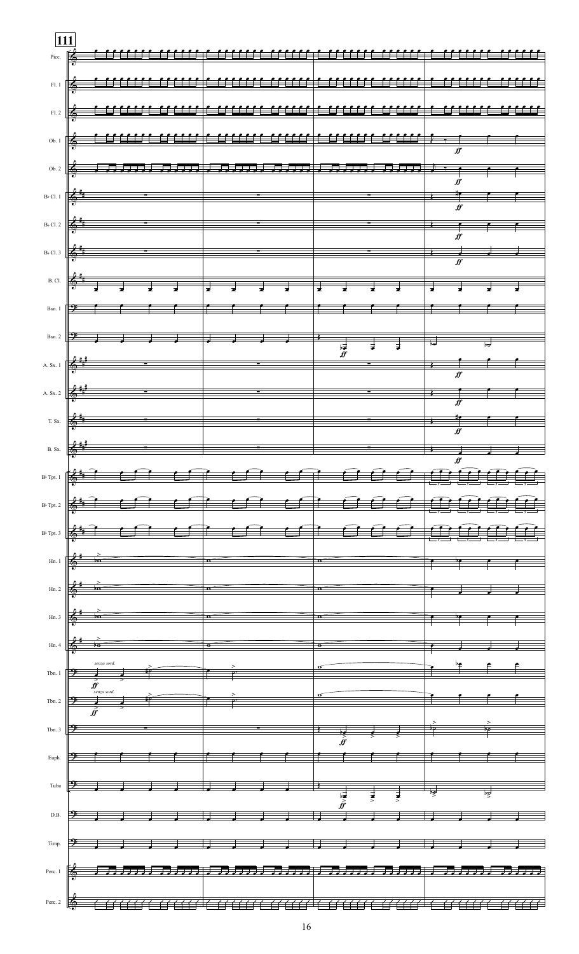| 111                 |  |  |                                                                                                                                                                                                                                                                                                                                                                                                                                                                            |  |                                                                                                                       |  |  |                                                                                                                                                                                                                                                                                                                                                                                                                                                                                                                                                                           |  |  |
|---------------------|--|--|----------------------------------------------------------------------------------------------------------------------------------------------------------------------------------------------------------------------------------------------------------------------------------------------------------------------------------------------------------------------------------------------------------------------------------------------------------------------------|--|-----------------------------------------------------------------------------------------------------------------------|--|--|---------------------------------------------------------------------------------------------------------------------------------------------------------------------------------------------------------------------------------------------------------------------------------------------------------------------------------------------------------------------------------------------------------------------------------------------------------------------------------------------------------------------------------------------------------------------------|--|--|
|                     |  |  |                                                                                                                                                                                                                                                                                                                                                                                                                                                                            |  |                                                                                                                       |  |  |                                                                                                                                                                                                                                                                                                                                                                                                                                                                                                                                                                           |  |  |
| $\rm{Fl.}$ $1$      |  |  | <u>∥« CELENTE CELENTE CELENTE EL CELENTE CELEN</u>                                                                                                                                                                                                                                                                                                                                                                                                                         |  |                                                                                                                       |  |  |                                                                                                                                                                                                                                                                                                                                                                                                                                                                                                                                                                           |  |  |
| Fl. 2 $\frac{1}{2}$ |  |  |                                                                                                                                                                                                                                                                                                                                                                                                                                                                            |  |                                                                                                                       |  |  |                                                                                                                                                                                                                                                                                                                                                                                                                                                                                                                                                                           |  |  |
|                     |  |  |                                                                                                                                                                                                                                                                                                                                                                                                                                                                            |  |                                                                                                                       |  |  |                                                                                                                                                                                                                                                                                                                                                                                                                                                                                                                                                                           |  |  |
|                     |  |  |                                                                                                                                                                                                                                                                                                                                                                                                                                                                            |  |                                                                                                                       |  |  |                                                                                                                                                                                                                                                                                                                                                                                                                                                                                                                                                                           |  |  |
|                     |  |  | $B_3$ Cl. 1 $\frac{2.84}{10}$                                                                                                                                                                                                                                                                                                                                                                                                                                              |  |                                                                                                                       |  |  | $\begin{array}{c} \begin{array}{c} \uparrow \end{array} & \begin{array}{c} \uparrow \end{array} & \begin{array}{c} \uparrow \end{array} & \begin{array}{c} \uparrow \end{array} & \begin{array}{c} \uparrow \end{array} & \begin{array}{c} \uparrow \end{array} & \begin{array}{c} \uparrow \end{array} & \begin{array}{c} \uparrow \end{array} & \begin{array}{c} \uparrow \end{array} & \begin{array}{c} \uparrow \end{array} & \begin{array}{c} \uparrow \end{array} & \begin{array}{c} \uparrow \end{array} & \begin{array}{c} \uparrow \end{array} & \begin{array}{$ |  |  |
|                     |  |  | $B_2$ Cl. 2 $\frac{B_1}{2}$                                                                                                                                                                                                                                                                                                                                                                                                                                                |  |                                                                                                                       |  |  | $\begin{array}{c} \begin{array}{c} \end{array} \end{array}$                                                                                                                                                                                                                                                                                                                                                                                                                                                                                                               |  |  |
|                     |  |  | $B_5$ Cl. 3 $\frac{2}{\sqrt{3}}$                                                                                                                                                                                                                                                                                                                                                                                                                                           |  |                                                                                                                       |  |  |                                                                                                                                                                                                                                                                                                                                                                                                                                                                                                                                                                           |  |  |
|                     |  |  |                                                                                                                                                                                                                                                                                                                                                                                                                                                                            |  |                                                                                                                       |  |  |                                                                                                                                                                                                                                                                                                                                                                                                                                                                                                                                                                           |  |  |
|                     |  |  |                                                                                                                                                                                                                                                                                                                                                                                                                                                                            |  |                                                                                                                       |  |  | $\overline{\phantom{a}}$                                                                                                                                                                                                                                                                                                                                                                                                                                                                                                                                                  |  |  |
| Bsn.1               |  |  |                                                                                                                                                                                                                                                                                                                                                                                                                                                                            |  |                                                                                                                       |  |  |                                                                                                                                                                                                                                                                                                                                                                                                                                                                                                                                                                           |  |  |
| Bsn. $2$            |  |  |                                                                                                                                                                                                                                                                                                                                                                                                                                                                            |  |                                                                                                                       |  |  | $\overline{\overline{b}}$                                                                                                                                                                                                                                                                                                                                                                                                                                                                                                                                                 |  |  |
|                     |  |  | $\mathcal{L}_{\text{A-Sx-1}}$                                                                                                                                                                                                                                                                                                                                                                                                                                              |  |                                                                                                                       |  |  |                                                                                                                                                                                                                                                                                                                                                                                                                                                                                                                                                                           |  |  |
|                     |  |  | A. Sx. 2 $\frac{2}{\sqrt{2}} \frac{\frac{4}{3} \frac{4}{3}}{\frac{4}{3} \frac{4}{3} \frac{4}{3}}$                                                                                                                                                                                                                                                                                                                                                                          |  |                                                                                                                       |  |  | $\frac{1}{2}$                                                                                                                                                                                                                                                                                                                                                                                                                                                                                                                                                             |  |  |
|                     |  |  | $T.S.$ $\frac{1}{\sqrt{2}}$                                                                                                                                                                                                                                                                                                                                                                                                                                                |  |                                                                                                                       |  |  | $\begin{array}{ccc} \end{array}$ :                                                                                                                                                                                                                                                                                                                                                                                                                                                                                                                                        |  |  |
|                     |  |  | B.Sx. $\frac{1}{6}$                                                                                                                                                                                                                                                                                                                                                                                                                                                        |  |                                                                                                                       |  |  |                                                                                                                                                                                                                                                                                                                                                                                                                                                                                                                                                                           |  |  |
|                     |  |  | $\mathbb{E}_{\mathbb{P}^{[1,1]}} \left  \bigoplus_{i=1}^{n} \frac{1}{i} \prod_{i=1}^{n} \prod_{i=1}^{n} \prod_{i=1}^{n} \prod_{i=1}^{n} \prod_{i=1}^{n} \prod_{i=1}^{n} \prod_{i=1}^{n} \prod_{i=1}^{n} \prod_{i=1}^{n} \prod_{i=1}^{n} \prod_{i=1}^{n} \prod_{i=1}^{n} \prod_{i=1}^{n} \prod_{i=1}^{n} \prod_{i=1}^{n} \prod_{i=1}^{n} \prod_{i=1}^{n} \prod_{i=1}^{n$                                                                                                    |  |                                                                                                                       |  |  |                                                                                                                                                                                                                                                                                                                                                                                                                                                                                                                                                                           |  |  |
|                     |  |  | $\frac{1}{\frac{1}{\frac{1}{\sqrt{2}}} \sum_{i=1}^{\infty} \frac{1}{\sqrt{2}} \sum_{i=1}^{\infty} \frac{1}{\sqrt{2}} \sum_{i=1}^{\infty} \frac{1}{\sqrt{2}} \sum_{i=1}^{\infty} \frac{1}{\sqrt{2}} \sum_{i=1}^{\infty} \frac{1}{\sqrt{2}} \sum_{i=1}^{\infty} \frac{1}{\sqrt{2}} \sum_{i=1}^{\infty} \frac{1}{\sqrt{2}} \sum_{i=1}^{\infty} \frac{1}{\sqrt{2}} \sum_{i=1}^{\infty} \frac{1}{\sqrt{2}} \sum$                                                                |  |                                                                                                                       |  |  |                                                                                                                                                                                                                                                                                                                                                                                                                                                                                                                                                                           |  |  |
|                     |  |  | Bit of of of of of a pop                                                                                                                                                                                                                                                                                                                                                                                                                                                   |  |                                                                                                                       |  |  |                                                                                                                                                                                                                                                                                                                                                                                                                                                                                                                                                                           |  |  |
|                     |  |  | $\frac{3}{2}$ Hn. 1 $\frac{2}{2}$ $\frac{1}{2}$ $\frac{1}{2}$ $\frac{1}{2}$ $\frac{1}{2}$ $\frac{1}{2}$ $\frac{1}{2}$ $\frac{1}{2}$ $\frac{1}{2}$ $\frac{1}{2}$ $\frac{1}{2}$ $\frac{1}{2}$ $\frac{1}{2}$ $\frac{1}{2}$ $\frac{1}{2}$ $\frac{1}{2}$ $\frac{1}{2}$ $\frac{1}{2}$ $\frac{1}{2}$ $\frac{1}{2}$ $\frac{1$                                                                                                                                                      |  |                                                                                                                       |  |  |                                                                                                                                                                                                                                                                                                                                                                                                                                                                                                                                                                           |  |  |
|                     |  |  | $\lim_{\epsilon\to 0} 2 \left\  \frac{\sqrt{\frac{4}{\epsilon}}}{\sqrt{2}} \frac{\epsilon}{\sqrt{2}} \right\ _{\infty} = \frac{1}{\sqrt{2}} \left\  \frac{\sqrt{2}}{\sqrt{2}} \right\ _{\infty} = \frac{1}{\sqrt{2}} \left\  \frac{\sqrt{2}}{\sqrt{2}} \right\ _{\infty} = \frac{1}{\sqrt{2}} \left\  \frac{\sqrt{2}}{\sqrt{2}} \right\ _{\infty} = \frac{1}{\sqrt{2}} \left\  \frac{\sqrt{2}}{\sqrt{2}} \right\ _{\infty} = \frac{1}{\sqrt{2}} \left\  \frac{\sqrt{2}}{\$ |  |                                                                                                                       |  |  |                                                                                                                                                                                                                                                                                                                                                                                                                                                                                                                                                                           |  |  |
|                     |  |  | Hn. 3 $\frac{1}{2}$ $\frac{1}{2}$ $\frac{1}{2}$ $\frac{1}{2}$ $\frac{1}{2}$ $\frac{1}{2}$ $\frac{1}{2}$ $\frac{1}{2}$ $\frac{1}{2}$ $\frac{1}{2}$ $\frac{1}{2}$ $\frac{1}{2}$ $\frac{1}{2}$ $\frac{1}{2}$ $\frac{1}{2}$ $\frac{1}{2}$ $\frac{1}{2}$ $\frac{1}{2}$ $\frac{1}{2}$ $\frac{1}{2}$ $\frac{1}{2}$ $\frac{1$                                                                                                                                                      |  |                                                                                                                       |  |  | $\overline{\phantom{a}}$                                                                                                                                                                                                                                                                                                                                                                                                                                                                                                                                                  |  |  |
|                     |  |  | $\frac{3}{2}$ Hn. 4 $\frac{3}{2}$ $\frac{3}{2}$ $\frac{3}{2}$ $\frac{3}{2}$ $\frac{3}{2}$ $\frac{3}{2}$ $\frac{3}{2}$ $\frac{3}{2}$ $\frac{3}{2}$ $\frac{3}{2}$ $\frac{3}{2}$ $\frac{3}{2}$ $\frac{3}{2}$ $\frac{3}{2}$ $\frac{3}{2}$ $\frac{3}{2}$ $\frac{3}{2}$ $\frac{3}{2}$ $\frac{3}{2}$ $\frac{3}{2}$ $\frac{3$                                                                                                                                                      |  |                                                                                                                       |  |  |                                                                                                                                                                                                                                                                                                                                                                                                                                                                                                                                                                           |  |  |
|                     |  |  | The $\frac{1}{2}$ of $\frac{1}{2}$ is $\frac{1}{2}$ if $\frac{1}{2}$ if $\frac{1}{2}$ if $\frac{1}{2}$ if $\frac{1}{2}$ if $\frac{1}{2}$ if $\frac{1}{2}$ if $\frac{1}{2}$ if $\frac{1}{2}$ if $\frac{1}{2}$ if $\frac{1}{2}$ if $\frac{1}{2}$ if $\frac{1}{2}$ if $\frac{1}{2}$ if $\frac{1}{2}$                                                                                                                                                                          |  |                                                                                                                       |  |  |                                                                                                                                                                                                                                                                                                                                                                                                                                                                                                                                                                           |  |  |
|                     |  |  | Tbn. 2 $\frac{\frac{\text{39}}{\text{S}}}{\frac{3}{\text{S}} \times \frac{\text{39}}{\text{S}}}$                                                                                                                                                                                                                                                                                                                                                                           |  |                                                                                                                       |  |  |                                                                                                                                                                                                                                                                                                                                                                                                                                                                                                                                                                           |  |  |
| Tbn. $3$            |  |  |                                                                                                                                                                                                                                                                                                                                                                                                                                                                            |  |                                                                                                                       |  |  |                                                                                                                                                                                                                                                                                                                                                                                                                                                                                                                                                                           |  |  |
|                     |  |  |                                                                                                                                                                                                                                                                                                                                                                                                                                                                            |  |                                                                                                                       |  |  |                                                                                                                                                                                                                                                                                                                                                                                                                                                                                                                                                                           |  |  |
| Euph.               |  |  |                                                                                                                                                                                                                                                                                                                                                                                                                                                                            |  |                                                                                                                       |  |  |                                                                                                                                                                                                                                                                                                                                                                                                                                                                                                                                                                           |  |  |
|                     |  |  |                                                                                                                                                                                                                                                                                                                                                                                                                                                                            |  |                                                                                                                       |  |  |                                                                                                                                                                                                                                                                                                                                                                                                                                                                                                                                                                           |  |  |
|                     |  |  | $\begin{array}{c ccccccccc}\n\hline\n\text{1} & \text{2} & \text{3} & \text{4} & \text{5} & \text{6} & \text{7} & \text{8} & \text{8} & \text{9} \\ \hline\n\text{2} & \text{3} & \text{4} & \text{5} & \text{6} & \text{7} & \text{8} & \text{8} & \text{9} & \text{10} & \text{10} & \text{10} & \text{10} & \text{10} & \text{10} & \text{10} & \text{10} & \text{10} & \text{10} & \text{10} & \text{10} & \text$                                                      |  | <u> a strong and the strong strong and the strong strong strong and the strong strong strong strong strong strong</u> |  |  |                                                                                                                                                                                                                                                                                                                                                                                                                                                                                                                                                                           |  |  |
|                     |  |  |                                                                                                                                                                                                                                                                                                                                                                                                                                                                            |  |                                                                                                                       |  |  |                                                                                                                                                                                                                                                                                                                                                                                                                                                                                                                                                                           |  |  |
| Perc. 1             |  |  | 16 - 2000 <del>- 2000 - 2000 - 2000 - 2000 - 2000 - 2000 - 2000 - 2000 - 2000 - 2000 - 2000 - 2000</del>                                                                                                                                                                                                                                                                                                                                                                   |  |                                                                                                                       |  |  |                                                                                                                                                                                                                                                                                                                                                                                                                                                                                                                                                                           |  |  |